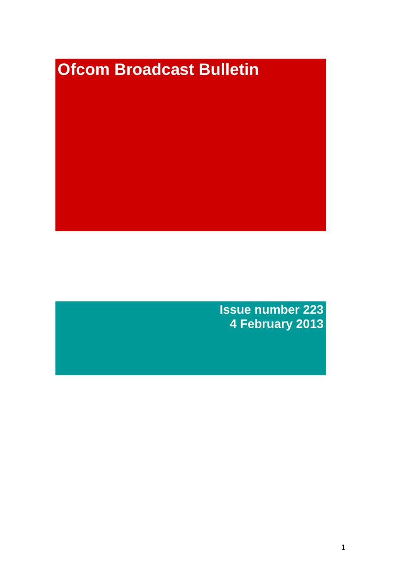# **Ofcom Broadcast Bulletin**

**Issue number 223 4 February 2013**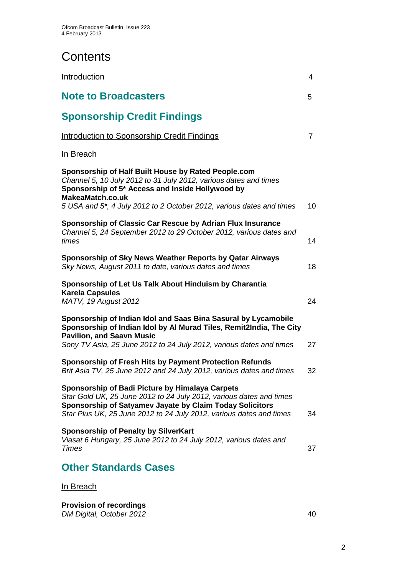# **Contents**

| Introduction                                                                                                                                                                                                                                              | $\overline{4}$ |
|-----------------------------------------------------------------------------------------------------------------------------------------------------------------------------------------------------------------------------------------------------------|----------------|
| <b>Note to Broadcasters</b>                                                                                                                                                                                                                               | 5              |
| <b>Sponsorship Credit Findings</b>                                                                                                                                                                                                                        |                |
| <b>Introduction to Sponsorship Credit Findings</b>                                                                                                                                                                                                        | $\overline{7}$ |
| <u>In Breach</u>                                                                                                                                                                                                                                          |                |
| Sponsorship of Half Built House by Rated People.com<br>Channel 5, 10 July 2012 to 31 July 2012, various dates and times<br>Sponsorship of 5* Access and Inside Hollywood by<br>MakeaMatch.co.uk                                                           |                |
| 5 USA and 5*, 4 July 2012 to 2 October 2012, various dates and times                                                                                                                                                                                      | 10             |
| Sponsorship of Classic Car Rescue by Adrian Flux Insurance<br>Channel 5, 24 September 2012 to 29 October 2012, various dates and<br>times                                                                                                                 | 14             |
| Sponsorship of Sky News Weather Reports by Qatar Airways<br>Sky News, August 2011 to date, various dates and times                                                                                                                                        | 18             |
| Sponsorship of Let Us Talk About Hinduism by Charantia<br><b>Karela Capsules</b><br>MATV, 19 August 2012                                                                                                                                                  | 24             |
| Sponsorship of Indian Idol and Saas Bina Sasural by Lycamobile<br>Sponsorship of Indian Idol by Al Murad Tiles, Remit2India, The City<br><b>Pavilion, and Saavn Music</b>                                                                                 | 27             |
| Sony TV Asia, 25 June 2012 to 24 July 2012, various dates and times                                                                                                                                                                                       |                |
| Sponsorship of Fresh Hits by Payment Protection Refunds<br>Brit Asia TV, 25 June 2012 and 24 July 2012, various dates and times                                                                                                                           | 32             |
| Sponsorship of Badi Picture by Himalaya Carpets<br>Star Gold UK, 25 June 2012 to 24 July 2012, various dates and times<br>Sponsorship of Satyamev Jayate by Claim Today Solicitors<br>Star Plus UK, 25 June 2012 to 24 July 2012, various dates and times | 34             |
| <b>Sponsorship of Penalty by SilverKart</b><br>Viasat 6 Hungary, 25 June 2012 to 24 July 2012, various dates and<br><b>Times</b>                                                                                                                          | 37             |
| <b>Other Standards Cases</b>                                                                                                                                                                                                                              |                |

## In Breach

**Provision of recordings** *DM Digital, October 2012* 40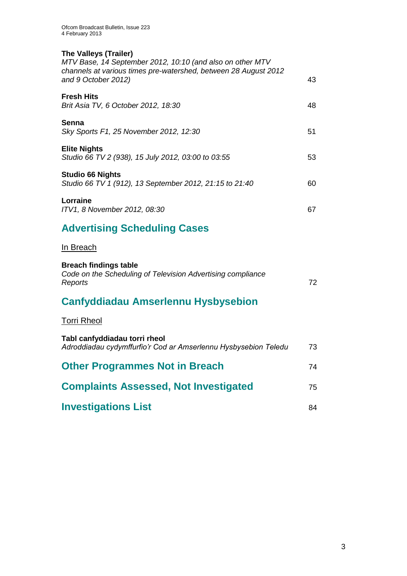## **The Valleys (Trailer)**

*MTV Base, 14 September 2012, 10:10 (and also on other MTV channels at various times pre-watershed, between 28 August 2012 and 9 October 2012)* 43 **Fresh Hits** *Brit Asia TV, 6 October 2012, 18:30* 48 **Senna** *Sky Sports F1, 25 November 2012, 12:30* 51 **Elite Nights** *Studio 66 TV 2 (938), 15 July 2012, 03:00 to 03:55* 53 **Studio 66 Nights** *Studio 66 TV 1 (912), 13 September 2012, 21:15 to 21:40* 60 **Lorraine** *ITV1, 8 November 2012, 08:30* 67

# **Advertising Scheduling Cases**

## In Breach

| <b>Breach findings table</b>                                           |    |
|------------------------------------------------------------------------|----|
| Code on the Scheduling of Television Advertising compliance<br>Reports | 72 |

## **Canfyddiadau Amserlennu Hysbysebion**

## Torri Rheol

| Tabl canfyddiadau torri rheol<br>Adroddiadau cydymffurfio'r Cod ar Amserlennu Hysbysebion Teledu | 73 |
|--------------------------------------------------------------------------------------------------|----|
| <b>Other Programmes Not in Breach</b>                                                            | 74 |
| <b>Complaints Assessed, Not Investigated</b>                                                     | 75 |
| <b>Investigations List</b>                                                                       | 84 |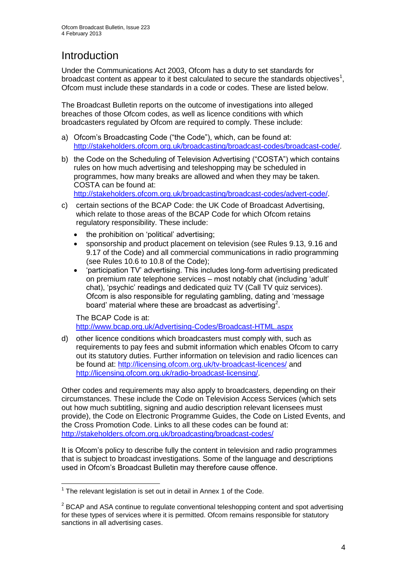# Introduction

Under the Communications Act 2003, Ofcom has a duty to set standards for broadcast content as appear to it best calculated to secure the standards objectives<sup>1</sup>, Ofcom must include these standards in a code or codes. These are listed below.

The Broadcast Bulletin reports on the outcome of investigations into alleged breaches of those Ofcom codes, as well as licence conditions with which broadcasters regulated by Ofcom are required to comply. These include:

- a) Ofcom's Broadcasting Code ("the Code"), which, can be found at: [http://stakeholders.ofcom.org.uk/broadcasting/broadcast-codes/broadcast-code/.](http://stakeholders.ofcom.org.uk/broadcasting/broadcast-codes/broadcast-code/)
- b) the Code on the Scheduling of Television Advertising ("COSTA") which contains rules on how much advertising and teleshopping may be scheduled in programmes, how many breaks are allowed and when they may be taken. COSTA can be found at:

[http://stakeholders.ofcom.org.uk/broadcasting/broadcast-codes/advert-code/.](http://stakeholders.ofcom.org.uk/broadcasting/broadcast-codes/advert-code/)

- c) certain sections of the BCAP Code: the UK Code of Broadcast Advertising, which relate to those areas of the BCAP Code for which Ofcom retains regulatory responsibility. These include:
	- the prohibition on 'political' advertising;
	- sponsorship and product placement on television (see Rules 9.13, 9.16 and 9.17 of the Code) and all commercial communications in radio programming (see Rules 10.6 to 10.8 of the Code);
	- 'participation TV' advertising. This includes long-form advertising predicated on premium rate telephone services – most notably chat (including 'adult' chat), 'psychic' readings and dedicated quiz TV (Call TV quiz services). Ofcom is also responsible for regulating gambling, dating and 'message board' material where these are broadcast as advertising<sup>2</sup>.

The BCAP Code is at: <http://www.bcap.org.uk/Advertising-Codes/Broadcast-HTML.aspx>

d) other licence conditions which broadcasters must comply with, such as requirements to pay fees and submit information which enables Ofcom to carry out its statutory duties. Further information on television and radio licences can be found at:<http://licensing.ofcom.org.uk/tv-broadcast-licences/> and [http://licensing.ofcom.org.uk/radio-broadcast-licensing/.](http://licensing.ofcom.org.uk/radio-broadcast-licensing/)

Other codes and requirements may also apply to broadcasters, depending on their circumstances. These include the Code on Television Access Services (which sets out how much subtitling, signing and audio description relevant licensees must provide), the Code on Electronic Programme Guides, the Code on Listed Events, and the Cross Promotion Code. Links to all these codes can be found at: <http://stakeholders.ofcom.org.uk/broadcasting/broadcast-codes/>

It is Ofcom's policy to describe fully the content in television and radio programmes that is subject to broadcast investigations. Some of the language and descriptions used in Ofcom's Broadcast Bulletin may therefore cause offence.

<sup>1</sup>  $1$  The relevant legislation is set out in detail in Annex 1 of the Code.

 $2$  BCAP and ASA continue to regulate conventional teleshopping content and spot advertising for these types of services where it is permitted. Ofcom remains responsible for statutory sanctions in all advertising cases.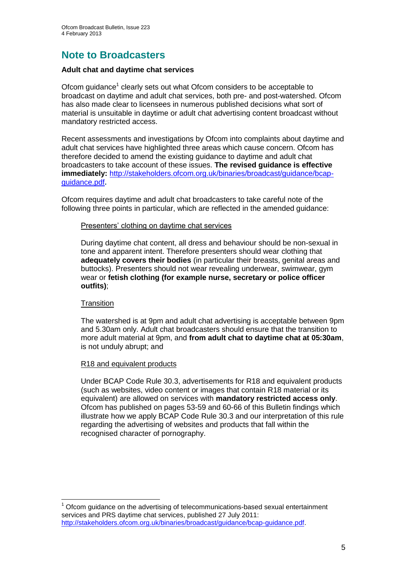# **Note to Broadcasters**

## **Adult chat and daytime chat services**

Ofcom guidance<sup>1</sup> clearly sets out what Ofcom considers to be acceptable to broadcast on daytime and adult chat services, both pre- and post-watershed. Ofcom has also made clear to licensees in numerous published decisions what sort of material is unsuitable in daytime or adult chat advertising content broadcast without mandatory restricted access.

Recent assessments and investigations by Ofcom into complaints about daytime and adult chat services have highlighted three areas which cause concern. Ofcom has therefore decided to amend the existing guidance to daytime and adult chat broadcasters to take account of these issues. **The revised guidance is effective immediately:** [http://stakeholders.ofcom.org.uk/binaries/broadcast/guidance/bcap](http://stakeholders.ofcom.org.uk/binaries/broadcast/guidance/bcap-guidance.pdf)[guidance.pdf](http://stakeholders.ofcom.org.uk/binaries/broadcast/guidance/bcap-guidance.pdf)**.**

Ofcom requires daytime and adult chat broadcasters to take careful note of the following three points in particular, which are reflected in the amended guidance:

## Presenters' clothing on daytime chat services

During daytime chat content, all dress and behaviour should be non-sexual in tone and apparent intent. Therefore presenters should wear clothing that **adequately covers their bodies** (in particular their breasts, genital areas and buttocks). Presenters should not wear revealing underwear, swimwear, gym wear or **fetish clothing (for example nurse, secretary or police officer outfits)**;

## **Transition**

The watershed is at 9pm and adult chat advertising is acceptable between 9pm and 5.30am only. Adult chat broadcasters should ensure that the transition to more adult material at 9pm, and **from adult chat to daytime chat at 05:30am**, is not unduly abrupt; and

## R18 and equivalent products

Under BCAP Code Rule 30.3, advertisements for R18 and equivalent products (such as websites, video content or images that contain R18 material or its equivalent) are allowed on services with **mandatory restricted access only**. Ofcom has published on pages 53-59 and 60-66 of this Bulletin findings which illustrate how we apply BCAP Code Rule 30.3 and our interpretation of this rule regarding the advertising of websites and products that fall within the recognised character of pornography.

<sup>1</sup>  $<sup>1</sup>$  Ofcom guidance on the advertising of telecommunications-based sexual entertainment</sup> services and PRS daytime chat services, published 27 July 2011: [http://stakeholders.ofcom.org.uk/binaries/broadcast/guidance/bcap-guidance.pdf.](http://stakeholders.ofcom.org.uk/binaries/broadcast/guidance/bcap-guidance.pdf)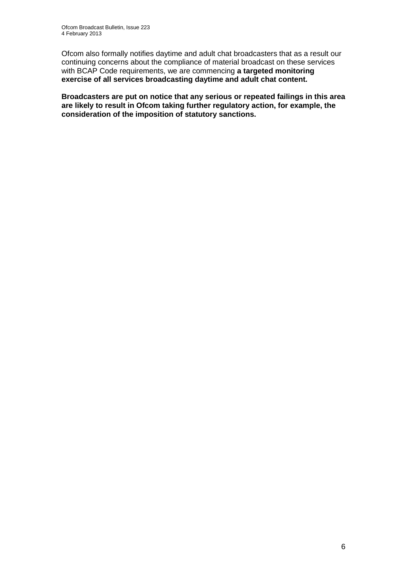Ofcom also formally notifies daytime and adult chat broadcasters that as a result our continuing concerns about the compliance of material broadcast on these services with BCAP Code requirements, we are commencing **a targeted monitoring exercise of all services broadcasting daytime and adult chat content.**

**Broadcasters are put on notice that any serious or repeated failings in this area are likely to result in Ofcom taking further regulatory action, for example, the consideration of the imposition of statutory sanctions.**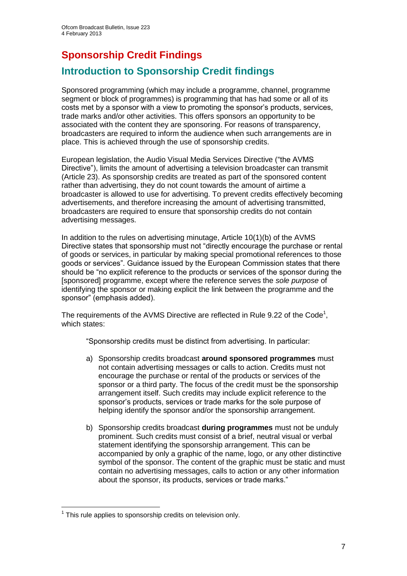# **Sponsorship Credit Findings**

## **Introduction to Sponsorship Credit findings**

Sponsored programming (which may include a programme, channel, programme segment or block of programmes) is programming that has had some or all of its costs met by a sponsor with a view to promoting the sponsor's products, services, trade marks and/or other activities. This offers sponsors an opportunity to be associated with the content they are sponsoring. For reasons of transparency, broadcasters are required to inform the audience when such arrangements are in place. This is achieved through the use of sponsorship credits.

European legislation, the Audio Visual Media Services Directive ("the AVMS Directive"), limits the amount of advertising a television broadcaster can transmit (Article 23). As sponsorship credits are treated as part of the sponsored content rather than advertising, they do not count towards the amount of airtime a broadcaster is allowed to use for advertising. To prevent credits effectively becoming advertisements, and therefore increasing the amount of advertising transmitted, broadcasters are required to ensure that sponsorship credits do not contain advertising messages.

In addition to the rules on advertising minutage, Article 10(1)(b) of the AVMS Directive states that sponsorship must not "directly encourage the purchase or rental of goods or services, in particular by making special promotional references to those goods or services". Guidance issued by the European Commission states that there should be "no explicit reference to the products or services of the sponsor during the [sponsored] programme, except where the reference serves the *sole purpose* of identifying the sponsor or making explicit the link between the programme and the sponsor" (emphasis added).

The requirements of the AVMS Directive are reflected in Rule 9.22 of the Code<sup>1</sup>, which states:

"Sponsorship credits must be distinct from advertising. In particular:

- a) Sponsorship credits broadcast **around sponsored programmes** must not contain advertising messages or calls to action. Credits must not encourage the purchase or rental of the products or services of the sponsor or a third party. The focus of the credit must be the sponsorship arrangement itself. Such credits may include explicit reference to the sponsor's products, services or trade marks for the sole purpose of helping identify the sponsor and/or the sponsorship arrangement.
- b) Sponsorship credits broadcast **during programmes** must not be unduly prominent. Such credits must consist of a brief, neutral visual or verbal statement identifying the sponsorship arrangement. This can be accompanied by only a graphic of the name, logo, or any other distinctive symbol of the sponsor. The content of the graphic must be static and must contain no advertising messages, calls to action or any other information about the sponsor, its products, services or trade marks."

1

 $1$  This rule applies to sponsorship credits on television only.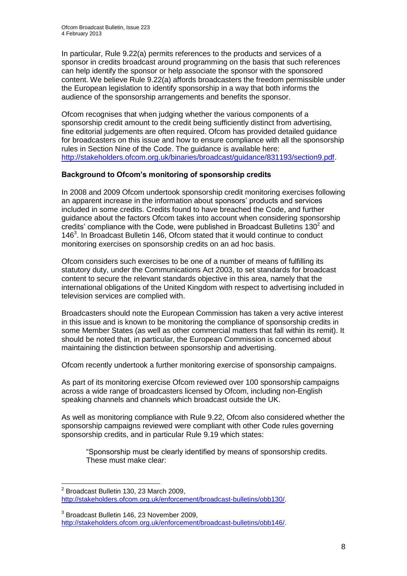In particular, Rule 9.22(a) permits references to the products and services of a sponsor in credits broadcast around programming on the basis that such references can help identify the sponsor or help associate the sponsor with the sponsored content. We believe Rule 9.22(a) affords broadcasters the freedom permissible under the European legislation to identify sponsorship in a way that both informs the audience of the sponsorship arrangements and benefits the sponsor.

Ofcom recognises that when judging whether the various components of a sponsorship credit amount to the credit being sufficiently distinct from advertising, fine editorial judgements are often required. Ofcom has provided detailed guidance for broadcasters on this issue and how to ensure compliance with all the sponsorship rules in Section Nine of the Code. The guidance is available here: [http://stakeholders.ofcom.org.uk/binaries/broadcast/guidance/831193/section9.pdf.](http://stakeholders.ofcom.org.uk/binaries/broadcast/guidance/831193/section9.pdf)

## **Background to Ofcom's monitoring of sponsorship credits**

In 2008 and 2009 Ofcom undertook sponsorship credit monitoring exercises following an apparent increase in the information about sponsors' products and services included in some credits. Credits found to have breached the Code, and further guidance about the factors Ofcom takes into account when considering sponsorship credits' compliance with the Code, were published in Broadcast Bulletins  $130<sup>2</sup>$  and 146<sup>3</sup>. In Broadcast Bulletin 146, Ofcom stated that it would continue to conduct monitoring exercises on sponsorship credits on an ad hoc basis.

Ofcom considers such exercises to be one of a number of means of fulfilling its statutory duty, under the Communications Act 2003, to set standards for broadcast content to secure the relevant standards objective in this area, namely that the international obligations of the United Kingdom with respect to advertising included in television services are complied with.

Broadcasters should note the European Commission has taken a very active interest in this issue and is known to be monitoring the compliance of sponsorship credits in some Member States (as well as other commercial matters that fall within its remit). It should be noted that, in particular, the European Commission is concerned about maintaining the distinction between sponsorship and advertising.

Ofcom recently undertook a further monitoring exercise of sponsorship campaigns.

As part of its monitoring exercise Ofcom reviewed over 100 sponsorship campaigns across a wide range of broadcasters licensed by Ofcom, including non-English speaking channels and channels which broadcast outside the UK.

As well as monitoring compliance with Rule 9.22, Ofcom also considered whether the sponsorship campaigns reviewed were compliant with other Code rules governing sponsorship credits, and in particular Rule 9.19 which states:

"Sponsorship must be clearly identified by means of sponsorship credits. These must make clear:

<sup>1</sup>  $2$  Broadcast Bulletin 130, 23 March 2009, [http://stakeholders.ofcom.org.uk/enforcement/broadcast-bulletins/obb130/.](http://stakeholders.ofcom.org.uk/enforcement/broadcast-bulletins/obb130/)

<sup>3</sup> Broadcast Bulletin 146, 23 November 2009, [http://stakeholders.ofcom.org.uk/enforcement/broadcast-bulletins/obb146/.](http://stakeholders.ofcom.org.uk/enforcement/broadcast-bulletins/obb146/)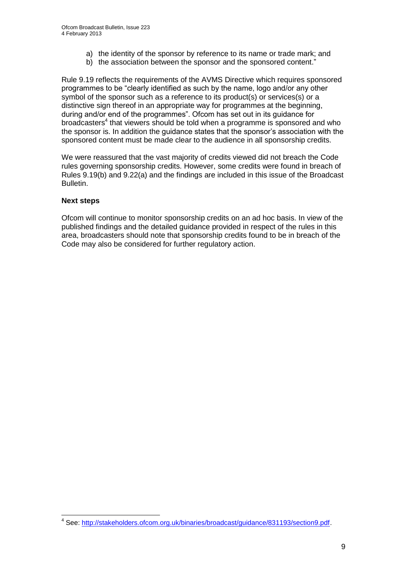- a) the identity of the sponsor by reference to its name or trade mark; and
- b) the association between the sponsor and the sponsored content."

Rule 9.19 reflects the requirements of the AVMS Directive which requires sponsored programmes to be "clearly identified as such by the name, logo and/or any other symbol of the sponsor such as a reference to its product(s) or services(s) or a distinctive sign thereof in an appropriate way for programmes at the beginning, during and/or end of the programmes". Ofcom has set out in its guidance for broadcasters<sup>4</sup> that viewers should be told when a programme is sponsored and who the sponsor is. In addition the guidance states that the sponsor's association with the sponsored content must be made clear to the audience in all sponsorship credits.

We were reassured that the vast majority of credits viewed did not breach the Code rules governing sponsorship credits. However, some credits were found in breach of Rules 9.19(b) and 9.22(a) and the findings are included in this issue of the Broadcast Bulletin.

## **Next steps**

Ofcom will continue to monitor sponsorship credits on an ad hoc basis. In view of the published findings and the detailed guidance provided in respect of the rules in this area, broadcasters should note that sponsorship credits found to be in breach of the Code may also be considered for further regulatory action.

 4 See: [http://stakeholders.ofcom.org.uk/binaries/broadcast/guidance/831193/section9.pdf.](http://stakeholders.ofcom.org.uk/binaries/broadcast/guidance/831193/section9.pdf)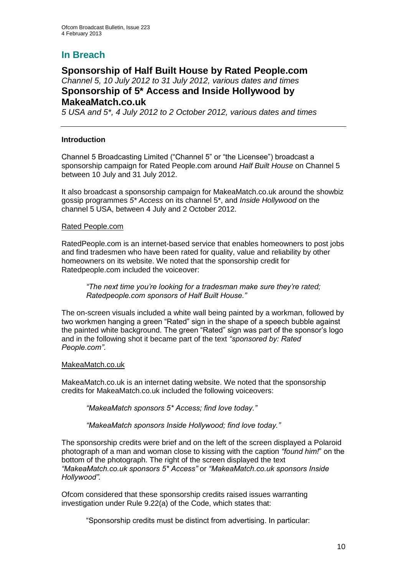## **In Breach**

## **Sponsorship of Half Built House by Rated People.com** *Channel 5, 10 July 2012 to 31 July 2012, various dates and times* **Sponsorship of 5\* Access and Inside Hollywood by MakeaMatch.co.uk**

*5 USA and 5\*, 4 July 2012 to 2 October 2012, various dates and times*

## **Introduction**

Channel 5 Broadcasting Limited ("Channel 5" or "the Licensee") broadcast a sponsorship campaign for Rated People.com around *Half Built House* on Channel 5 between 10 July and 31 July 2012.

It also broadcast a sponsorship campaign for MakeaMatch.co.uk around the showbiz gossip programmes *5\* Access* on its channel 5\*, and *Inside Hollywood* on the channel 5 USA, between 4 July and 2 October 2012.

## Rated People.com

RatedPeople.com is an internet-based service that enables homeowners to post jobs and find tradesmen who have been rated for quality, value and reliability by other homeowners on its website. We noted that the sponsorship credit for Ratedpeople.com included the voiceover:

*"The next time you're looking for a tradesman make sure they're rated; Ratedpeople.com sponsors of Half Built House."*

The on-screen visuals included a white wall being painted by a workman, followed by two workmen hanging a green "Rated" sign in the shape of a speech bubble against the painted white background. The green "Rated" sign was part of the sponsor's logo and in the following shot it became part of the text *"sponsored by: Rated People.com"*.

#### MakeaMatch.co.uk

MakeaMatch.co.uk is an internet dating website. We noted that the sponsorship credits for MakeaMatch.co.uk included the following voiceovers:

*"MakeaMatch sponsors 5\* Access; find love today."*

*"MakeaMatch sponsors Inside Hollywood; find love today."*

The sponsorship credits were brief and on the left of the screen displayed a Polaroid photograph of a man and woman close to kissing with the caption *"found him!*" on the bottom of the photograph. The right of the screen displayed the text *"MakeaMatch.co.uk sponsors 5\* Access"* or *"MakeaMatch.co.uk sponsors Inside Hollywood".*

Ofcom considered that these sponsorship credits raised issues warranting investigation under Rule 9.22(a) of the Code, which states that:

"Sponsorship credits must be distinct from advertising. In particular: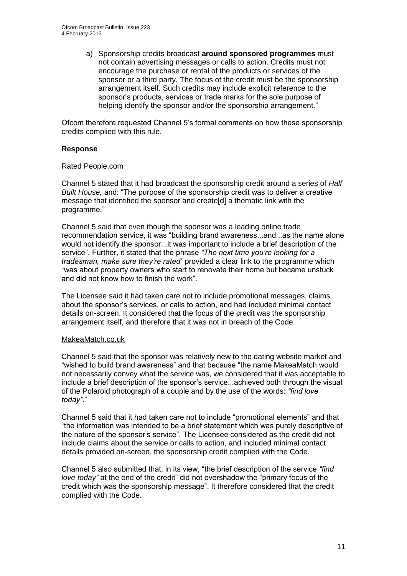a) Sponsorship credits broadcast **around sponsored programmes** must not contain advertising messages or calls to action. Credits must not encourage the purchase or rental of the products or services of the sponsor or a third party. The focus of the credit must be the sponsorship arrangement itself. Such credits may include explicit reference to the sponsor's products, services or trade marks for the sole purpose of helping identify the sponsor and/or the sponsorship arrangement."

Ofcom therefore requested Channel 5's formal comments on how these sponsorship credits complied with this rule.

## **Response**

## Rated People.com

Channel 5 stated that it had broadcast the sponsorship credit around a series of *Half Built House,* and: "The purpose of the sponsorship credit was to deliver a creative message that identified the sponsor and create[d] a thematic link with the programme."

Channel 5 said that even though the sponsor was a leading online trade recommendation service, it was "building brand awareness...and...as the name alone would not identify the sponsor...it was important to include a brief description of the service". Further, it stated that the phrase *"The next time you're looking for a tradesman, make sure they're rated"* provided a clear link to the programme which "was about property owners who start to renovate their home but became unstuck and did not know how to finish the work".

The Licensee said it had taken care not to include promotional messages, claims about the sponsor's services, or calls to action, and had included minimal contact details on-screen. It considered that the focus of the credit was the sponsorship arrangement itself, and therefore that it was not in breach of the Code.

#### MakeaMatch.co.uk

Channel 5 said that the sponsor was relatively new to the dating website market and "wished to build brand awareness" and that because "the name MakeaMatch would not necessarily convey what the service was, we considered that it was acceptable to include a brief description of the sponsor's service...achieved both through the visual of the Polaroid photograph of a couple and by the use of the words: *"find love today"*."

Channel 5 said that it had taken care not to include "promotional elements" and that "the information was intended to be a brief statement which was purely descriptive of the nature of the sponsor's service". The Licensee considered as the credit did not include claims about the service or calls to action, and included minimal contact details provided on-screen, the sponsorship credit complied with the Code.

Channel 5 also submitted that, in its view, "the brief description of the service *"find love today"* at the end of the credit" did not overshadow the "primary focus of the credit which was the sponsorship message". It therefore considered that the credit complied with the Code.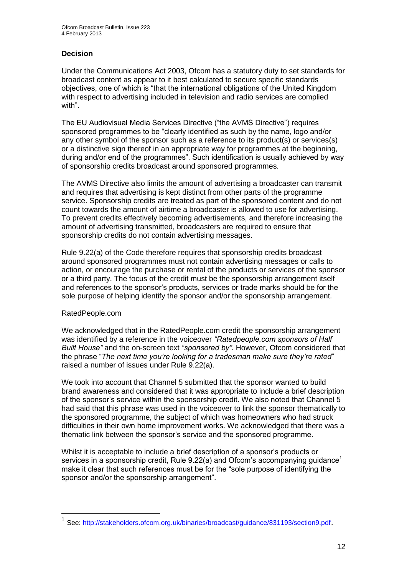## **Decision**

Under the Communications Act 2003, Ofcom has a statutory duty to set standards for broadcast content as appear to it best calculated to secure specific standards objectives, one of which is "that the international obligations of the United Kingdom with respect to advertising included in television and radio services are complied with".

The EU Audiovisual Media Services Directive ("the AVMS Directive") requires sponsored programmes to be "clearly identified as such by the name, logo and/or any other symbol of the sponsor such as a reference to its product(s) or services(s) or a distinctive sign thereof in an appropriate way for programmes at the beginning, during and/or end of the programmes". Such identification is usually achieved by way of sponsorship credits broadcast around sponsored programmes.

The AVMS Directive also limits the amount of advertising a broadcaster can transmit and requires that advertising is kept distinct from other parts of the programme service. Sponsorship credits are treated as part of the sponsored content and do not count towards the amount of airtime a broadcaster is allowed to use for advertising. To prevent credits effectively becoming advertisements, and therefore increasing the amount of advertising transmitted, broadcasters are required to ensure that sponsorship credits do not contain advertising messages.

Rule 9.22(a) of the Code therefore requires that sponsorship credits broadcast around sponsored programmes must not contain advertising messages or calls to action, or encourage the purchase or rental of the products or services of the sponsor or a third party. The focus of the credit must be the sponsorship arrangement itself and references to the sponsor's products, services or trade marks should be for the sole purpose of helping identify the sponsor and/or the sponsorship arrangement.

## RatedPeople.com

1

We acknowledged that in the RatedPeople.com credit the sponsorship arrangement was identified by a reference in the voiceover *"Ratedpeople.com sponsors of Half Built House"* and the on-screen text *"sponsored by"*. However, Ofcom considered that the phrase "*The next time you're looking for a tradesman make sure they're rated*" raised a number of issues under Rule 9.22(a).

We took into account that Channel 5 submitted that the sponsor wanted to build brand awareness and considered that it was appropriate to include a brief description of the sponsor's service within the sponsorship credit. We also noted that Channel 5 had said that this phrase was used in the voiceover to link the sponsor thematically to the sponsored programme, the subject of which was homeowners who had struck difficulties in their own home improvement works. We acknowledged that there was a thematic link between the sponsor's service and the sponsored programme.

Whilst it is acceptable to include a brief description of a sponsor's products or services in a sponsorship credit, Rule  $9.22(a)$  and Ofcom's accompanying guidance<sup>1</sup> make it clear that such references must be for the "sole purpose of identifying the sponsor and/or the sponsorship arrangement".

<sup>1</sup> See:<http://stakeholders.ofcom.org.uk/binaries/broadcast/guidance/831193/section9.pdf>.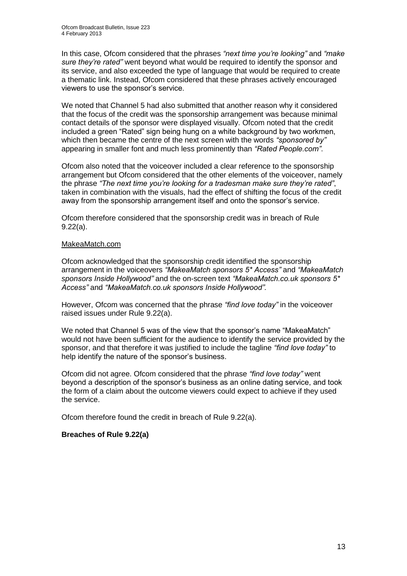In this case, Ofcom considered that the phrases *"next time you're looking"* and *"make sure they're rated"* went beyond what would be required to identify the sponsor and its service, and also exceeded the type of language that would be required to create a thematic link. Instead, Ofcom considered that these phrases actively encouraged viewers to use the sponsor's service.

We noted that Channel 5 had also submitted that another reason why it considered that the focus of the credit was the sponsorship arrangement was because minimal contact details of the sponsor were displayed visually. Ofcom noted that the credit included a green "Rated" sign being hung on a white background by two workmen, which then became the centre of the next screen with the words *"sponsored by"* appearing in smaller font and much less prominently than *"Rated People.com"*.

Ofcom also noted that the voiceover included a clear reference to the sponsorship arrangement but Ofcom considered that the other elements of the voiceover, namely the phrase *"The next time you're looking for a tradesman make sure they're rated"*, taken in combination with the visuals, had the effect of shifting the focus of the credit away from the sponsorship arrangement itself and onto the sponsor's service.

Ofcom therefore considered that the sponsorship credit was in breach of Rule 9.22(a).

## MakeaMatch.com

Ofcom acknowledged that the sponsorship credit identified the sponsorship arrangement in the voiceovers *"MakeaMatch sponsors 5\* Access"* and *"MakeaMatch sponsors Inside Hollywood"* and the on-screen text *"MakeaMatch.co.uk sponsors 5\* Access"* and *"MakeaMatch.co.uk sponsors Inside Hollywood".* 

However, Ofcom was concerned that the phrase *"find love today"* in the voiceover raised issues under Rule 9.22(a).

We noted that Channel 5 was of the view that the sponsor's name "MakeaMatch" would not have been sufficient for the audience to identify the service provided by the sponsor, and that therefore it was justified to include the tagline *"find love today"* to help identify the nature of the sponsor's business.

Ofcom did not agree. Ofcom considered that the phrase *"find love today"* went beyond a description of the sponsor's business as an online dating service, and took the form of a claim about the outcome viewers could expect to achieve if they used the service.

Ofcom therefore found the credit in breach of Rule 9.22(a).

## **Breaches of Rule 9.22(a)**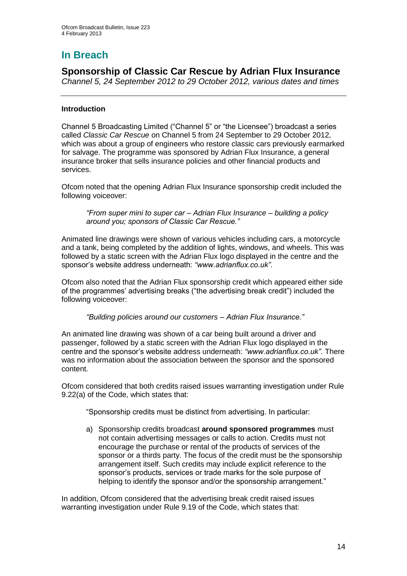# **In Breach**

**Sponsorship of Classic Car Rescue by Adrian Flux Insurance** *Channel 5, 24 September 2012 to 29 October 2012, various dates and times*

## **Introduction**

Channel 5 Broadcasting Limited ("Channel 5" or "the Licensee") broadcast a series called *Classic Car Rescue* on Channel 5 from 24 September to 29 October 2012, which was about a group of engineers who restore classic cars previously earmarked for salvage. The programme was sponsored by Adrian Flux Insurance, a general insurance broker that sells insurance policies and other financial products and services.

Ofcom noted that the opening Adrian Flux Insurance sponsorship credit included the following voiceover:

*"From super mini to super car – Adrian Flux Insurance – building a policy around you; sponsors of Classic Car Rescue."*

Animated line drawings were shown of various vehicles including cars, a motorcycle and a tank, being completed by the addition of lights, windows, and wheels. This was followed by a static screen with the Adrian Flux logo displayed in the centre and the sponsor's website address underneath: *"www.adrianflux.co.uk"*.

Ofcom also noted that the Adrian Flux sponsorship credit which appeared either side of the programmes' advertising breaks ("the advertising break credit") included the following voiceover:

*"Building policies around our customers – Adrian Flux Insurance."*

An animated line drawing was shown of a car being built around a driver and passenger, followed by a static screen with the Adrian Flux logo displayed in the centre and the sponsor's website address underneath: *"www.adrianflux.co.uk"*. There was no information about the association between the sponsor and the sponsored content.

Ofcom considered that both credits raised issues warranting investigation under Rule 9.22(a) of the Code, which states that:

"Sponsorship credits must be distinct from advertising. In particular:

a) Sponsorship credits broadcast **around sponsored programmes** must not contain advertising messages or calls to action. Credits must not encourage the purchase or rental of the products of services of the sponsor or a thirds party. The focus of the credit must be the sponsorship arrangement itself. Such credits may include explicit reference to the sponsor's products, services or trade marks for the sole purpose of helping to identify the sponsor and/or the sponsorship arrangement."

In addition, Ofcom considered that the advertising break credit raised issues warranting investigation under Rule 9.19 of the Code, which states that: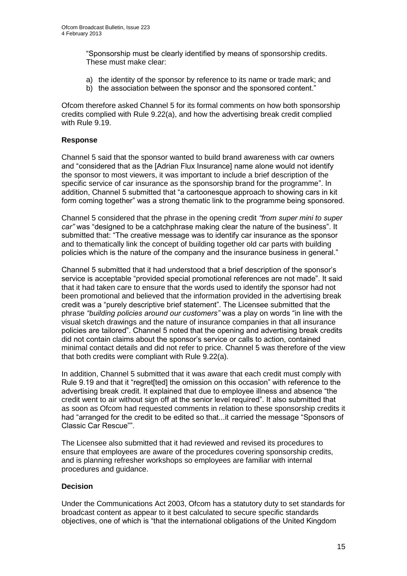"Sponsorship must be clearly identified by means of sponsorship credits. These must make clear:

- a) the identity of the sponsor by reference to its name or trade mark; and
- b) the association between the sponsor and the sponsored content."

Ofcom therefore asked Channel 5 for its formal comments on how both sponsorship credits complied with Rule 9.22(a), and how the advertising break credit complied with Rule 9.19.

## **Response**

Channel 5 said that the sponsor wanted to build brand awareness with car owners and "considered that as the [Adrian Flux Insurance] name alone would not identify the sponsor to most viewers, it was important to include a brief description of the specific service of car insurance as the sponsorship brand for the programme". In addition, Channel 5 submitted that "a cartoonesque approach to showing cars in kit form coming together" was a strong thematic link to the programme being sponsored.

Channel 5 considered that the phrase in the opening credit *"from super mini to super car"* was "designed to be a catchphrase making clear the nature of the business". It submitted that: "The creative message was to identify car insurance as the sponsor and to thematically link the concept of building together old car parts with building policies which is the nature of the company and the insurance business in general."

Channel 5 submitted that it had understood that a brief description of the sponsor's service is acceptable "provided special promotional references are not made". It said that it had taken care to ensure that the words used to identify the sponsor had not been promotional and believed that the information provided in the advertising break credit was a "purely descriptive brief statement". The Licensee submitted that the phrase *"building policies around our customers"* was a play on words "in line with the visual sketch drawings and the nature of insurance companies in that all insurance policies are tailored". Channel 5 noted that the opening and advertising break credits did not contain claims about the sponsor's service or calls to action, contained minimal contact details and did not refer to price. Channel 5 was therefore of the view that both credits were compliant with Rule 9.22(a).

In addition, Channel 5 submitted that it was aware that each credit must comply with Rule 9.19 and that it "regret[ted] the omission on this occasion" with reference to the advertising break credit. It explained that due to employee illness and absence "the credit went to air without sign off at the senior level required". It also submitted that as soon as Ofcom had requested comments in relation to these sponsorship credits it had "arranged for the credit to be edited so that...it carried the message "Sponsors of Classic Car Rescue"".

The Licensee also submitted that it had reviewed and revised its procedures to ensure that employees are aware of the procedures covering sponsorship credits, and is planning refresher workshops so employees are familiar with internal procedures and guidance.

## **Decision**

Under the Communications Act 2003, Ofcom has a statutory duty to set standards for broadcast content as appear to it best calculated to secure specific standards objectives, one of which is "that the international obligations of the United Kingdom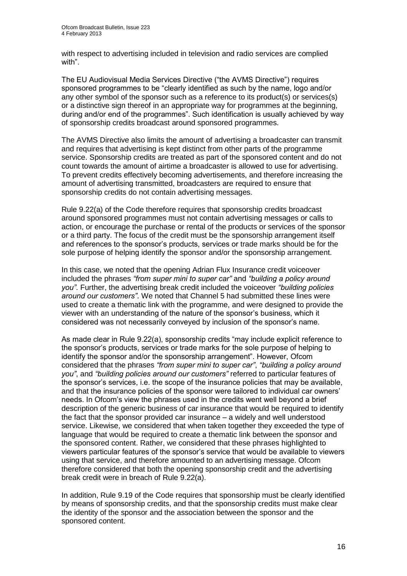with respect to advertising included in television and radio services are complied with".

The EU Audiovisual Media Services Directive ("the AVMS Directive") requires sponsored programmes to be "clearly identified as such by the name, logo and/or any other symbol of the sponsor such as a reference to its product(s) or services(s) or a distinctive sign thereof in an appropriate way for programmes at the beginning, during and/or end of the programmes". Such identification is usually achieved by way of sponsorship credits broadcast around sponsored programmes.

The AVMS Directive also limits the amount of advertising a broadcaster can transmit and requires that advertising is kept distinct from other parts of the programme service. Sponsorship credits are treated as part of the sponsored content and do not count towards the amount of airtime a broadcaster is allowed to use for advertising. To prevent credits effectively becoming advertisements, and therefore increasing the amount of advertising transmitted, broadcasters are required to ensure that sponsorship credits do not contain advertising messages.

Rule 9.22(a) of the Code therefore requires that sponsorship credits broadcast around sponsored programmes must not contain advertising messages or calls to action, or encourage the purchase or rental of the products or services of the sponsor or a third party. The focus of the credit must be the sponsorship arrangement itself and references to the sponsor's products, services or trade marks should be for the sole purpose of helping identify the sponsor and/or the sponsorship arrangement.

In this case, we noted that the opening Adrian Flux Insurance credit voiceover included the phrases *"from super mini to super car"* and *"building a policy around you"*. Further, the advertising break credit included the voiceover *"building policies around our customers"*. We noted that Channel 5 had submitted these lines were used to create a thematic link with the programme, and were designed to provide the viewer with an understanding of the nature of the sponsor's business, which it considered was not necessarily conveyed by inclusion of the sponsor's name.

As made clear in Rule 9.22(a), sponsorship credits "may include explicit reference to the sponsor's products, services or trade marks for the sole purpose of helping to identify the sponsor and/or the sponsorship arrangement". However, Ofcom considered that the phrases *"from super mini to super car"*, *"building a policy around you"*, and *"building policies around our customers"* referred to particular features of the sponsor's services, i.e. the scope of the insurance policies that may be available, and that the insurance policies of the sponsor were tailored to individual car owners' needs. In Ofcom's view the phrases used in the credits went well beyond a brief description of the generic business of car insurance that would be required to identify the fact that the sponsor provided car insurance – a widely and well understood service. Likewise, we considered that when taken together they exceeded the type of language that would be required to create a thematic link between the sponsor and the sponsored content. Rather, we considered that these phrases highlighted to viewers particular features of the sponsor's service that would be available to viewers using that service, and therefore amounted to an advertising message. Ofcom therefore considered that both the opening sponsorship credit and the advertising break credit were in breach of Rule 9.22(a).

In addition, Rule 9.19 of the Code requires that sponsorship must be clearly identified by means of sponsorship credits, and that the sponsorship credits must make clear the identity of the sponsor and the association between the sponsor and the sponsored content.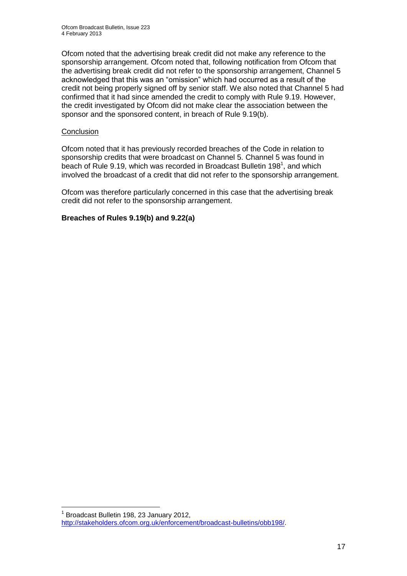Ofcom noted that the advertising break credit did not make any reference to the sponsorship arrangement. Ofcom noted that, following notification from Ofcom that the advertising break credit did not refer to the sponsorship arrangement, Channel 5 acknowledged that this was an "omission" which had occurred as a result of the credit not being properly signed off by senior staff. We also noted that Channel 5 had confirmed that it had since amended the credit to comply with Rule 9.19. However, the credit investigated by Ofcom did not make clear the association between the sponsor and the sponsored content, in breach of Rule 9.19(b).

## **Conclusion**

Ofcom noted that it has previously recorded breaches of the Code in relation to sponsorship credits that were broadcast on Channel 5. Channel 5 was found in beach of Rule 9.19, which was recorded in Broadcast Bulletin 198<sup>1</sup>, and which involved the broadcast of a credit that did not refer to the sponsorship arrangement.

Ofcom was therefore particularly concerned in this case that the advertising break credit did not refer to the sponsorship arrangement.

## **Breaches of Rules 9.19(b) and 9.22(a)**

<sup>1</sup> 1 Broadcast Bulletin 198, 23 January 2012, [http://stakeholders.ofcom.org.uk/enforcement/broadcast-bulletins/obb198/.](http://stakeholders.ofcom.org.uk/enforcement/broadcast-bulletins/obb198/)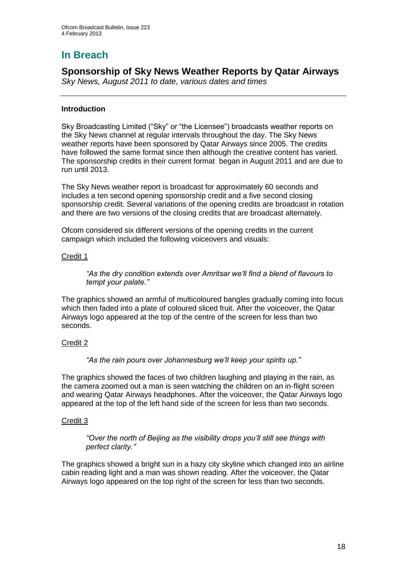# **In Breach**

**Sponsorship of Sky News Weather Reports by Qatar Airways**

*Sky News, August 2011 to date, various dates and times*

## **Introduction**

Sky Broadcasting Limited ("Sky" or "the Licensee") broadcasts weather reports on the Sky News channel at regular intervals throughout the day. The Sky News weather reports have been sponsored by Qatar Airways since 2005. The credits have followed the same format since then although the creative content has varied. The sponsorship credits in their current format began in August 2011 and are due to run until 2013.

The Sky News weather report is broadcast for approximately 60 seconds and includes a ten second opening sponsorship credit and a five second closing sponsorship credit. Several variations of the opening credits are broadcast in rotation and there are two versions of the closing credits that are broadcast alternately.

Ofcom considered six different versions of the opening credits in the current campaign which included the following voiceovers and visuals:

## Credit 1

*"As the dry condition extends over Amritsar we'll find a blend of flavours to tempt your palate."*

The graphics showed an armful of multicoloured bangles gradually coming into focus which then faded into a plate of coloured sliced fruit. After the voiceover, the Qatar Airways logo appeared at the top of the centre of the screen for less than two seconds.

## Credit 2

*"As the rain pours over Johannesburg we'll keep your spirits up."*

The graphics showed the faces of two children laughing and playing in the rain, as the camera zoomed out a man is seen watching the children on an in-flight screen and wearing Qatar Airways headphones. After the voiceover, the Qatar Airways logo appeared at the top of the left hand side of the screen for less than two seconds.

## Credit 3

*"Over the north of Beijing as the visibility drops you'll still see things with perfect clarity."*

The graphics showed a bright sun in a hazy city skyline which changed into an airline cabin reading light and a man was shown reading. After the voiceover, the Qatar Airways logo appeared on the top right of the screen for less than two seconds.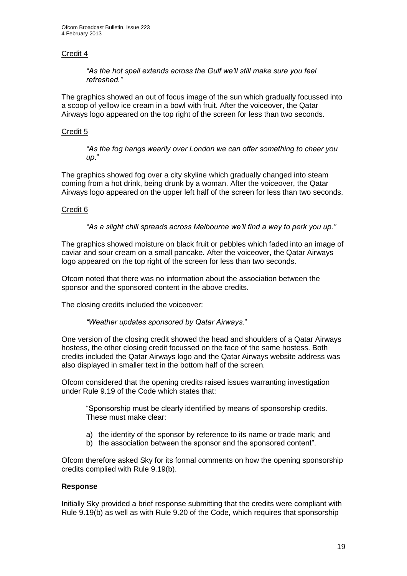## Credit 4

*"As the hot spell extends across the Gulf we'll still make sure you feel refreshed."*

The graphics showed an out of focus image of the sun which gradually focussed into a scoop of yellow ice cream in a bowl with fruit. After the voiceover, the Qatar Airways logo appeared on the top right of the screen for less than two seconds.

## Credit 5

*"As the fog hangs wearily over London we can offer something to cheer you up*."

The graphics showed fog over a city skyline which gradually changed into steam coming from a hot drink, being drunk by a woman. After the voiceover, the Qatar Airways logo appeared on the upper left half of the screen for less than two seconds.

## Credit 6

*"As a slight chill spreads across Melbourne we'll find a way to perk you up."*

The graphics showed moisture on black fruit or pebbles which faded into an image of caviar and sour cream on a small pancake. After the voiceover, the Qatar Airways logo appeared on the top right of the screen for less than two seconds.

Ofcom noted that there was no information about the association between the sponsor and the sponsored content in the above credits.

The closing credits included the voiceover:

#### *"Weather updates sponsored by Qatar Airways*."

One version of the closing credit showed the head and shoulders of a Qatar Airways hostess, the other closing credit focussed on the face of the same hostess. Both credits included the Qatar Airways logo and the Qatar Airways website address was also displayed in smaller text in the bottom half of the screen.

Ofcom considered that the opening credits raised issues warranting investigation under Rule 9.19 of the Code which states that:

"Sponsorship must be clearly identified by means of sponsorship credits. These must make clear:

- a) the identity of the sponsor by reference to its name or trade mark; and
- b) the association between the sponsor and the sponsored content".

Ofcom therefore asked Sky for its formal comments on how the opening sponsorship credits complied with Rule 9.19(b).

#### **Response**

Initially Sky provided a brief response submitting that the credits were compliant with Rule 9.19(b) as well as with Rule 9.20 of the Code, which requires that sponsorship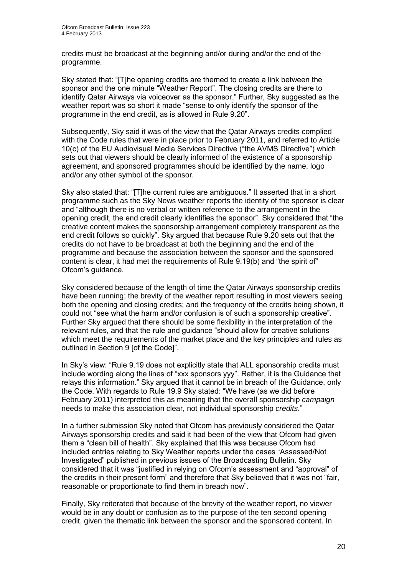credits must be broadcast at the beginning and/or during and/or the end of the programme.

Sky stated that: "[T]he opening credits are themed to create a link between the sponsor and the one minute "Weather Report". The closing credits are there to identify Qatar Airways via voiceover as the sponsor." Further, Sky suggested as the weather report was so short it made "sense to only identify the sponsor of the programme in the end credit, as is allowed in Rule 9.20".

Subsequently, Sky said it was of the view that the Qatar Airways credits complied with the Code rules that were in place prior to February 2011, and referred to Article 10(c) of the EU Audiovisual Media Services Directive ("the AVMS Directive") which sets out that viewers should be clearly informed of the existence of a sponsorship agreement, and sponsored programmes should be identified by the name, logo and/or any other symbol of the sponsor.

Sky also stated that: "[T]he current rules are ambiguous." It asserted that in a short programme such as the Sky News weather reports the identity of the sponsor is clear and "although there is no verbal or written reference to the arrangement in the opening credit, the end credit clearly identifies the sponsor". Sky considered that "the creative content makes the sponsorship arrangement completely transparent as the end credit follows so quickly". Sky argued that because Rule 9.20 sets out that the credits do not have to be broadcast at both the beginning and the end of the programme and because the association between the sponsor and the sponsored content is clear, it had met the requirements of Rule 9.19(b) and "the spirit of" Ofcom's guidance.

Sky considered because of the length of time the Qatar Airways sponsorship credits have been running; the brevity of the weather report resulting in most viewers seeing both the opening and closing credits; and the frequency of the credits being shown, it could not "see what the harm and/or confusion is of such a sponsorship creative". Further Sky argued that there should be some flexibility in the interpretation of the relevant rules, and that the rule and guidance "should allow for creative solutions which meet the requirements of the market place and the key principles and rules as outlined in Section 9 [of the Code]".

In Sky's view: "Rule 9.19 does not explicitly state that ALL sponsorship credits must include wording along the lines of "xxx sponsors yyy". Rather, it is the Guidance that relays this information." Sky argued that it cannot be in breach of the Guidance, only the Code. With regards to Rule 19.9 Sky stated: "We have (as we did before February 2011) interpreted this as meaning that the overall sponsorship *campaign* needs to make this association clear, not individual sponsorship *credits*."

In a further submission Sky noted that Ofcom has previously considered the Qatar Airways sponsorship credits and said it had been of the view that Ofcom had given them a "clean bill of health". Sky explained that this was because Ofcom had included entries relating to Sky Weather reports under the cases "Assessed/Not Investigated" published in previous issues of the Broadcasting Bulletin. Sky considered that it was "justified in relying on Ofcom's assessment and "approval" of the credits in their present form" and therefore that Sky believed that it was not "fair, reasonable or proportionate to find them in breach now".

Finally, Sky reiterated that because of the brevity of the weather report, no viewer would be in any doubt or confusion as to the purpose of the ten second opening credit, given the thematic link between the sponsor and the sponsored content. In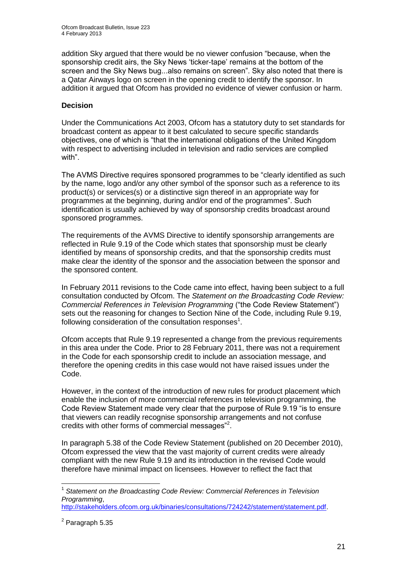addition Sky argued that there would be no viewer confusion "because, when the sponsorship credit airs, the Sky News 'ticker-tape' remains at the bottom of the screen and the Sky News bug...also remains on screen". Sky also noted that there is a Qatar Airways logo on screen in the opening credit to identify the sponsor. In addition it argued that Ofcom has provided no evidence of viewer confusion or harm.

## **Decision**

Under the Communications Act 2003, Ofcom has a statutory duty to set standards for broadcast content as appear to it best calculated to secure specific standards objectives, one of which is "that the international obligations of the United Kingdom with respect to advertising included in television and radio services are complied with".

The AVMS Directive requires sponsored programmes to be "clearly identified as such by the name, logo and/or any other symbol of the sponsor such as a reference to its product(s) or services(s) or a distinctive sign thereof in an appropriate way for programmes at the beginning, during and/or end of the programmes". Such identification is usually achieved by way of sponsorship credits broadcast around sponsored programmes.

The requirements of the AVMS Directive to identify sponsorship arrangements are reflected in Rule 9.19 of the Code which states that sponsorship must be clearly identified by means of sponsorship credits, and that the sponsorship credits must make clear the identity of the sponsor and the association between the sponsor and the sponsored content.

In February 2011 revisions to the Code came into effect, having been subject to a full consultation conducted by Ofcom. The *Statement on the Broadcasting Code Review: Commercial References in Television Programming* ("the Code Review Statement") sets out the reasoning for changes to Section Nine of the Code, including Rule 9.19, following consideration of the consultation responses $^1$ .

Ofcom accepts that Rule 9.19 represented a change from the previous requirements in this area under the Code. Prior to 28 February 2011, there was not a requirement in the Code for each sponsorship credit to include an association message, and therefore the opening credits in this case would not have raised issues under the Code.

However, in the context of the introduction of new rules for product placement which enable the inclusion of more commercial references in television programming, the Code Review Statement made very clear that the purpose of Rule 9.19 "is to ensure that viewers can readily recognise sponsorship arrangements and not confuse credits with other forms of commercial messages"<sup>2</sup>.

In paragraph 5.38 of the Code Review Statement (published on 20 December 2010), Ofcom expressed the view that the vast majority of current credits were already compliant with the new Rule 9.19 and its introduction in the revised Code would therefore have minimal impact on licensees. However to reflect the fact that

1

<sup>&</sup>lt;sup>1</sup> Statement on the Broadcasting Code Review: Commercial References in Television *Programming*,

[http://stakeholders.ofcom.org.uk/binaries/consultations/724242/statement/statement.pdf.](http://stakeholders.ofcom.org.uk/binaries/consultations/724242/statement/statement.pdf)

<sup>&</sup>lt;sup>2</sup> Paragraph 5.35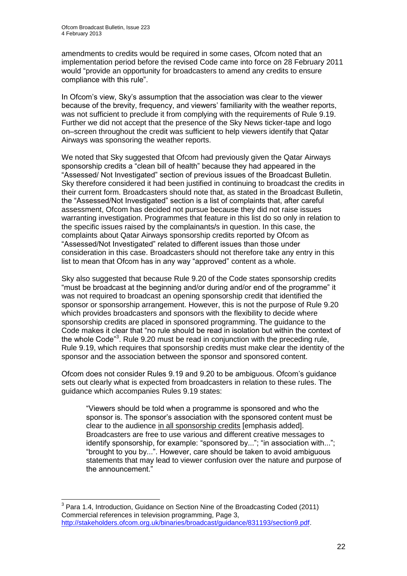amendments to credits would be required in some cases, Ofcom noted that an implementation period before the revised Code came into force on 28 February 2011 would "provide an opportunity for broadcasters to amend any credits to ensure compliance with this rule".

In Ofcom's view, Sky's assumption that the association was clear to the viewer because of the brevity, frequency, and viewers' familiarity with the weather reports, was not sufficient to preclude it from complying with the requirements of Rule 9.19. Further we did not accept that the presence of the Sky News ticker-tape and logo on–screen throughout the credit was sufficient to help viewers identify that Qatar Airways was sponsoring the weather reports.

We noted that Sky suggested that Ofcom had previously given the Qatar Airways sponsorship credits a "clean bill of health" because they had appeared in the "Assessed/ Not Investigated" section of previous issues of the Broadcast Bulletin. Sky therefore considered it had been justified in continuing to broadcast the credits in their current form. Broadcasters should note that, as stated in the Broadcast Bulletin, the "Assessed/Not Investigated" section is a list of complaints that, after careful assessment, Ofcom has decided not pursue because they did not raise issues warranting investigation. Programmes that feature in this list do so only in relation to the specific issues raised by the complainants/s in question. In this case, the complaints about Qatar Airways sponsorship credits reported by Ofcom as "Assessed/Not Investigated" related to different issues than those under consideration in this case. Broadcasters should not therefore take any entry in this list to mean that Ofcom has in any way "approved" content as a whole.

Sky also suggested that because Rule 9.20 of the Code states sponsorship credits "must be broadcast at the beginning and/or during and/or end of the programme" it was not required to broadcast an opening sponsorship credit that identified the sponsor or sponsorship arrangement. However, this is not the purpose of Rule 9.20 which provides broadcasters and sponsors with the flexibility to decide where sponsorship credits are placed in sponsored programming. The guidance to the Code makes it clear that "no rule should be read in isolation but within the context of the whole Code<sup>33</sup>. Rule 9.20 must be read in conjunction with the preceding rule, Rule 9.19, which requires that sponsorship credits must make clear the identity of the sponsor and the association between the sponsor and sponsored content.

Ofcom does not consider Rules 9.19 and 9.20 to be ambiguous. Ofcom's guidance sets out clearly what is expected from broadcasters in relation to these rules. The guidance which accompanies Rules 9.19 states:

"Viewers should be told when a programme is sponsored and who the sponsor is. The sponsor's association with the sponsored content must be clear to the audience in all sponsorship credits [emphasis added]. Broadcasters are free to use various and different creative messages to identify sponsorship, for example: "sponsored by..."; "in association with..."; "brought to you by...". However, care should be taken to avoid ambiguous statements that may lead to viewer confusion over the nature and purpose of the announcement."

<sup>1</sup>  $3$  Para 1.4, Introduction, Guidance on Section Nine of the Broadcasting Coded (2011) Commercial references in television programming, Page 3, [http://stakeholders.ofcom.org.uk/binaries/broadcast/guidance/831193/section9.pdf.](http://stakeholders.ofcom.org.uk/binaries/broadcast/guidance/831193/section9.pdf)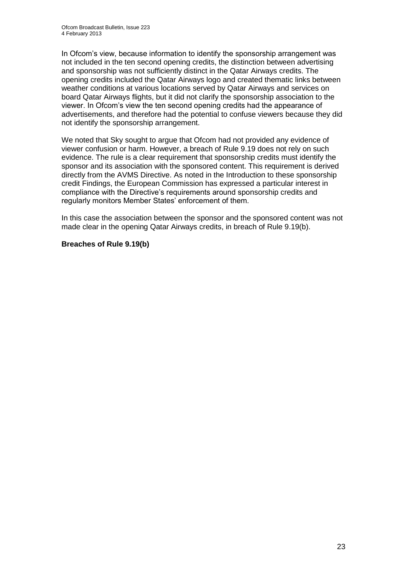In Ofcom's view, because information to identify the sponsorship arrangement was not included in the ten second opening credits, the distinction between advertising and sponsorship was not sufficiently distinct in the Qatar Airways credits. The opening credits included the Qatar Airways logo and created thematic links between weather conditions at various locations served by Qatar Airways and services on board Qatar Airways flights, but it did not clarify the sponsorship association to the viewer. In Ofcom's view the ten second opening credits had the appearance of advertisements, and therefore had the potential to confuse viewers because they did not identify the sponsorship arrangement.

We noted that Sky sought to argue that Ofcom had not provided any evidence of viewer confusion or harm. However, a breach of Rule 9.19 does not rely on such evidence. The rule is a clear requirement that sponsorship credits must identify the sponsor and its association with the sponsored content. This requirement is derived directly from the AVMS Directive. As noted in the Introduction to these sponsorship credit Findings, the European Commission has expressed a particular interest in compliance with the Directive's requirements around sponsorship credits and regularly monitors Member States' enforcement of them.

In this case the association between the sponsor and the sponsored content was not made clear in the opening Qatar Airways credits, in breach of Rule 9.19(b).

## **Breaches of Rule 9.19(b)**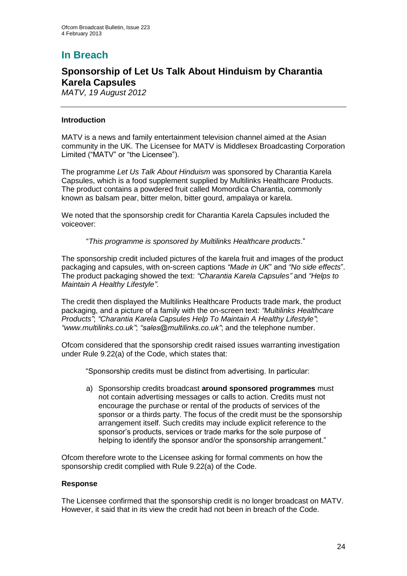# **In Breach**

## **Sponsorship of Let Us Talk About Hinduism by Charantia Karela Capsules**

*MATV, 19 August 2012* 

## **Introduction**

MATV is a news and family entertainment television channel aimed at the Asian community in the UK. The Licensee for MATV is Middlesex Broadcasting Corporation Limited ("MATV" or "the Licensee").

The programme *Let Us Talk About Hinduism* was sponsored by Charantia Karela Capsules, which is a food supplement supplied by Multilinks Healthcare Products. The product contains a powdered fruit called Momordica Charantia, commonly known as balsam pear, bitter melon, bitter gourd, ampalaya or karela.

We noted that the sponsorship credit for Charantia Karela Capsules included the voiceover:

"*This programme is sponsored by Multilinks Healthcare products*."

The sponsorship credit included pictures of the karela fruit and images of the product packaging and capsules, with on-screen captions *"Made in UK*" and *"No side effects*". The product packaging showed the text: *"Charantia Karela Capsules"* and *"Helps to Maintain A Healthy Lifestyle"*.

The credit then displayed the Multilinks Healthcare Products trade mark, the product packaging, and a picture of a family with the on-screen text: *"Multilinks Healthcare Products"*; *"Charantia Karela Capsules Help To Maintain A Healthy Lifestyle"*; *"www.multilinks.co.uk"*; *"sales@multilinks.co.uk"*; and the telephone number.

Ofcom considered that the sponsorship credit raised issues warranting investigation under Rule 9.22(a) of the Code, which states that:

"Sponsorship credits must be distinct from advertising. In particular:

a) Sponsorship credits broadcast **around sponsored programmes** must not contain advertising messages or calls to action. Credits must not encourage the purchase or rental of the products of services of the sponsor or a thirds party. The focus of the credit must be the sponsorship arrangement itself. Such credits may include explicit reference to the sponsor's products, services or trade marks for the sole purpose of helping to identify the sponsor and/or the sponsorship arrangement."

Ofcom therefore wrote to the Licensee asking for formal comments on how the sponsorship credit complied with Rule 9.22(a) of the Code.

## **Response**

The Licensee confirmed that the sponsorship credit is no longer broadcast on MATV. However, it said that in its view the credit had not been in breach of the Code.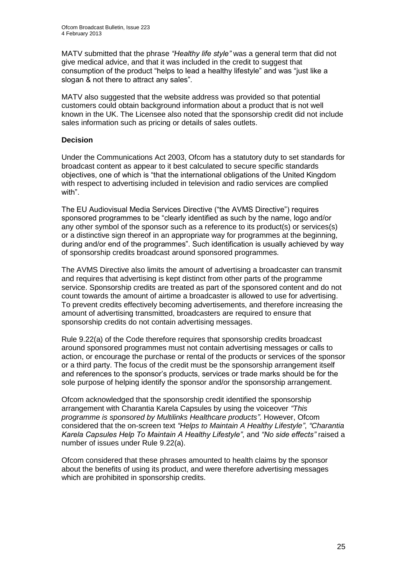MATV submitted that the phrase *"Healthy life style"* was a general term that did not give medical advice, and that it was included in the credit to suggest that consumption of the product "helps to lead a healthy lifestyle" and was "just like a slogan & not there to attract any sales".

MATV also suggested that the website address was provided so that potential customers could obtain background information about a product that is not well known in the UK. The Licensee also noted that the sponsorship credit did not include sales information such as pricing or details of sales outlets.

## **Decision**

Under the Communications Act 2003, Ofcom has a statutory duty to set standards for broadcast content as appear to it best calculated to secure specific standards objectives, one of which is "that the international obligations of the United Kingdom with respect to advertising included in television and radio services are complied with".

The EU Audiovisual Media Services Directive ("the AVMS Directive") requires sponsored programmes to be "clearly identified as such by the name, logo and/or any other symbol of the sponsor such as a reference to its product(s) or services(s) or a distinctive sign thereof in an appropriate way for programmes at the beginning, during and/or end of the programmes". Such identification is usually achieved by way of sponsorship credits broadcast around sponsored programmes.

The AVMS Directive also limits the amount of advertising a broadcaster can transmit and requires that advertising is kept distinct from other parts of the programme service. Sponsorship credits are treated as part of the sponsored content and do not count towards the amount of airtime a broadcaster is allowed to use for advertising. To prevent credits effectively becoming advertisements, and therefore increasing the amount of advertising transmitted, broadcasters are required to ensure that sponsorship credits do not contain advertising messages.

Rule 9.22(a) of the Code therefore requires that sponsorship credits broadcast around sponsored programmes must not contain advertising messages or calls to action, or encourage the purchase or rental of the products or services of the sponsor or a third party. The focus of the credit must be the sponsorship arrangement itself and references to the sponsor's products, services or trade marks should be for the sole purpose of helping identify the sponsor and/or the sponsorship arrangement.

Ofcom acknowledged that the sponsorship credit identified the sponsorship arrangement with Charantia Karela Capsules by using the voiceover *"This programme is sponsored by Multilinks Healthcare products"*. However, Ofcom considered that the on-screen text *"Helps to Maintain A Healthy Lifestyle"*, *"Charantia Karela Capsules Help To Maintain A Healthy Lifestyle"*, and *"No side effects"* raised a number of issues under Rule 9.22(a).

Ofcom considered that these phrases amounted to health claims by the sponsor about the benefits of using its product, and were therefore advertising messages which are prohibited in sponsorship credits.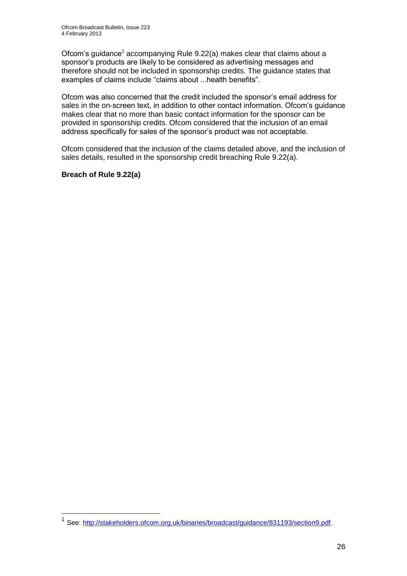Ofcom's guidance<sup>1</sup> accompanying Rule 9.22(a) makes clear that claims about a sponsor's products are likely to be considered as advertising messages and therefore should not be included in sponsorship credits. The guidance states that examples of claims include "claims about ...health benefits".

Ofcom was also concerned that the credit included the sponsor's email address for sales in the on-screen text, in addition to other contact information. Ofcom's guidance makes clear that no more than basic contact information for the sponsor can be provided in sponsorship credits. Ofcom considered that the inclusion of an email address specifically for sales of the sponsor's product was not acceptable.

Ofcom considered that the inclusion of the claims detailed above, and the inclusion of sales details, resulted in the sponsorship credit breaching Rule 9.22(a).

## **Breach of Rule 9.22(a)**

1

<sup>1</sup> See: [http://stakeholders.ofcom.org.uk/binaries/broadcast/guidance/831193/section9.pdf.](http://stakeholders.ofcom.org.uk/binaries/broadcast/guidance/831193/section9.pdf)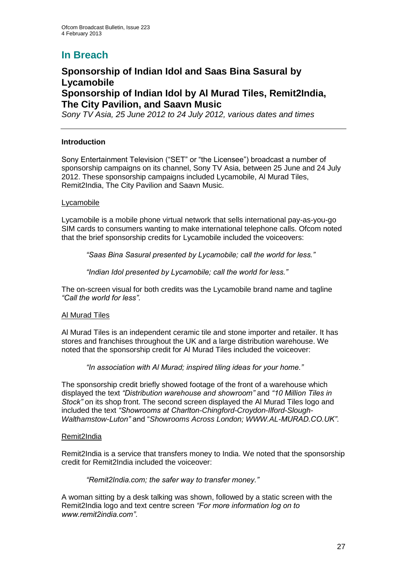# **In Breach**

## **Sponsorship of Indian Idol and Saas Bina Sasural by Lycamobile Sponsorship of Indian Idol by Al Murad Tiles, Remit2India, The City Pavilion, and Saavn Music**

*Sony TV Asia, 25 June 2012 to 24 July 2012, various dates and times*

## **Introduction**

Sony Entertainment Television ("SET" or "the Licensee") broadcast a number of sponsorship campaigns on its channel, Sony TV Asia, between 25 June and 24 July 2012. These sponsorship campaigns included Lycamobile, Al Murad Tiles, Remit2India, The City Pavilion and Saavn Music.

## Lycamobile

Lycamobile is a mobile phone virtual network that sells international pay-as-you-go SIM cards to consumers wanting to make international telephone calls. Ofcom noted that the brief sponsorship credits for Lycamobile included the voiceovers:

*"Saas Bina Sasural presented by Lycamobile; call the world for less."*

*"Indian Idol presented by Lycamobile; call the world for less."*

The on-screen visual for both credits was the Lycamobile brand name and tagline *"Call the world for less"*.

## Al Murad Tiles

Al Murad Tiles is an independent ceramic tile and stone importer and retailer. It has stores and franchises throughout the UK and a large distribution warehouse. We noted that the sponsorship credit for Al Murad Tiles included the voiceover:

*"In association with Al Murad; inspired tiling ideas for your home."*

The sponsorship credit briefly showed footage of the front of a warehouse which displayed the text *"Distribution warehouse and showroom"* and *"10 Million Tiles in Stock"* on its shop front. The second screen displayed the Al Murad Tiles logo and included the text *"Showrooms at Charlton-Chingford-Croydon-Ilford-Slough-Walthamstow-Luton"* and "*Showrooms Across London; WWW.AL-MURAD.CO.UK"*.

#### Remit2India

Remit2India is a service that transfers money to India. We noted that the sponsorship credit for Remit2India included the voiceover:

*"Remit2India.com; the safer way to transfer money."*

A woman sitting by a desk talking was shown, followed by a static screen with the Remit2India logo and text centre screen *"For more information log on to www.remit2india.com"*.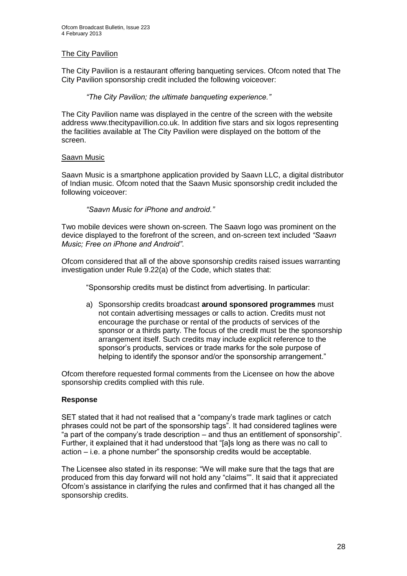## The City Pavilion

The City Pavilion is a restaurant offering banqueting services. Ofcom noted that The City Pavilion sponsorship credit included the following voiceover:

*"The City Pavilion; the ultimate banqueting experience."*

The City Pavilion name was displayed in the centre of the screen with the website address www.thecitypavillion.co.uk. In addition five stars and six logos representing the facilities available at The City Pavilion were displayed on the bottom of the screen.

## Saavn Music

Saavn Music is a smartphone application provided by Saavn LLC, a digital distributor of Indian music. Ofcom noted that the Saavn Music sponsorship credit included the following voiceover:

## *"Saavn Music for iPhone and android."*

Two mobile devices were shown on-screen. The Saavn logo was prominent on the device displayed to the forefront of the screen, and on-screen text included *"Saavn Music; Free on iPhone and Android"*.

Ofcom considered that all of the above sponsorship credits raised issues warranting investigation under Rule 9.22(a) of the Code, which states that:

"Sponsorship credits must be distinct from advertising. In particular:

a) Sponsorship credits broadcast **around sponsored programmes** must not contain advertising messages or calls to action. Credits must not encourage the purchase or rental of the products of services of the sponsor or a thirds party. The focus of the credit must be the sponsorship arrangement itself. Such credits may include explicit reference to the sponsor's products, services or trade marks for the sole purpose of helping to identify the sponsor and/or the sponsorship arrangement."

Ofcom therefore requested formal comments from the Licensee on how the above sponsorship credits complied with this rule.

## **Response**

SET stated that it had not realised that a "company's trade mark taglines or catch phrases could not be part of the sponsorship tags". It had considered taglines were "a part of the company's trade description – and thus an entitlement of sponsorship". Further, it explained that it had understood that "[a]s long as there was no call to action – i.e. a phone number" the sponsorship credits would be acceptable.

The Licensee also stated in its response: "We will make sure that the tags that are produced from this day forward will not hold any "claims"". It said that it appreciated Ofcom's assistance in clarifying the rules and confirmed that it has changed all the sponsorship credits.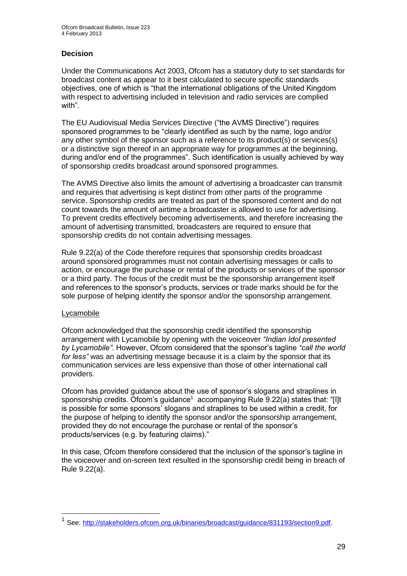## **Decision**

Under the Communications Act 2003, Ofcom has a statutory duty to set standards for broadcast content as appear to it best calculated to secure specific standards objectives, one of which is "that the international obligations of the United Kingdom with respect to advertising included in television and radio services are complied with".

The EU Audiovisual Media Services Directive ("the AVMS Directive") requires sponsored programmes to be "clearly identified as such by the name, logo and/or any other symbol of the sponsor such as a reference to its product(s) or services(s) or a distinctive sign thereof in an appropriate way for programmes at the beginning, during and/or end of the programmes". Such identification is usually achieved by way of sponsorship credits broadcast around sponsored programmes.

The AVMS Directive also limits the amount of advertising a broadcaster can transmit and requires that advertising is kept distinct from other parts of the programme service. Sponsorship credits are treated as part of the sponsored content and do not count towards the amount of airtime a broadcaster is allowed to use for advertising. To prevent credits effectively becoming advertisements, and therefore increasing the amount of advertising transmitted, broadcasters are required to ensure that sponsorship credits do not contain advertising messages.

Rule 9.22(a) of the Code therefore requires that sponsorship credits broadcast around sponsored programmes must not contain advertising messages or calls to action, or encourage the purchase or rental of the products or services of the sponsor or a third party. The focus of the credit must be the sponsorship arrangement itself and references to the sponsor's products, services or trade marks should be for the sole purpose of helping identify the sponsor and/or the sponsorship arrangement.

## Lycamobile

1

Ofcom acknowledged that the sponsorship credit identified the sponsorship arrangement with Lycamobile by opening with the voiceover *"Indian Idol presented by Lycamobile"*. However, Ofcom considered that the sponsor's tagline *"call the world for less"* was an advertising message because it is a claim by the sponsor that its communication services are less expensive than those of other international call providers.

Ofcom has provided guidance about the use of sponsor's slogans and straplines in sponsorship credits. Ofcom's guidance<sup>1</sup> accompanying Rule 9.22(a) states that: "[I]t is possible for some sponsors' slogans and straplines to be used within a credit, for the purpose of helping to identify the sponsor and/or the sponsorship arrangement, provided they do not encourage the purchase or rental of the sponsor's products/services (e.g. by featuring claims)."

In this case, Ofcom therefore considered that the inclusion of the sponsor's tagline in the voiceover and on-screen text resulted in the sponsorship credit being in breach of Rule 9.22(a).

<sup>1</sup> See: [http://stakeholders.ofcom.org.uk/binaries/broadcast/guidance/831193/section9.pdf.](http://stakeholders.ofcom.org.uk/binaries/broadcast/guidance/831193/section9.pdf)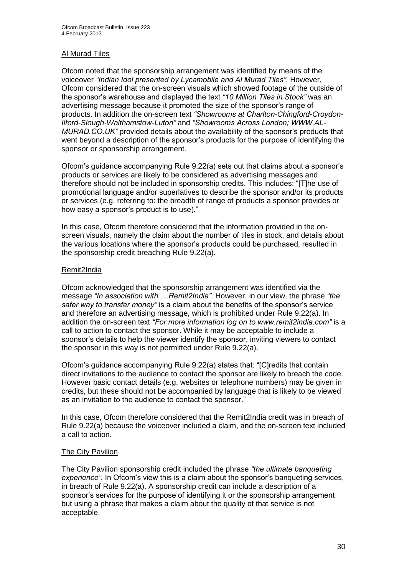## Al Murad Tiles

Ofcom noted that the sponsorship arrangement was identified by means of the voiceover *"Indian Idol presented by Lycamobile and Al Murad Tiles"*. However, Ofcom considered that the on-screen visuals which showed footage of the outside of the sponsor's warehouse and displayed the text *"10 Million Tiles in Stock"* was an advertising message because it promoted the size of the sponsor's range of products. In addition the on-screen text *"Showrooms at Charlton-Chingford-Croydon-Ilford-Slough-Walthamstow-Luton"* and *"Showrooms Across London; WWW.AL-MURAD.CO.UK"* provided details about the availability of the sponsor's products that went beyond a description of the sponsor's products for the purpose of identifying the sponsor or sponsorship arrangement.

Ofcom's guidance accompanying Rule 9.22(a) sets out that claims about a sponsor's products or services are likely to be considered as advertising messages and therefore should not be included in sponsorship credits. This includes: "[T]he use of promotional language and/or superlatives to describe the sponsor and/or its products or services (e.g. referring to: the breadth of range of products a sponsor provides or how easy a sponsor's product is to use)."

In this case, Ofcom therefore considered that the information provided in the onscreen visuals, namely the claim about the number of tiles in stock, and details about the various locations where the sponsor's products could be purchased, resulted in the sponsorship credit breaching Rule 9.22(a).

## Remit2India

Ofcom acknowledged that the sponsorship arrangement was identified via the message *"In association with.....Remit2India"*. However, in our view, the phrase *"the safer way to transfer money"* is a claim about the benefits of the sponsor's service and therefore an advertising message, which is prohibited under Rule 9.22(a). In addition the on-screen text *"For more information log on to www.remit2india.com"* is a call to action to contact the sponsor. While it may be acceptable to include a sponsor's details to help the viewer identify the sponsor, inviting viewers to contact the sponsor in this way is not permitted under Rule 9.22(a).

Ofcom's guidance accompanying Rule 9.22(a) states that: "[C]redits that contain direct invitations to the audience to contact the sponsor are likely to breach the code. However basic contact details (e.g. websites or telephone numbers) may be given in credits, but these should not be accompanied by language that is likely to be viewed as an invitation to the audience to contact the sponsor."

In this case, Ofcom therefore considered that the Remit2India credit was in breach of Rule 9.22(a) because the voiceover included a claim, and the on-screen text included a call to action.

## The City Pavilion

The City Pavilion sponsorship credit included the phrase *"the ultimate banqueting experience"*. In Ofcom's view this is a claim about the sponsor's banqueting services, in breach of Rule 9.22(a). A sponsorship credit can include a description of a sponsor's services for the purpose of identifying it or the sponsorship arrangement but using a phrase that makes a claim about the quality of that service is not acceptable.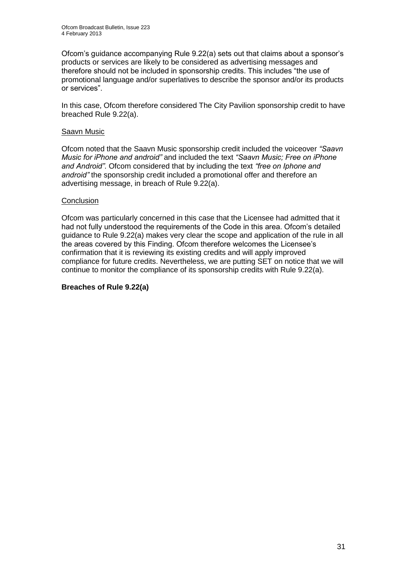Ofcom's guidance accompanying Rule 9.22(a) sets out that claims about a sponsor's products or services are likely to be considered as advertising messages and therefore should not be included in sponsorship credits. This includes "the use of promotional language and/or superlatives to describe the sponsor and/or its products or services".

In this case, Ofcom therefore considered The City Pavilion sponsorship credit to have breached Rule 9.22(a).

## Saavn Music

Ofcom noted that the Saavn Music sponsorship credit included the voiceover *"Saavn Music for iPhone and android"* and included the text *"Saavn Music; Free on iPhone and Android"*. Ofcom considered that by including the text *"free on Iphone and android"* the sponsorship credit included a promotional offer and therefore an advertising message, in breach of Rule 9.22(a).

## **Conclusion**

Ofcom was particularly concerned in this case that the Licensee had admitted that it had not fully understood the requirements of the Code in this area. Ofcom's detailed guidance to Rule 9.22(a) makes very clear the scope and application of the rule in all the areas covered by this Finding. Ofcom therefore welcomes the Licensee's confirmation that it is reviewing its existing credits and will apply improved compliance for future credits. Nevertheless, we are putting SET on notice that we will continue to monitor the compliance of its sponsorship credits with Rule 9.22(a).

#### **Breaches of Rule 9.22(a)**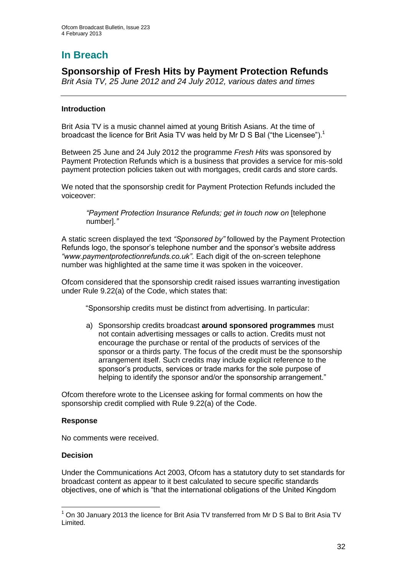# **In Breach**

## **Sponsorship of Fresh Hits by Payment Protection Refunds**

*Brit Asia TV, 25 June 2012 and 24 July 2012, various dates and times*

## **Introduction**

Brit Asia TV is a music channel aimed at young British Asians. At the time of broadcast the licence for Brit Asia TV was held by Mr D S Bal ("the Licensee").<sup>1</sup>

Between 25 June and 24 July 2012 the programme *Fresh Hits* was sponsored by Payment Protection Refunds which is a business that provides a service for mis-sold payment protection policies taken out with mortgages, credit cards and store cards.

We noted that the sponsorship credit for Payment Protection Refunds included the voiceover:

*"Payment Protection Insurance Refunds; get in touch now on* [telephone number]*."*

A static screen displayed the text *"Sponsored by"* followed by the Payment Protection Refunds logo, the sponsor's telephone number and the sponsor's website address *"www.paymentprotectionrefunds.co.uk"*. Each digit of the on-screen telephone number was highlighted at the same time it was spoken in the voiceover.

Ofcom considered that the sponsorship credit raised issues warranting investigation under Rule 9.22(a) of the Code, which states that:

"Sponsorship credits must be distinct from advertising. In particular:

a) Sponsorship credits broadcast **around sponsored programmes** must not contain advertising messages or calls to action. Credits must not encourage the purchase or rental of the products of services of the sponsor or a thirds party. The focus of the credit must be the sponsorship arrangement itself. Such credits may include explicit reference to the sponsor's products, services or trade marks for the sole purpose of helping to identify the sponsor and/or the sponsorship arrangement."

Ofcom therefore wrote to the Licensee asking for formal comments on how the sponsorship credit complied with Rule 9.22(a) of the Code.

## **Response**

No comments were received.

## **Decision**

1

Under the Communications Act 2003, Ofcom has a statutory duty to set standards for broadcast content as appear to it best calculated to secure specific standards objectives, one of which is "that the international obligations of the United Kingdom

 $1$  On 30 January 2013 the licence for Brit Asia TV transferred from Mr D S Bal to Brit Asia TV Limited.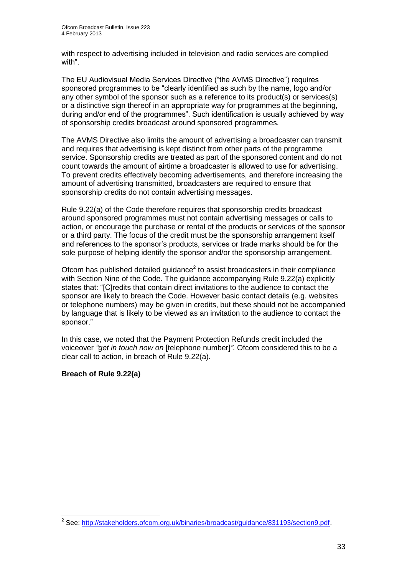with respect to advertising included in television and radio services are complied with".

The EU Audiovisual Media Services Directive ("the AVMS Directive") requires sponsored programmes to be "clearly identified as such by the name, logo and/or any other symbol of the sponsor such as a reference to its product(s) or services(s) or a distinctive sign thereof in an appropriate way for programmes at the beginning, during and/or end of the programmes". Such identification is usually achieved by way of sponsorship credits broadcast around sponsored programmes.

The AVMS Directive also limits the amount of advertising a broadcaster can transmit and requires that advertising is kept distinct from other parts of the programme service. Sponsorship credits are treated as part of the sponsored content and do not count towards the amount of airtime a broadcaster is allowed to use for advertising. To prevent credits effectively becoming advertisements, and therefore increasing the amount of advertising transmitted, broadcasters are required to ensure that sponsorship credits do not contain advertising messages.

Rule 9.22(a) of the Code therefore requires that sponsorship credits broadcast around sponsored programmes must not contain advertising messages or calls to action, or encourage the purchase or rental of the products or services of the sponsor or a third party. The focus of the credit must be the sponsorship arrangement itself and references to the sponsor's products, services or trade marks should be for the sole purpose of helping identify the sponsor and/or the sponsorship arrangement.

Ofcom has published detailed guidance $2$  to assist broadcasters in their compliance with Section Nine of the Code. The guidance accompanying Rule 9.22(a) explicitly states that: "[C]redits that contain direct invitations to the audience to contact the sponsor are likely to breach the Code. However basic contact details (e.g. websites or telephone numbers) may be given in credits, but these should not be accompanied by language that is likely to be viewed as an invitation to the audience to contact the sponsor."

In this case, we noted that the Payment Protection Refunds credit included the voiceover *"get in touch now on* [telephone number]*".* Ofcom considered this to be a clear call to action, in breach of Rule 9.22(a).

## **Breach of Rule 9.22(a)**

 2 See: [http://stakeholders.ofcom.org.uk/binaries/broadcast/guidance/831193/section9.pdf.](http://stakeholders.ofcom.org.uk/binaries/broadcast/guidance/831193/section9.pdf)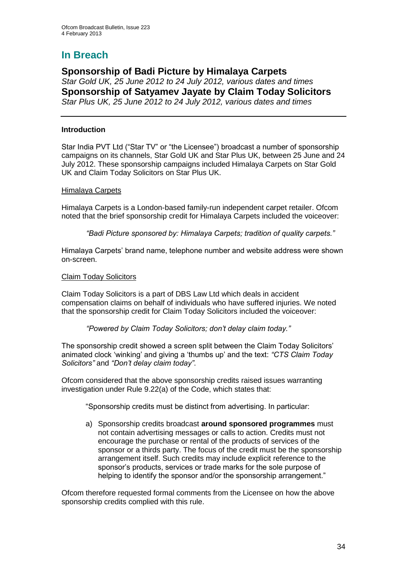# **In Breach**

## **Sponsorship of Badi Picture by Himalaya Carpets** *Star Gold UK, 25 June 2012 to 24 July 2012, various dates and times* **Sponsorship of Satyamev Jayate by Claim Today Solicitors** *Star Plus UK, 25 June 2012 to 24 July 2012, various dates and times*

## **Introduction**

Star India PVT Ltd ("Star TV" or "the Licensee") broadcast a number of sponsorship campaigns on its channels, Star Gold UK and Star Plus UK, between 25 June and 24 July 2012. These sponsorship campaigns included Himalaya Carpets on Star Gold UK and Claim Today Solicitors on Star Plus UK.

## Himalaya Carpets

Himalaya Carpets is a London-based family-run independent carpet retailer. Ofcom noted that the brief sponsorship credit for Himalaya Carpets included the voiceover:

*"Badi Picture sponsored by: Himalaya Carpets; tradition of quality carpets."*

Himalaya Carpets' brand name, telephone number and website address were shown on-screen.

## Claim Today Solicitors

Claim Today Solicitors is a part of DBS Law Ltd which deals in accident compensation claims on behalf of individuals who have suffered injuries. We noted that the sponsorship credit for Claim Today Solicitors included the voiceover:

## *"Powered by Claim Today Solicitors; don't delay claim today."*

The sponsorship credit showed a screen split between the Claim Today Solicitors' animated clock 'winking' and giving a 'thumbs up' and the text: *"CTS Claim Today Solicitors"* and *"Don't delay claim today"*.

Ofcom considered that the above sponsorship credits raised issues warranting investigation under Rule 9.22(a) of the Code, which states that:

"Sponsorship credits must be distinct from advertising. In particular:

a) Sponsorship credits broadcast **around sponsored programmes** must not contain advertising messages or calls to action. Credits must not encourage the purchase or rental of the products of services of the sponsor or a thirds party. The focus of the credit must be the sponsorship arrangement itself. Such credits may include explicit reference to the sponsor's products, services or trade marks for the sole purpose of helping to identify the sponsor and/or the sponsorship arrangement."

Ofcom therefore requested formal comments from the Licensee on how the above sponsorship credits complied with this rule.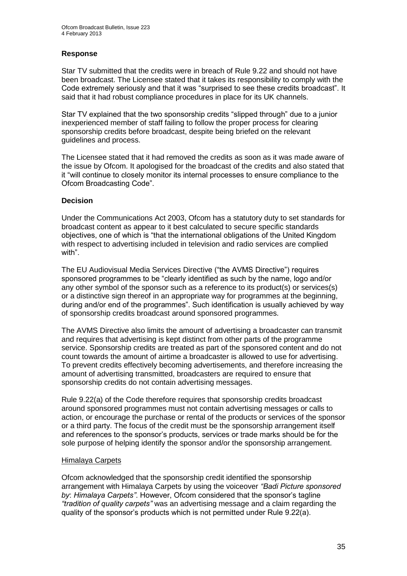## **Response**

Star TV submitted that the credits were in breach of Rule 9.22 and should not have been broadcast. The Licensee stated that it takes its responsibility to comply with the Code extremely seriously and that it was "surprised to see these credits broadcast". It said that it had robust compliance procedures in place for its UK channels.

Star TV explained that the two sponsorship credits "slipped through" due to a junior inexperienced member of staff failing to follow the proper process for clearing sponsorship credits before broadcast, despite being briefed on the relevant guidelines and process.

The Licensee stated that it had removed the credits as soon as it was made aware of the issue by Ofcom. It apologised for the broadcast of the credits and also stated that it "will continue to closely monitor its internal processes to ensure compliance to the Ofcom Broadcasting Code".

## **Decision**

Under the Communications Act 2003, Ofcom has a statutory duty to set standards for broadcast content as appear to it best calculated to secure specific standards objectives, one of which is "that the international obligations of the United Kingdom with respect to advertising included in television and radio services are complied with".

The EU Audiovisual Media Services Directive ("the AVMS Directive") requires sponsored programmes to be "clearly identified as such by the name, logo and/or any other symbol of the sponsor such as a reference to its product(s) or services(s) or a distinctive sign thereof in an appropriate way for programmes at the beginning, during and/or end of the programmes". Such identification is usually achieved by way of sponsorship credits broadcast around sponsored programmes.

The AVMS Directive also limits the amount of advertising a broadcaster can transmit and requires that advertising is kept distinct from other parts of the programme service. Sponsorship credits are treated as part of the sponsored content and do not count towards the amount of airtime a broadcaster is allowed to use for advertising. To prevent credits effectively becoming advertisements, and therefore increasing the amount of advertising transmitted, broadcasters are required to ensure that sponsorship credits do not contain advertising messages.

Rule 9.22(a) of the Code therefore requires that sponsorship credits broadcast around sponsored programmes must not contain advertising messages or calls to action, or encourage the purchase or rental of the products or services of the sponsor or a third party. The focus of the credit must be the sponsorship arrangement itself and references to the sponsor's products, services or trade marks should be for the sole purpose of helping identify the sponsor and/or the sponsorship arrangement.

## Himalaya Carpets

Ofcom acknowledged that the sponsorship credit identified the sponsorship arrangement with Himalaya Carpets by using the voiceover *"Badi Picture sponsored by*: *Himalaya Carpets"*. However, Ofcom considered that the sponsor's tagline *"tradition of quality carpets"* was an advertising message and a claim regarding the quality of the sponsor's products which is not permitted under Rule 9.22(a).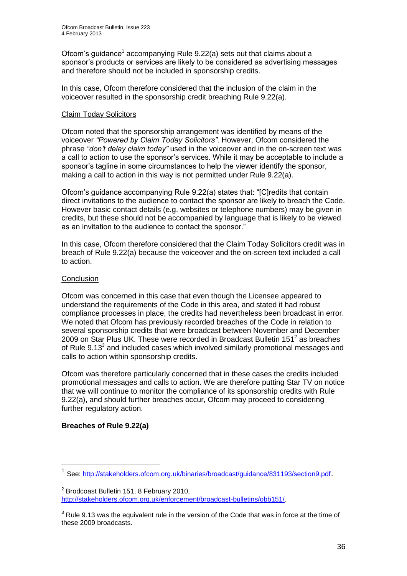Ofcom's guidance<sup>1</sup> accompanying Rule 9.22(a) sets out that claims about a sponsor's products or services are likely to be considered as advertising messages and therefore should not be included in sponsorship credits.

In this case, Ofcom therefore considered that the inclusion of the claim in the voiceover resulted in the sponsorship credit breaching Rule 9.22(a).

## Claim Today Solicitors

Ofcom noted that the sponsorship arrangement was identified by means of the voiceover *"Powered by Claim Today Solicitors"*. However, Ofcom considered the phrase *"don't delay claim today"* used in the voiceover and in the on-screen text was a call to action to use the sponsor's services. While it may be acceptable to include a sponsor's tagline in some circumstances to help the viewer identify the sponsor, making a call to action in this way is not permitted under Rule 9.22(a).

Ofcom's guidance accompanying Rule 9.22(a) states that: "[C]redits that contain direct invitations to the audience to contact the sponsor are likely to breach the Code. However basic contact details (e.g. websites or telephone numbers) may be given in credits, but these should not be accompanied by language that is likely to be viewed as an invitation to the audience to contact the sponsor."

In this case, Ofcom therefore considered that the Claim Today Solicitors credit was in breach of Rule 9.22(a) because the voiceover and the on-screen text included a call to action.

## **Conclusion**

Ofcom was concerned in this case that even though the Licensee appeared to understand the requirements of the Code in this area, and stated it had robust compliance processes in place, the credits had nevertheless been broadcast in error. We noted that Ofcom has previously recorded breaches of the Code in relation to several sponsorship credits that were broadcast between November and December 2009 on Star Plus UK. These were recorded in Broadcast Bulletin 151<sup>2</sup> as breaches of Rule  $9.13<sup>3</sup>$  and included cases which involved similarly promotional messages and calls to action within sponsorship credits.

Ofcom was therefore particularly concerned that in these cases the credits included promotional messages and calls to action. We are therefore putting Star TV on notice that we will continue to monitor the compliance of its sponsorship credits with Rule 9.22(a), and should further breaches occur, Ofcom may proceed to considering further regulatory action.

## **Breaches of Rule 9.22(a)**

1

<sup>1</sup> See:<http://stakeholders.ofcom.org.uk/binaries/broadcast/guidance/831193/section9.pdf>.

 $2$  Brodcoast Bulletin 151, 8 February 2010, [http://stakeholders.ofcom.org.uk/enforcement/broadcast-bulletins/obb151/.](http://stakeholders.ofcom.org.uk/enforcement/broadcast-bulletins/obb151/)

 $3$  Rule 9.13 was the equivalent rule in the version of the Code that was in force at the time of these 2009 broadcasts.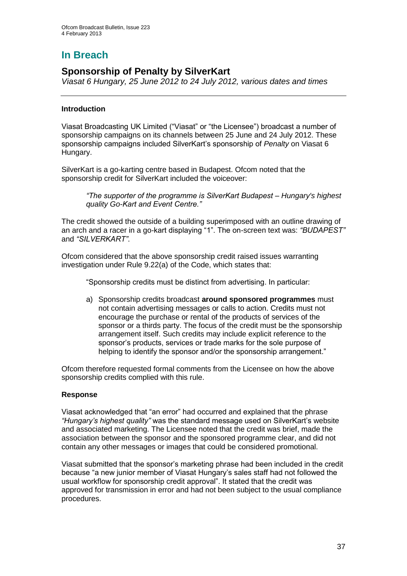# **In Breach**

## **Sponsorship of Penalty by SilverKart**

*Viasat 6 Hungary, 25 June 2012 to 24 July 2012, various dates and times*

## **Introduction**

Viasat Broadcasting UK Limited ("Viasat" or "the Licensee") broadcast a number of sponsorship campaigns on its channels between 25 June and 24 July 2012. These sponsorship campaigns included SilverKart's sponsorship of *Penalty* on Viasat 6 Hungary.

SilverKart is a go-karting centre based in Budapest. Ofcom noted that the sponsorship credit for SilverKart included the voiceover:

*"The supporter of the programme is SilverKart Budapest – Hungary's highest quality Go-Kart and Event Centre."*

The credit showed the outside of a building superimposed with an outline drawing of an arch and a racer in a go-kart displaying "1". The on-screen text was: *"BUDAPEST"* and *"SILVERKART"*.

Ofcom considered that the above sponsorship credit raised issues warranting investigation under Rule 9.22(a) of the Code, which states that:

"Sponsorship credits must be distinct from advertising. In particular:

a) Sponsorship credits broadcast **around sponsored programmes** must not contain advertising messages or calls to action. Credits must not encourage the purchase or rental of the products of services of the sponsor or a thirds party. The focus of the credit must be the sponsorship arrangement itself. Such credits may include explicit reference to the sponsor's products, services or trade marks for the sole purpose of helping to identify the sponsor and/or the sponsorship arrangement."

Ofcom therefore requested formal comments from the Licensee on how the above sponsorship credits complied with this rule.

## **Response**

Viasat acknowledged that "an error" had occurred and explained that the phrase *"Hungary's highest quality"* was the standard message used on SilverKart's website and associated marketing. The Licensee noted that the credit was brief, made the association between the sponsor and the sponsored programme clear, and did not contain any other messages or images that could be considered promotional.

Viasat submitted that the sponsor's marketing phrase had been included in the credit because "a new junior member of Viasat Hungary's sales staff had not followed the usual workflow for sponsorship credit approval". It stated that the credit was approved for transmission in error and had not been subject to the usual compliance procedures.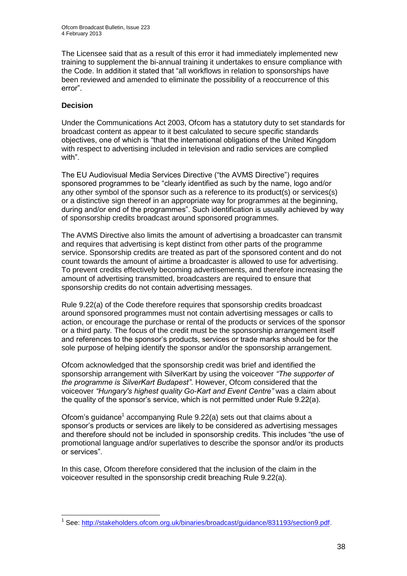The Licensee said that as a result of this error it had immediately implemented new training to supplement the bi-annual training it undertakes to ensure compliance with the Code. In addition it stated that "all workflows in relation to sponsorships have been reviewed and amended to eliminate the possibility of a reoccurrence of this error".

## **Decision**

Under the Communications Act 2003, Ofcom has a statutory duty to set standards for broadcast content as appear to it best calculated to secure specific standards objectives, one of which is "that the international obligations of the United Kingdom with respect to advertising included in television and radio services are complied with".

The EU Audiovisual Media Services Directive ("the AVMS Directive") requires sponsored programmes to be "clearly identified as such by the name, logo and/or any other symbol of the sponsor such as a reference to its product(s) or services(s) or a distinctive sign thereof in an appropriate way for programmes at the beginning, during and/or end of the programmes". Such identification is usually achieved by way of sponsorship credits broadcast around sponsored programmes.

The AVMS Directive also limits the amount of advertising a broadcaster can transmit and requires that advertising is kept distinct from other parts of the programme service. Sponsorship credits are treated as part of the sponsored content and do not count towards the amount of airtime a broadcaster is allowed to use for advertising. To prevent credits effectively becoming advertisements, and therefore increasing the amount of advertising transmitted, broadcasters are required to ensure that sponsorship credits do not contain advertising messages.

Rule 9.22(a) of the Code therefore requires that sponsorship credits broadcast around sponsored programmes must not contain advertising messages or calls to action, or encourage the purchase or rental of the products or services of the sponsor or a third party. The focus of the credit must be the sponsorship arrangement itself and references to the sponsor's products, services or trade marks should be for the sole purpose of helping identify the sponsor and/or the sponsorship arrangement.

Ofcom acknowledged that the sponsorship credit was brief and identified the sponsorship arrangement with SilverKart by using the voiceover *"The supporter of the programme is SilverKart Budapest"*. However, Ofcom considered that the voiceover *"Hungary's highest quality Go-Kart and Event Centre"* was a claim about the quality of the sponsor's service, which is not permitted under Rule 9.22(a).

Ofcom's guidance<sup>1</sup> accompanying Rule 9.22(a) sets out that claims about a sponsor's products or services are likely to be considered as advertising messages and therefore should not be included in sponsorship credits. This includes "the use of promotional language and/or superlatives to describe the sponsor and/or its products or services".

In this case, Ofcom therefore considered that the inclusion of the claim in the voiceover resulted in the sponsorship credit breaching Rule 9.22(a).

<sup>1</sup> <sup>1</sup> See: [http://stakeholders.ofcom.org.uk/binaries/broadcast/guidance/831193/section9.pdf.](http://stakeholders.ofcom.org.uk/binaries/broadcast/guidance/831193/section9.pdf)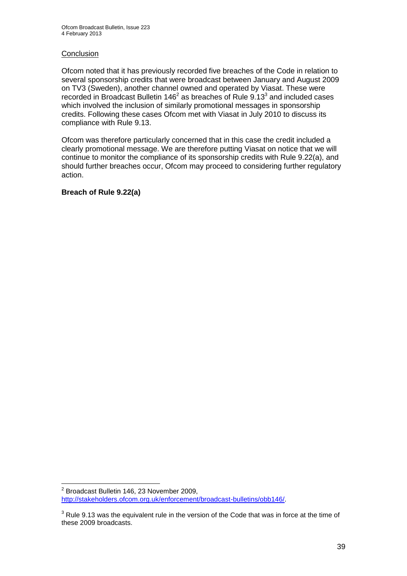#### **Conclusion**

Ofcom noted that it has previously recorded five breaches of the Code in relation to several sponsorship credits that were broadcast between January and August 2009 on TV3 (Sweden), another channel owned and operated by Viasat. These were recorded in Broadcast Bulletin  $146^2$  as breaches of Rule  $9.13^3$  and included cases which involved the inclusion of similarly promotional messages in sponsorship credits. Following these cases Ofcom met with Viasat in July 2010 to discuss its compliance with Rule 9.13.

Ofcom was therefore particularly concerned that in this case the credit included a clearly promotional message. We are therefore putting Viasat on notice that we will continue to monitor the compliance of its sponsorship credits with Rule 9.22(a), and should further breaches occur, Ofcom may proceed to considering further regulatory action.

## **Breach of Rule 9.22(a)**

 2 Broadcast Bulletin 146, 23 November 2009, [http://stakeholders.ofcom.org.uk/enforcement/broadcast-bulletins/obb146/.](http://stakeholders.ofcom.org.uk/enforcement/broadcast-bulletins/obb146/)

 $3$  Rule 9.13 was the equivalent rule in the version of the Code that was in force at the time of these 2009 broadcasts.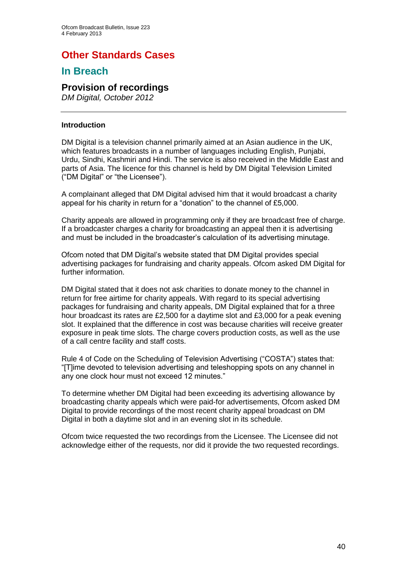## **Other Standards Cases**

## **In Breach**

## **Provision of recordings**

*DM Digital, October 2012*

#### **Introduction**

DM Digital is a television channel primarily aimed at an Asian audience in the UK, which features broadcasts in a number of languages including English, Punjabi, Urdu, Sindhi, Kashmiri and Hindi. The service is also received in the Middle East and parts of Asia. The licence for this channel is held by DM Digital Television Limited ("DM Digital" or "the Licensee").

A complainant alleged that DM Digital advised him that it would broadcast a charity appeal for his charity in return for a "donation" to the channel of £5,000.

Charity appeals are allowed in programming only if they are broadcast free of charge. If a broadcaster charges a charity for broadcasting an appeal then it is advertising and must be included in the broadcaster's calculation of its advertising minutage.

Ofcom noted that DM Digital's website stated that DM Digital provides special advertising packages for fundraising and charity appeals. Ofcom asked DM Digital for further information.

DM Digital stated that it does not ask charities to donate money to the channel in return for free airtime for charity appeals. With regard to its special advertising packages for fundraising and charity appeals, DM Digital explained that for a three hour broadcast its rates are £2,500 for a daytime slot and £3,000 for a peak evening slot. It explained that the difference in cost was because charities will receive greater exposure in peak time slots. The charge covers production costs, as well as the use of a call centre facility and staff costs.

Rule 4 of Code on the Scheduling of Television Advertising ("COSTA") states that: "[T]ime devoted to television advertising and teleshopping spots on any channel in any one clock hour must not exceed 12 minutes."

To determine whether DM Digital had been exceeding its advertising allowance by broadcasting charity appeals which were paid-for advertisements, Ofcom asked DM Digital to provide recordings of the most recent charity appeal broadcast on DM Digital in both a daytime slot and in an evening slot in its schedule.

Ofcom twice requested the two recordings from the Licensee. The Licensee did not acknowledge either of the requests, nor did it provide the two requested recordings.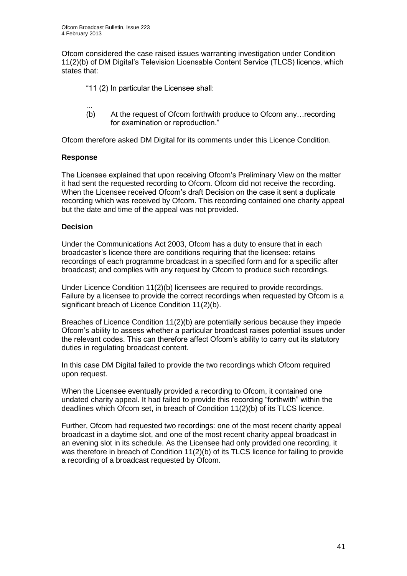Ofcom considered the case raised issues warranting investigation under Condition 11(2)(b) of DM Digital's Television Licensable Content Service (TLCS) licence, which states that:

- "11 (2) In particular the Licensee shall:
- ... (b) At the request of Ofcom forthwith produce to Ofcom any…recording for examination or reproduction."

Ofcom therefore asked DM Digital for its comments under this Licence Condition.

## **Response**

The Licensee explained that upon receiving Ofcom's Preliminary View on the matter it had sent the requested recording to Ofcom. Ofcom did not receive the recording. When the Licensee received Ofcom's draft Decision on the case it sent a duplicate recording which was received by Ofcom. This recording contained one charity appeal but the date and time of the appeal was not provided.

## **Decision**

Under the Communications Act 2003, Ofcom has a duty to ensure that in each broadcaster's licence there are conditions requiring that the licensee: retains recordings of each programme broadcast in a specified form and for a specific after broadcast; and complies with any request by Ofcom to produce such recordings.

Under Licence Condition 11(2)(b) licensees are required to provide recordings. Failure by a licensee to provide the correct recordings when requested by Ofcom is a significant breach of Licence Condition 11(2)(b).

Breaches of Licence Condition 11(2)(b) are potentially serious because they impede Ofcom's ability to assess whether a particular broadcast raises potential issues under the relevant codes. This can therefore affect Ofcom's ability to carry out its statutory duties in regulating broadcast content.

In this case DM Digital failed to provide the two recordings which Ofcom required upon request.

When the Licensee eventually provided a recording to Ofcom, it contained one undated charity appeal. It had failed to provide this recording "forthwith" within the deadlines which Ofcom set, in breach of Condition 11(2)(b) of its TLCS licence.

Further, Ofcom had requested two recordings: one of the most recent charity appeal broadcast in a daytime slot, and one of the most recent charity appeal broadcast in an evening slot in its schedule. As the Licensee had only provided one recording, it was therefore in breach of Condition 11(2)(b) of its TLCS licence for failing to provide a recording of a broadcast requested by Ofcom.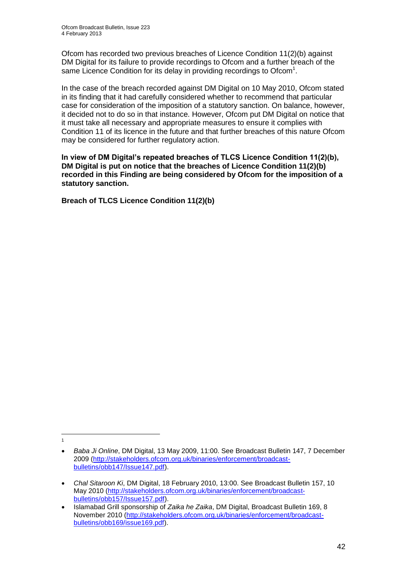Ofcom has recorded two previous breaches of Licence Condition 11(2)(b) against DM Digital for its failure to provide recordings to Ofcom and a further breach of the same Licence Condition for its delay in providing recordings to Ofcom<sup>1</sup>.

In the case of the breach recorded against DM Digital on 10 May 2010, Ofcom stated in its finding that it had carefully considered whether to recommend that particular case for consideration of the imposition of a statutory sanction. On balance, however, it decided not to do so in that instance. However, Ofcom put DM Digital on notice that it must take all necessary and appropriate measures to ensure it complies with Condition 11 of its licence in the future and that further breaches of this nature Ofcom may be considered for further regulatory action.

**In view of DM Digital's repeated breaches of TLCS Licence Condition 11(2)(b), DM Digital is put on notice that the breaches of Licence Condition 11(2)(b) recorded in this Finding are being considered by Ofcom for the imposition of a statutory sanction.**

**Breach of TLCS Licence Condition 11(2)(b)**

 $\frac{1}{1}$ 

*Baba Ji Online*, DM Digital, 13 May 2009, 11:00. See Broadcast Bulletin 147, 7 December 2009 [\(http://stakeholders.ofcom.org.uk/binaries/enforcement/broadcast](http://stakeholders.ofcom.org.uk/binaries/enforcement/broadcast-bulletins/obb147/Issue147.pdf)[bulletins/obb147/Issue147.pdf\)](http://stakeholders.ofcom.org.uk/binaries/enforcement/broadcast-bulletins/obb147/Issue147.pdf).

*Chal Sitaroon Ki*, DM Digital, 18 February 2010, 13:00. See Broadcast Bulletin 157, 10 May 2010 [\(http://stakeholders.ofcom.org.uk/binaries/enforcement/broadcast](http://stakeholders.ofcom.org.uk/binaries/enforcement/broadcast-bulletins/obb157/Issue157.pdf)[bulletins/obb157/Issue157.pdf\)](http://stakeholders.ofcom.org.uk/binaries/enforcement/broadcast-bulletins/obb157/Issue157.pdf).

Islamabad Grill sponsorship of *Zaika he Zaika*, DM Digital, Broadcast Bulletin 169, 8 November 2010 [\(http://stakeholders.ofcom.org.uk/binaries/enforcement/broadcast](http://stakeholders.ofcom.org.uk/binaries/enforcement/broadcast-bulletins/obb169/issue169.pdf)[bulletins/obb169/issue169.pdf\)](http://stakeholders.ofcom.org.uk/binaries/enforcement/broadcast-bulletins/obb169/issue169.pdf).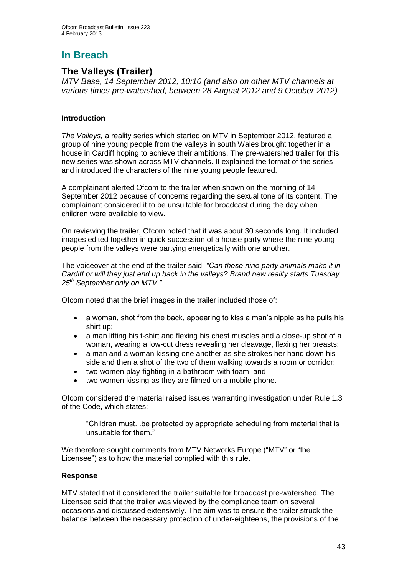# **In Breach**

## **The Valleys (Trailer)**

*MTV Base, 14 September 2012, 10:10 (and also on other MTV channels at various times pre-watershed, between 28 August 2012 and 9 October 2012)*

## **Introduction**

*The Valleys,* a reality series which started on MTV in September 2012, featured a group of nine young people from the valleys in south Wales brought together in a house in Cardiff hoping to achieve their ambitions. The pre-watershed trailer for this new series was shown across MTV channels. It explained the format of the series and introduced the characters of the nine young people featured.

A complainant alerted Ofcom to the trailer when shown on the morning of 14 September 2012 because of concerns regarding the sexual tone of its content. The complainant considered it to be unsuitable for broadcast during the day when children were available to view.

On reviewing the trailer, Ofcom noted that it was about 30 seconds long. It included images edited together in quick succession of a house party where the nine young people from the valleys were partying energetically with one another.

The voiceover at the end of the trailer said: *"Can these nine party animals make it in Cardiff or will they just end up back in the valleys? Brand new reality starts Tuesday 25th September only on MTV."*

Ofcom noted that the brief images in the trailer included those of:

- a woman, shot from the back, appearing to kiss a man's nipple as he pulls his shirt up;
- a man lifting his t-shirt and flexing his chest muscles and a close-up shot of a woman, wearing a low-cut dress revealing her cleavage, flexing her breasts;
- a man and a woman kissing one another as she strokes her hand down his side and then a shot of the two of them walking towards a room or corridor;
- two women play-fighting in a bathroom with foam; and
- two women kissing as they are filmed on a mobile phone.

Ofcom considered the material raised issues warranting investigation under Rule 1.3 of the Code, which states:

"Children must...be protected by appropriate scheduling from material that is unsuitable for them."

We therefore sought comments from MTV Networks Europe ("MTV" or "the Licensee") as to how the material complied with this rule.

## **Response**

MTV stated that it considered the trailer suitable for broadcast pre-watershed. The Licensee said that the trailer was viewed by the compliance team on several occasions and discussed extensively. The aim was to ensure the trailer struck the balance between the necessary protection of under-eighteens, the provisions of the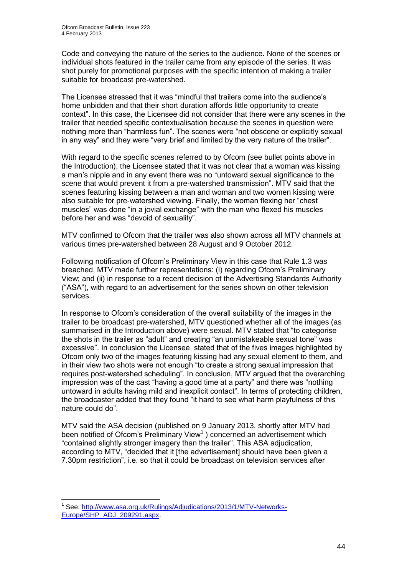Code and conveying the nature of the series to the audience. None of the scenes or individual shots featured in the trailer came from any episode of the series. It was shot purely for promotional purposes with the specific intention of making a trailer suitable for broadcast pre-watershed.

The Licensee stressed that it was "mindful that trailers come into the audience's home unbidden and that their short duration affords little opportunity to create context". In this case, the Licensee did not consider that there were any scenes in the trailer that needed specific contextualisation because the scenes in question were nothing more than "harmless fun". The scenes were "not obscene or explicitly sexual in any way" and they were "very brief and limited by the very nature of the trailer".

With regard to the specific scenes referred to by Ofcom (see bullet points above in the Introduction), the Licensee stated that it was not clear that a woman was kissing a man's nipple and in any event there was no "untoward sexual significance to the scene that would prevent it from a pre-watershed transmission". MTV said that the scenes featuring kissing between a man and woman and two women kissing were also suitable for pre-watershed viewing. Finally, the woman flexing her "chest muscles" was done "in a jovial exchange" with the man who flexed his muscles before her and was "devoid of sexuality".

MTV confirmed to Ofcom that the trailer was also shown across all MTV channels at various times pre-watershed between 28 August and 9 October 2012.

Following notification of Ofcom's Preliminary View in this case that Rule 1.3 was breached, MTV made further representations: (i) regarding Ofcom's Preliminary View; and (ii) in response to a recent decision of the Advertising Standards Authority ("ASA"), with regard to an advertisement for the series shown on other television services.

In response to Ofcom's consideration of the overall suitability of the images in the trailer to be broadcast pre-watershed, MTV questioned whether all of the images (as summarised in the Introduction above) were sexual. MTV stated that "to categorise the shots in the trailer as "adult" and creating "an unmistakeable sexual tone" was excessive". In conclusion the Licensee stated that of the fives images highlighted by Ofcom only two of the images featuring kissing had any sexual element to them, and in their view two shots were not enough "to create a strong sexual impression that requires post-watershed scheduling". In conclusion, MTV argued that the overarching impression was of the cast "having a good time at a party" and there was "nothing untoward in adults having mild and inexplicit contact". In terms of protecting children, the broadcaster added that they found "it hard to see what harm playfulness of this nature could do".

MTV said the ASA decision (published on 9 January 2013, shortly after MTV had been notified of Ofcom's Preliminary View<sup>1</sup>) concerned an advertisement which "contained slightly stronger imagery than the trailer". This ASA adjudication, according to MTV, "decided that it [the advertisement] should have been given a 7.30pm restriction", i.e. so that it could be broadcast on television services after

1

<sup>&</sup>lt;sup>1</sup> See: [http://www.asa.org.uk/Rulings/Adjudications/2013/1/MTV-Networks-](http://www.asa.org.uk/Rulings/Adjudications/2013/1/MTV-Networks-Europe/SHP_ADJ_209291.aspx)[Europe/SHP\\_ADJ\\_209291.aspx.](http://www.asa.org.uk/Rulings/Adjudications/2013/1/MTV-Networks-Europe/SHP_ADJ_209291.aspx)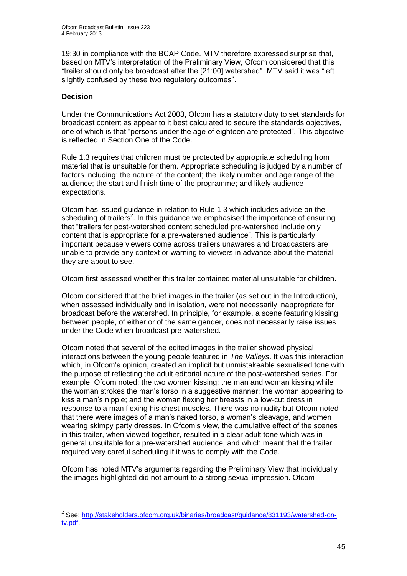19:30 in compliance with the BCAP Code. MTV therefore expressed surprise that, based on MTV's interpretation of the Preliminary View, Ofcom considered that this "trailer should only be broadcast after the [21:00] watershed". MTV said it was "left slightly confused by these two regulatory outcomes".

## **Decision**

1

Under the Communications Act 2003, Ofcom has a statutory duty to set standards for broadcast content as appear to it best calculated to secure the standards objectives, one of which is that "persons under the age of eighteen are protected". This objective is reflected in Section One of the Code.

Rule 1.3 requires that children must be protected by appropriate scheduling from material that is unsuitable for them. Appropriate scheduling is judged by a number of factors including: the nature of the content; the likely number and age range of the audience; the start and finish time of the programme; and likely audience expectations.

Ofcom has issued guidance in relation to Rule 1.3 which includes advice on the scheduling of trailers<sup>2</sup>. In this guidance we emphasised the importance of ensuring that "trailers for post-watershed content scheduled pre-watershed include only content that is appropriate for a pre-watershed audience". This is particularly important because viewers come across trailers unawares and broadcasters are unable to provide any context or warning to viewers in advance about the material they are about to see.

Ofcom first assessed whether this trailer contained material unsuitable for children.

Ofcom considered that the brief images in the trailer (as set out in the Introduction), when assessed individually and in isolation, were not necessarily inappropriate for broadcast before the watershed. In principle, for example, a scene featuring kissing between people, of either or of the same gender, does not necessarily raise issues under the Code when broadcast pre-watershed.

Ofcom noted that several of the edited images in the trailer showed physical interactions between the young people featured in *The Valleys*. It was this interaction which, in Ofcom's opinion, created an implicit but unmistakeable sexualised tone with the purpose of reflecting the adult editorial nature of the post-watershed series. For example, Ofcom noted: the two women kissing; the man and woman kissing while the woman strokes the man's torso in a suggestive manner; the woman appearing to kiss a man's nipple; and the woman flexing her breasts in a low-cut dress in response to a man flexing his chest muscles. There was no nudity but Ofcom noted that there were images of a man's naked torso, a woman's cleavage, and women wearing skimpy party dresses. In Ofcom's view, the cumulative effect of the scenes in this trailer, when viewed together, resulted in a clear adult tone which was in general unsuitable for a pre-watershed audience, and which meant that the trailer required very careful scheduling if it was to comply with the Code.

Ofcom has noted MTV's arguments regarding the Preliminary View that individually the images highlighted did not amount to a strong sexual impression. Ofcom

<sup>&</sup>lt;sup>2</sup> See: [http://stakeholders.ofcom.org.uk/binaries/broadcast/guidance/831193/watershed-on](http://stakeholders.ofcom.org.uk/binaries/broadcast/guidance/831193/watershed-on-tv.pdf)[tv.pdf.](http://stakeholders.ofcom.org.uk/binaries/broadcast/guidance/831193/watershed-on-tv.pdf)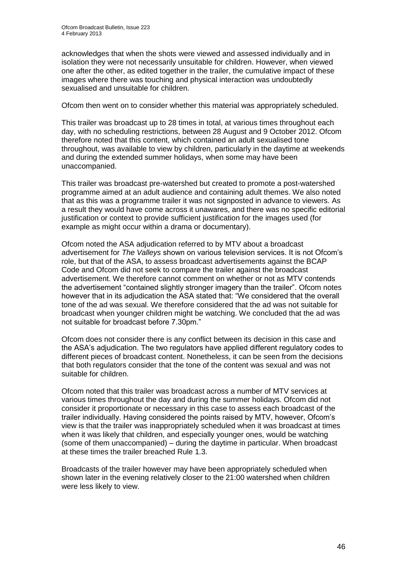acknowledges that when the shots were viewed and assessed individually and in isolation they were not necessarily unsuitable for children. However, when viewed one after the other, as edited together in the trailer, the cumulative impact of these images where there was touching and physical interaction was undoubtedly sexualised and unsuitable for children.

Ofcom then went on to consider whether this material was appropriately scheduled.

This trailer was broadcast up to 28 times in total, at various times throughout each day, with no scheduling restrictions, between 28 August and 9 October 2012. Ofcom therefore noted that this content, which contained an adult sexualised tone throughout, was available to view by children, particularly in the daytime at weekends and during the extended summer holidays, when some may have been unaccompanied.

This trailer was broadcast pre-watershed but created to promote a post-watershed programme aimed at an adult audience and containing adult themes. We also noted that as this was a programme trailer it was not signposted in advance to viewers. As a result they would have come across it unawares, and there was no specific editorial justification or context to provide sufficient justification for the images used (for example as might occur within a drama or documentary).

Ofcom noted the ASA adjudication referred to by MTV about a broadcast advertisement for *The Valleys* shown on various television services. It is not Ofcom's role, but that of the ASA, to assess broadcast advertisements against the BCAP Code and Ofcom did not seek to compare the trailer against the broadcast advertisement. We therefore cannot comment on whether or not as MTV contends the advertisement "contained slightly stronger imagery than the trailer". Ofcom notes however that in its adjudication the ASA stated that: "We considered that the overall tone of the ad was sexual. We therefore considered that the ad was not suitable for broadcast when younger children might be watching. We concluded that the ad was not suitable for broadcast before 7.30pm."

Ofcom does not consider there is any conflict between its decision in this case and the ASA's adjudication. The two regulators have applied different regulatory codes to different pieces of broadcast content. Nonetheless, it can be seen from the decisions that both regulators consider that the tone of the content was sexual and was not suitable for children.

Ofcom noted that this trailer was broadcast across a number of MTV services at various times throughout the day and during the summer holidays. Ofcom did not consider it proportionate or necessary in this case to assess each broadcast of the trailer individually. Having considered the points raised by MTV, however, Ofcom's view is that the trailer was inappropriately scheduled when it was broadcast at times when it was likely that children, and especially younger ones, would be watching (some of them unaccompanied) – during the daytime in particular. When broadcast at these times the trailer breached Rule 1.3.

Broadcasts of the trailer however may have been appropriately scheduled when shown later in the evening relatively closer to the 21:00 watershed when children were less likely to view.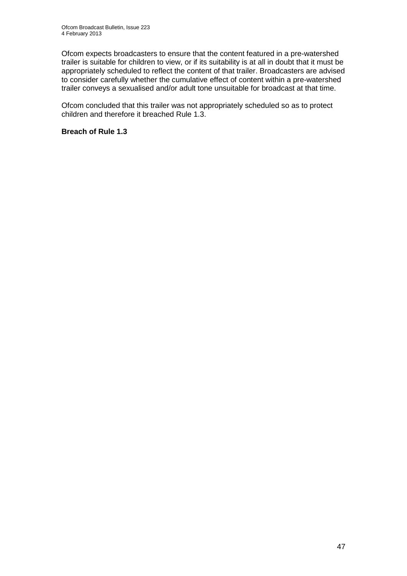Ofcom expects broadcasters to ensure that the content featured in a pre-watershed trailer is suitable for children to view, or if its suitability is at all in doubt that it must be appropriately scheduled to reflect the content of that trailer. Broadcasters are advised to consider carefully whether the cumulative effect of content within a pre-watershed trailer conveys a sexualised and/or adult tone unsuitable for broadcast at that time.

Ofcom concluded that this trailer was not appropriately scheduled so as to protect children and therefore it breached Rule 1.3.

## **Breach of Rule 1.3**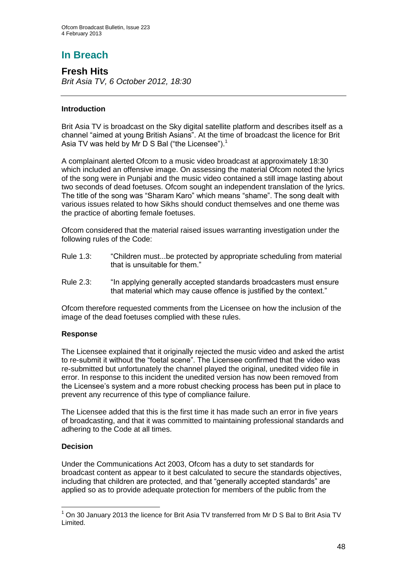# **In Breach**

**Fresh Hits** *Brit Asia TV, 6 October 2012, 18:30*

## **Introduction**

Brit Asia TV is broadcast on the Sky digital satellite platform and describes itself as a channel "aimed at young British Asians". At the time of broadcast the licence for Brit Asia TV was held by Mr D S Bal ("the Licensee").<sup>1</sup>

A complainant alerted Ofcom to a music video broadcast at approximately 18:30 which included an offensive image. On assessing the material Ofcom noted the lyrics of the song were in Punjabi and the music video contained a still image lasting about two seconds of dead foetuses. Ofcom sought an independent translation of the lyrics. The title of the song was "Sharam Karo" which means "shame". The song dealt with various issues related to how Sikhs should conduct themselves and one theme was the practice of aborting female foetuses.

Ofcom considered that the material raised issues warranting investigation under the following rules of the Code:

- Rule 1.3: "Children must...be protected by appropriate scheduling from material that is unsuitable for them."
- Rule 2.3: "In applying generally accepted standards broadcasters must ensure that material which may cause offence is justified by the context."

Ofcom therefore requested comments from the Licensee on how the inclusion of the image of the dead foetuses complied with these rules.

## **Response**

The Licensee explained that it originally rejected the music video and asked the artist to re-submit it without the "foetal scene". The Licensee confirmed that the video was re-submitted but unfortunately the channel played the original, unedited video file in error. In response to this incident the unedited version has now been removed from the Licensee's system and a more robust checking process has been put in place to prevent any recurrence of this type of compliance failure.

The Licensee added that this is the first time it has made such an error in five years of broadcasting, and that it was committed to maintaining professional standards and adhering to the Code at all times.

## **Decision**

1

Under the Communications Act 2003, Ofcom has a duty to set standards for broadcast content as appear to it best calculated to secure the standards objectives, including that children are protected, and that "generally accepted standards" are applied so as to provide adequate protection for members of the public from the

 $1$  On 30 January 2013 the licence for Brit Asia TV transferred from Mr D S Bal to Brit Asia TV Limited.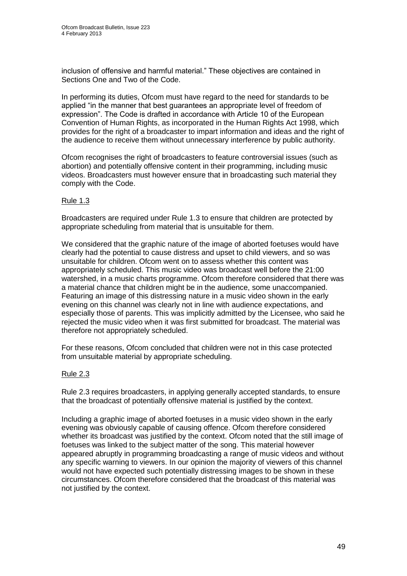inclusion of offensive and harmful material." These objectives are contained in Sections One and Two of the Code.

In performing its duties, Ofcom must have regard to the need for standards to be applied "in the manner that best guarantees an appropriate level of freedom of expression". The Code is drafted in accordance with Article 10 of the European Convention of Human Rights, as incorporated in the Human Rights Act 1998, which provides for the right of a broadcaster to impart information and ideas and the right of the audience to receive them without unnecessary interference by public authority.

Ofcom recognises the right of broadcasters to feature controversial issues (such as abortion) and potentially offensive content in their programming, including music videos. Broadcasters must however ensure that in broadcasting such material they comply with the Code.

#### Rule 1.3

Broadcasters are required under Rule 1.3 to ensure that children are protected by appropriate scheduling from material that is unsuitable for them.

We considered that the graphic nature of the image of aborted foetuses would have clearly had the potential to cause distress and upset to child viewers, and so was unsuitable for children. Ofcom went on to assess whether this content was appropriately scheduled. This music video was broadcast well before the 21:00 watershed, in a music charts programme. Ofcom therefore considered that there was a material chance that children might be in the audience, some unaccompanied. Featuring an image of this distressing nature in a music video shown in the early evening on this channel was clearly not in line with audience expectations, and especially those of parents. This was implicitly admitted by the Licensee, who said he rejected the music video when it was first submitted for broadcast. The material was therefore not appropriately scheduled.

For these reasons, Ofcom concluded that children were not in this case protected from unsuitable material by appropriate scheduling.

## Rule 2.3

Rule 2.3 requires broadcasters, in applying generally accepted standards, to ensure that the broadcast of potentially offensive material is justified by the context.

Including a graphic image of aborted foetuses in a music video shown in the early evening was obviously capable of causing offence. Ofcom therefore considered whether its broadcast was justified by the context. Ofcom noted that the still image of foetuses was linked to the subject matter of the song. This material however appeared abruptly in programming broadcasting a range of music videos and without any specific warning to viewers. In our opinion the majority of viewers of this channel would not have expected such potentially distressing images to be shown in these circumstances. Ofcom therefore considered that the broadcast of this material was not justified by the context.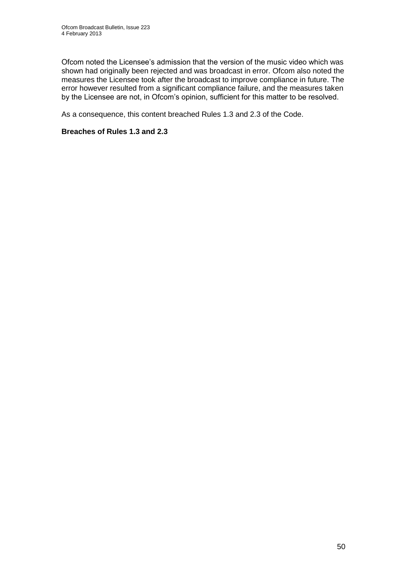Ofcom noted the Licensee's admission that the version of the music video which was shown had originally been rejected and was broadcast in error. Ofcom also noted the measures the Licensee took after the broadcast to improve compliance in future. The error however resulted from a significant compliance failure, and the measures taken by the Licensee are not, in Ofcom's opinion, sufficient for this matter to be resolved.

As a consequence, this content breached Rules 1.3 and 2.3 of the Code.

## **Breaches of Rules 1.3 and 2.3**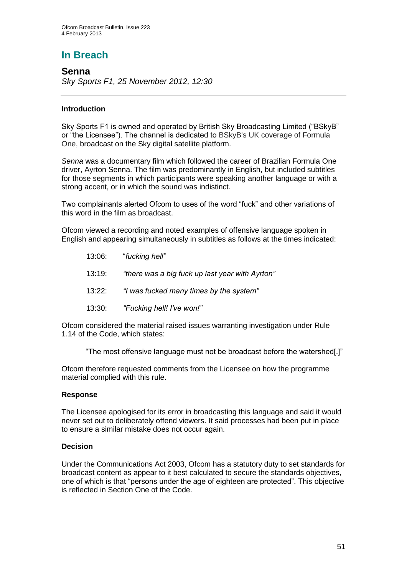# **In Breach**

**Senna** *Sky Sports F1, 25 November 2012, 12:30*

## **Introduction**

Sky Sports F1 is owned and operated by British Sky Broadcasting Limited ("BSkyB" or "the Licensee"). The channel is dedicated to BSkyB's UK coverage of Formula One, broadcast on the Sky digital satellite platform.

*Senna* was a documentary film which followed the career of Brazilian Formula One driver, Ayrton Senna. The film was predominantly in English, but included subtitles for those segments in which participants were speaking another language or with a strong accent, or in which the sound was indistinct.

Two complainants alerted Ofcom to uses of the word "fuck" and other variations of this word in the film as broadcast.

Ofcom viewed a recording and noted examples of offensive language spoken in English and appearing simultaneously in subtitles as follows at the times indicated:

13:06: "*fucking hell"* 13:19: *"there was a big fuck up last year with Ayrton"* 13:22: *"I was fucked many times by the system"* 13:30: *"Fucking hell! I've won!"*

Ofcom considered the material raised issues warranting investigation under Rule 1.14 of the Code, which states:

"The most offensive language must not be broadcast before the watershed[.]"

Ofcom therefore requested comments from the Licensee on how the programme material complied with this rule.

## **Response**

The Licensee apologised for its error in broadcasting this language and said it would never set out to deliberately offend viewers. It said processes had been put in place to ensure a similar mistake does not occur again.

## **Decision**

Under the Communications Act 2003, Ofcom has a statutory duty to set standards for broadcast content as appear to it best calculated to secure the standards objectives, one of which is that "persons under the age of eighteen are protected". This objective is reflected in Section One of the Code.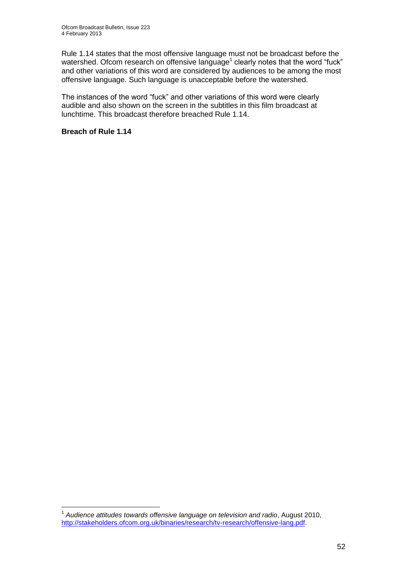Rule 1.14 states that the most offensive language must not be broadcast before the watershed. Ofcom research on offensive language<sup>1</sup> clearly notes that the word "fuck" and other variations of this word are considered by audiences to be among the most offensive language. Such language is unacceptable before the watershed.

The instances of the word "fuck" and other variations of this word were clearly audible and also shown on the screen in the subtitles in this film broadcast at lunchtime. This broadcast therefore breached Rule 1.14.

## **Breach of Rule 1.14**

1

<sup>&</sup>lt;sup>1</sup> Audience attitudes towards offensive language on television and radio, August 2010, [http://stakeholders.ofcom.org.uk/binaries/research/tv-research/offensive-lang.pdf.](http://stakeholders.ofcom.org.uk/binaries/research/tv-research/offensive-lang.pdf)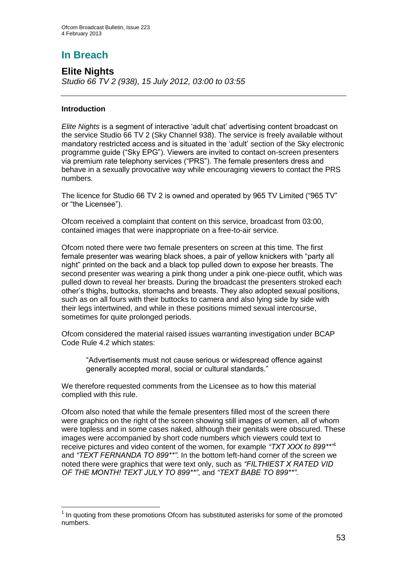# **In Breach**

**Elite Nights** *Studio 66 TV 2 (938), 15 July 2012, 03:00 to 03:55*

## **Introduction**

1

*Elite Nights* is a segment of interactive 'adult chat' advertising content broadcast on the service Studio 66 TV 2 (Sky Channel 938). The service is freely available without mandatory restricted access and is situated in the 'adult' section of the Sky electronic programme guide ("Sky EPG"). Viewers are invited to contact on-screen presenters via premium rate telephony services ("PRS"). The female presenters dress and behave in a sexually provocative way while encouraging viewers to contact the PRS numbers.

The licence for Studio 66 TV 2 is owned and operated by 965 TV Limited ("965 TV" or "the Licensee").

Ofcom received a complaint that content on this service, broadcast from 03:00, contained images that were inappropriate on a free-to-air service.

Ofcom noted there were two female presenters on screen at this time. The first female presenter was wearing black shoes, a pair of yellow knickers with "party all night" printed on the back and a black top pulled down to expose her breasts. The second presenter was wearing a pink thong under a pink one-piece outfit, which was pulled down to reveal her breasts. During the broadcast the presenters stroked each other's thighs, buttocks, stomachs and breasts. They also adopted sexual positions, such as on all fours with their buttocks to camera and also lying side by side with their legs intertwined, and while in these positions mimed sexual intercourse, sometimes for quite prolonged periods.

Ofcom considered the material raised issues warranting investigation under BCAP Code Rule 4.2 which states:

"Advertisements must not cause serious or widespread offence against generally accepted moral, social or cultural standards."

We therefore requested comments from the Licensee as to how this material complied with this rule.

Ofcom also noted that while the female presenters filled most of the screen there were graphics on the right of the screen showing still images of women, all of whom were topless and in some cases naked, although their genitals were obscured. These images were accompanied by short code numbers which viewers could text to receive pictures and video content of the women, for example *"TXT XXX to 899\*\*"*<sup>1</sup> and *"TEXT FERNANDA TO 899\*\*"*. In the bottom left-hand corner of the screen we noted there were graphics that were text only, such as *"FILTHIEST X RATED VID OF THE MONTH! TEXT JULY TO 899\*\*"*, and *"TEXT BABE TO 899\*\*"*.

<sup>&</sup>lt;sup>1</sup> In quoting from these promotions Ofcom has substituted asterisks for some of the promoted numbers.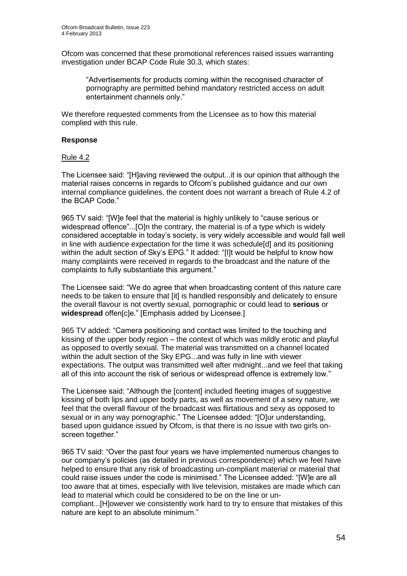Ofcom was concerned that these promotional references raised issues warranting investigation under BCAP Code Rule 30.3, which states:

"Advertisements for products coming within the recognised character of pornography are permitted behind mandatory restricted access on adult entertainment channels only."

We therefore requested comments from the Licensee as to how this material complied with this rule.

#### **Response**

#### Rule 4.2

The Licensee said: "[H]aving reviewed the output...it is our opinion that although the material raises concerns in regards to Ofcom's published guidance and our own internal compliance guidelines, the content does not warrant a breach of Rule 4.2 of the BCAP Code."

965 TV said: "[W]e feel that the material is highly unlikely to "cause serious or widespread offence"...[O]n the contrary, the material is of a type which is widely considered acceptable in today's society, is very widely accessible and would fall well in line with audience expectation for the time it was schedule[d] and its positioning within the adult section of Sky's EPG." It added: "[I]t would be helpful to know how many complaints were received in regards to the broadcast and the nature of the complaints to fully substantiate this argument."

The Licensee said: "We do agree that when broadcasting content of this nature care needs to be taken to ensure that [it] is handled responsibly and delicately to ensure the overall flavour is not overtly sexual, pornographic or could lead to **serious** or **widespread** offen[c]e." [Emphasis added by Licensee.]

965 TV added: "Camera positioning and contact was limited to the touching and kissing of the upper body region – the context of which was mildly erotic and playful as opposed to overtly sexual. The material was transmitted on a channel located within the adult section of the Sky EPG...and was fully in line with viewer expectations. The output was transmitted well after midnight...and we feel that taking all of this into account the risk of serious or widespread offence is extremely low."

The Licensee said: "Although the [content] included fleeting images of suggestive kissing of both lips and upper body parts, as well as movement of a sexy nature, we feel that the overall flavour of the broadcast was flirtatious and sexy as opposed to sexual or in any way pornographic." The Licensee added: "[O]ur understanding, based upon guidance issued by Ofcom, is that there is no issue with two girls onscreen together."

965 TV said: "Over the past four years we have implemented numerous changes to our company's policies (as detailed in previous correspondence) which we feel have helped to ensure that any risk of broadcasting un-compliant material or material that could raise issues under the code is minimised." The Licensee added: "[W]e are all too aware that at times, especially with live television, mistakes are made which can lead to material which could be considered to be on the line or un-

compliant...[H]owever we consistently work hard to try to ensure that mistakes of this nature are kept to an absolute minimum."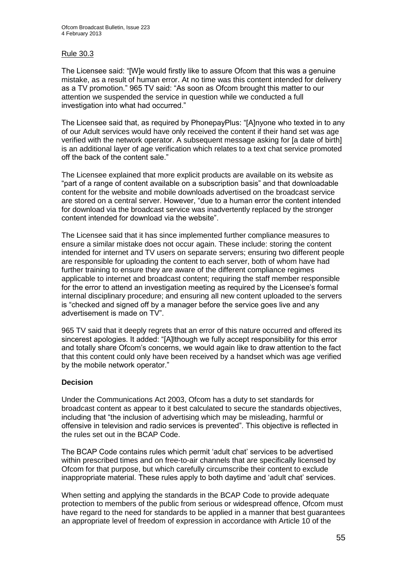## Rule 30.3

The Licensee said: "[W]e would firstly like to assure Ofcom that this was a genuine mistake, as a result of human error. At no time was this content intended for delivery as a TV promotion." 965 TV said: "As soon as Ofcom brought this matter to our attention we suspended the service in question while we conducted a full investigation into what had occurred."

The Licensee said that, as required by PhonepayPlus: "[A]nyone who texted in to any of our Adult services would have only received the content if their hand set was age verified with the network operator. A subsequent message asking for [a date of birth] is an additional layer of age verification which relates to a text chat service promoted off the back of the content sale."

The Licensee explained that more explicit products are available on its website as "part of a range of content available on a subscription basis" and that downloadable content for the website and mobile downloads advertised on the broadcast service are stored on a central server. However, "due to a human error the content intended for download via the broadcast service was inadvertently replaced by the stronger content intended for download via the website".

The Licensee said that it has since implemented further compliance measures to ensure a similar mistake does not occur again. These include: storing the content intended for internet and TV users on separate servers; ensuring two different people are responsible for uploading the content to each server, both of whom have had further training to ensure they are aware of the different compliance regimes applicable to internet and broadcast content; requiring the staff member responsible for the error to attend an investigation meeting as required by the Licensee's formal internal disciplinary procedure; and ensuring all new content uploaded to the servers is "checked and signed off by a manager before the service goes live and any advertisement is made on TV".

965 TV said that it deeply regrets that an error of this nature occurred and offered its sincerest apologies. It added: "[A]lthough we fully accept responsibility for this error and totally share Ofcom's concerns, we would again like to draw attention to the fact that this content could only have been received by a handset which was age verified by the mobile network operator."

#### **Decision**

Under the Communications Act 2003, Ofcom has a duty to set standards for broadcast content as appear to it best calculated to secure the standards objectives, including that "the inclusion of advertising which may be misleading, harmful or offensive in television and radio services is prevented". This objective is reflected in the rules set out in the BCAP Code.

The BCAP Code contains rules which permit 'adult chat' services to be advertised within prescribed times and on free-to-air channels that are specifically licensed by Ofcom for that purpose, but which carefully circumscribe their content to exclude inappropriate material. These rules apply to both daytime and 'adult chat' services.

When setting and applying the standards in the BCAP Code to provide adequate protection to members of the public from serious or widespread offence, Ofcom must have regard to the need for standards to be applied in a manner that best guarantees an appropriate level of freedom of expression in accordance with Article 10 of the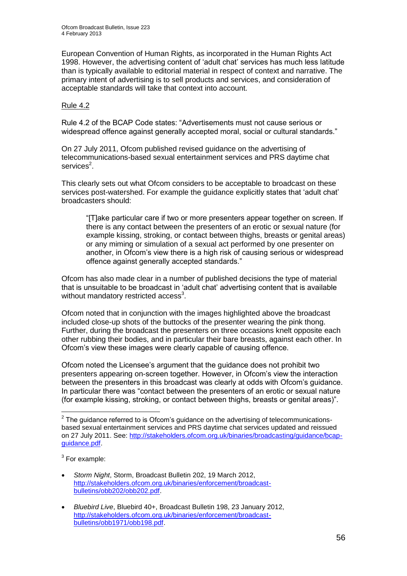European Convention of Human Rights, as incorporated in the Human Rights Act 1998. However, the advertising content of 'adult chat' services has much less latitude than is typically available to editorial material in respect of context and narrative. The primary intent of advertising is to sell products and services, and consideration of acceptable standards will take that context into account.

## Rule 4.2

Rule 4.2 of the BCAP Code states: "Advertisements must not cause serious or widespread offence against generally accepted moral, social or cultural standards."

On 27 July 2011, Ofcom published revised guidance on the advertising of telecommunications-based sexual entertainment services and PRS daytime chat services<sup>2</sup>.

This clearly sets out what Ofcom considers to be acceptable to broadcast on these services post-watershed. For example the guidance explicitly states that 'adult chat' broadcasters should:

"[T]ake particular care if two or more presenters appear together on screen. If there is any contact between the presenters of an erotic or sexual nature (for example kissing, stroking, or contact between thighs, breasts or genital areas) or any miming or simulation of a sexual act performed by one presenter on another, in Ofcom's view there is a high risk of causing serious or widespread offence against generally accepted standards."

Ofcom has also made clear in a number of published decisions the type of material that is unsuitable to be broadcast in 'adult chat' advertising content that is available without mandatory restricted access<sup>3</sup>.

Ofcom noted that in conjunction with the images highlighted above the broadcast included close-up shots of the buttocks of the presenter wearing the pink thong. Further, during the broadcast the presenters on three occasions knelt opposite each other rubbing their bodies, and in particular their bare breasts, against each other. In Ofcom's view these images were clearly capable of causing offence.

Ofcom noted the Licensee's argument that the guidance does not prohibit two presenters appearing on-screen together. However, in Ofcom's view the interaction between the presenters in this broadcast was clearly at odds with Ofcom's guidance. In particular there was "contact between the presenters of an erotic or sexual nature (for example kissing, stroking, or contact between thighs, breasts or genital areas)".

 $3$  For example:

- *Storm Night*, Storm, Broadcast Bulletin 202, 19 March 2012, [http://stakeholders.ofcom.org.uk/binaries/enforcement/broadcast](http://stakeholders.ofcom.org.uk/binaries/enforcement/broadcast-bulletins/obb202/obb202.pdf)[bulletins/obb202/obb202.pdf.](http://stakeholders.ofcom.org.uk/binaries/enforcement/broadcast-bulletins/obb202/obb202.pdf)
- *Bluebird Live*, Bluebird 40+, Broadcast Bulletin 198, 23 January 2012, [http://stakeholders.ofcom.org.uk/binaries/enforcement/broadcast](http://stakeholders.ofcom.org.uk/binaries/enforcement/broadcast-bulletins/obb1971/obb198.pdf)[bulletins/obb1971/obb198.pdf.](http://stakeholders.ofcom.org.uk/binaries/enforcement/broadcast-bulletins/obb1971/obb198.pdf)

 2 The guidance referred to is Ofcom's guidance on the advertising of telecommunicationsbased sexual entertainment services and PRS daytime chat services updated and reissued on 27 July 2011. See: [http://stakeholders.ofcom.org.uk/binaries/broadcasting/guidance/bcap](http://stakeholders.ofcom.org.uk/binaries/broadcasting/guidance/bcap-guidance.pdf)[guidance.pdf.](http://stakeholders.ofcom.org.uk/binaries/broadcasting/guidance/bcap-guidance.pdf)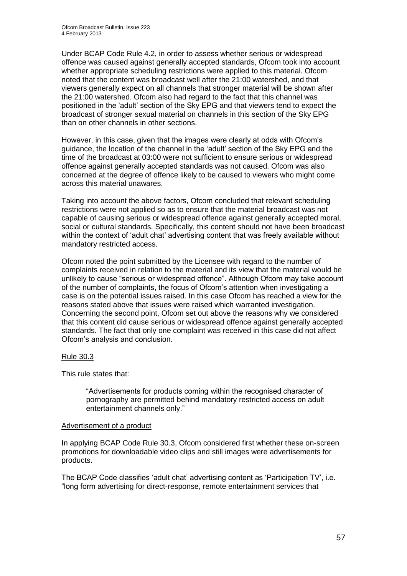Under BCAP Code Rule 4.2, in order to assess whether serious or widespread offence was caused against generally accepted standards, Ofcom took into account whether appropriate scheduling restrictions were applied to this material. Ofcom noted that the content was broadcast well after the 21:00 watershed, and that viewers generally expect on all channels that stronger material will be shown after the 21:00 watershed. Ofcom also had regard to the fact that this channel was positioned in the 'adult' section of the Sky EPG and that viewers tend to expect the broadcast of stronger sexual material on channels in this section of the Sky EPG than on other channels in other sections.

However, in this case, given that the images were clearly at odds with Ofcom's guidance, the location of the channel in the 'adult' section of the Sky EPG and the time of the broadcast at 03:00 were not sufficient to ensure serious or widespread offence against generally accepted standards was not caused. Ofcom was also concerned at the degree of offence likely to be caused to viewers who might come across this material unawares.

Taking into account the above factors, Ofcom concluded that relevant scheduling restrictions were not applied so as to ensure that the material broadcast was not capable of causing serious or widespread offence against generally accepted moral, social or cultural standards. Specifically, this content should not have been broadcast within the context of 'adult chat' advertising content that was freely available without mandatory restricted access.

Ofcom noted the point submitted by the Licensee with regard to the number of complaints received in relation to the material and its view that the material would be unlikely to cause "serious or widespread offence". Although Ofcom may take account of the number of complaints, the focus of Ofcom's attention when investigating a case is on the potential issues raised. In this case Ofcom has reached a view for the reasons stated above that issues were raised which warranted investigation. Concerning the second point, Ofcom set out above the reasons why we considered that this content did cause serious or widespread offence against generally accepted standards. The fact that only one complaint was received in this case did not affect Ofcom's analysis and conclusion.

## Rule 30.3

This rule states that:

"Advertisements for products coming within the recognised character of pornography are permitted behind mandatory restricted access on adult entertainment channels only."

#### Advertisement of a product

In applying BCAP Code Rule 30.3, Ofcom considered first whether these on-screen promotions for downloadable video clips and still images were advertisements for products.

The BCAP Code classifies 'adult chat' advertising content as 'Participation TV', i.e. "long form advertising for direct-response, remote entertainment services that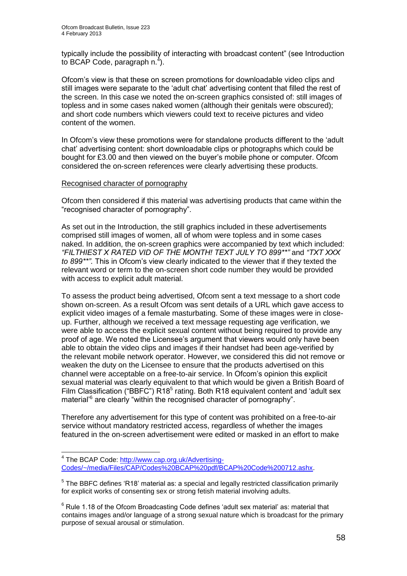typically include the possibility of interacting with broadcast content" (see Introduction to BCAP Code, paragraph  $n^4$ ).

Ofcom's view is that these on screen promotions for downloadable video clips and still images were separate to the 'adult chat' advertising content that filled the rest of the screen. In this case we noted the on-screen graphics consisted of: still images of topless and in some cases naked women (although their genitals were obscured); and short code numbers which viewers could text to receive pictures and video content of the women.

In Ofcom's view these promotions were for standalone products different to the 'adult chat' advertising content: short downloadable clips or photographs which could be bought for £3.00 and then viewed on the buyer's mobile phone or computer. Ofcom considered the on-screen references were clearly advertising these products.

#### Recognised character of pornography

Ofcom then considered if this material was advertising products that came within the "recognised character of pornography".

As set out in the Introduction, the still graphics included in these advertisements comprised still images of women, all of whom were topless and in some cases naked. In addition, the on-screen graphics were accompanied by text which included: *"FILTHIEST X RATED VID OF THE MONTH! TEXT JULY TO 899\*\*"* and *"TXT XXX to 899\*\*"*. This in Ofcom's view clearly indicated to the viewer that if they texted the relevant word or term to the on-screen short code number they would be provided with access to explicit adult material.

To assess the product being advertised, Ofcom sent a text message to a short code shown on-screen. As a result Ofcom was sent details of a URL which gave access to explicit video images of a female masturbating. Some of these images were in closeup. Further, although we received a text message requesting age verification, we were able to access the explicit sexual content without being required to provide any proof of age. We noted the Licensee's argument that viewers would only have been able to obtain the video clips and images if their handset had been age-verified by the relevant mobile network operator. However, we considered this did not remove or weaken the duty on the Licensee to ensure that the products advertised on this channel were acceptable on a free-to-air service. In Ofcom's opinion this explicit sexual material was clearly equivalent to that which would be given a British Board of Film Classification ("BBFC")  $R18<sup>5</sup>$  rating. Both R18 equivalent content and 'adult sex material<sup>'6</sup> are clearly "within the recognised character of pornography".

Therefore any advertisement for this type of content was prohibited on a free-to-air service without mandatory restricted access, regardless of whether the images featured in the on-screen advertisement were edited or masked in an effort to make

<sup>1</sup> <sup>4</sup> The BCAP Code: [http://www.cap.org.uk/Advertising-](http://www.cap.org.uk/Advertising-Codes/~/media/Files/CAP/Codes%20BCAP%20pdf/BCAP%20Code%200712.ashx)[Codes/~/media/Files/CAP/Codes%20BCAP%20pdf/BCAP%20Code%200712.ashx.](http://www.cap.org.uk/Advertising-Codes/~/media/Files/CAP/Codes%20BCAP%20pdf/BCAP%20Code%200712.ashx)

 $5$  The BBFC defines 'R18' material as: a special and legally restricted classification primarily for explicit works of consenting sex or strong fetish material involving adults.

 $6$  Rule 1.18 of the Ofcom Broadcasting Code defines 'adult sex material' as: material that contains images and/or language of a strong sexual nature which is broadcast for the primary purpose of sexual arousal or stimulation.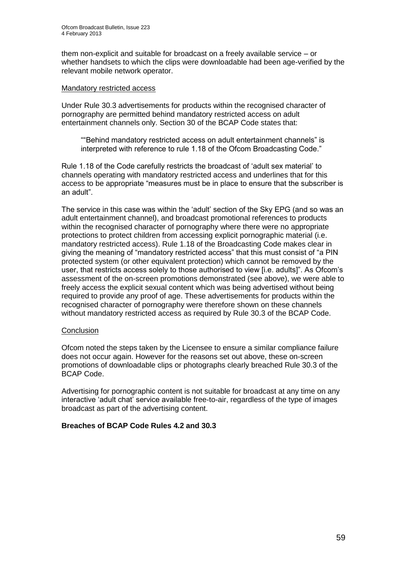them non-explicit and suitable for broadcast on a freely available service – or whether handsets to which the clips were downloadable had been age-verified by the relevant mobile network operator.

#### Mandatory restricted access

Under Rule 30.3 advertisements for products within the recognised character of pornography are permitted behind mandatory restricted access on adult entertainment channels only. Section 30 of the BCAP Code states that:

""Behind mandatory restricted access on adult entertainment channels" is interpreted with reference to rule 1.18 of the Ofcom Broadcasting Code."

Rule 1.18 of the Code carefully restricts the broadcast of 'adult sex material' to channels operating with mandatory restricted access and underlines that for this access to be appropriate "measures must be in place to ensure that the subscriber is an adult".

The service in this case was within the 'adult' section of the Sky EPG (and so was an adult entertainment channel), and broadcast promotional references to products within the recognised character of pornography where there were no appropriate protections to protect children from accessing explicit pornographic material (i.e. mandatory restricted access). Rule 1.18 of the Broadcasting Code makes clear in giving the meaning of "mandatory restricted access" that this must consist of "a PIN protected system (or other equivalent protection) which cannot be removed by the user, that restricts access solely to those authorised to view [i.e. adults]". As Ofcom's assessment of the on-screen promotions demonstrated (see above), we were able to freely access the explicit sexual content which was being advertised without being required to provide any proof of age. These advertisements for products within the recognised character of pornography were therefore shown on these channels without mandatory restricted access as required by Rule 30.3 of the BCAP Code.

## **Conclusion**

Ofcom noted the steps taken by the Licensee to ensure a similar compliance failure does not occur again. However for the reasons set out above, these on-screen promotions of downloadable clips or photographs clearly breached Rule 30.3 of the BCAP Code.

Advertising for pornographic content is not suitable for broadcast at any time on any interactive 'adult chat' service available free-to-air, regardless of the type of images broadcast as part of the advertising content.

## **Breaches of BCAP Code Rules 4.2 and 30.3**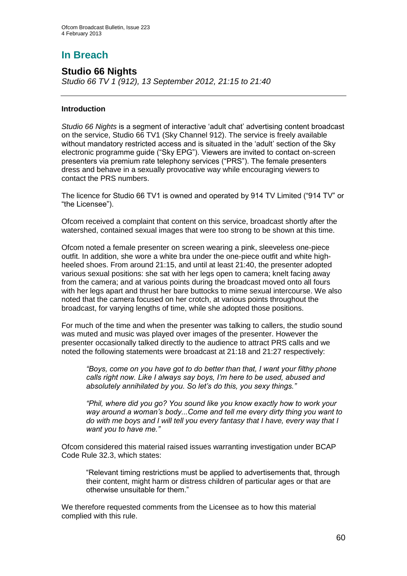## **In Breach**

## **Studio 66 Nights**

*Studio 66 TV 1 (912), 13 September 2012, 21:15 to 21:40*

## **Introduction**

*Studio 66 Nights* is a segment of interactive 'adult chat' advertising content broadcast on the service, Studio 66 TV1 (Sky Channel 912). The service is freely available without mandatory restricted access and is situated in the 'adult' section of the Sky electronic programme guide ("Sky EPG"). Viewers are invited to contact on-screen presenters via premium rate telephony services ("PRS"). The female presenters dress and behave in a sexually provocative way while encouraging viewers to contact the PRS numbers.

The licence for Studio 66 TV1 is owned and operated by 914 TV Limited ("914 TV" or "the Licensee").

Ofcom received a complaint that content on this service, broadcast shortly after the watershed, contained sexual images that were too strong to be shown at this time.

Ofcom noted a female presenter on screen wearing a pink, sleeveless one-piece outfit. In addition, she wore a white bra under the one-piece outfit and white highheeled shoes. From around 21:15, and until at least 21:40, the presenter adopted various sexual positions: she sat with her legs open to camera; knelt facing away from the camera; and at various points during the broadcast moved onto all fours with her legs apart and thrust her bare buttocks to mime sexual intercourse. We also noted that the camera focused on her crotch, at various points throughout the broadcast, for varying lengths of time, while she adopted those positions.

For much of the time and when the presenter was talking to callers, the studio sound was muted and music was played over images of the presenter. However the presenter occasionally talked directly to the audience to attract PRS calls and we noted the following statements were broadcast at 21:18 and 21:27 respectively:

*"Boys, come on you have got to do better than that, I want your filthy phone calls right now. Like I always say boys, I'm here to be used, abused and absolutely annihilated by you. So let's do this, you sexy things."*

*"Phil, where did you go? You sound like you know exactly how to work your way around a woman's body...Come and tell me every dirty thing you want to do with me boys and I will tell you every fantasy that I have, every way that I want you to have me."*

Ofcom considered this material raised issues warranting investigation under BCAP Code Rule 32.3, which states:

"Relevant timing restrictions must be applied to advertisements that, through their content, might harm or distress children of particular ages or that are otherwise unsuitable for them."

We therefore requested comments from the Licensee as to how this material complied with this rule.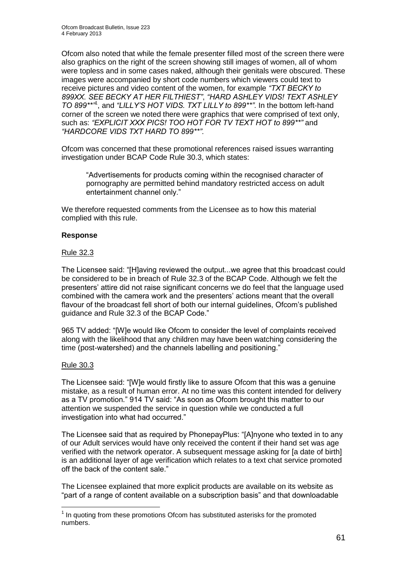Ofcom also noted that while the female presenter filled most of the screen there were also graphics on the right of the screen showing still images of women, all of whom were topless and in some cases naked, although their genitals were obscured. These images were accompanied by short code numbers which viewers could text to receive pictures and video content of the women, for example *"TXT BECKY to 899XX. SEE BECKY AT HER FILTHIEST"*, *"HARD ASHLEY VIDS! TEXT ASHLEY TO 899\*\*"*<sup>1</sup> , and *"LILLY'S HOT VIDS. TXT LILLY to 899\*\*"*. In the bottom left-hand corner of the screen we noted there were graphics that were comprised of text only, such as: *"EXPLICIT XXX PICS! TOO HOT FOR TV TEXT HOT to 899\*\*"* and *"HARDCORE VIDS TXT HARD TO 899\*\*"*.

Ofcom was concerned that these promotional references raised issues warranting investigation under BCAP Code Rule 30.3, which states:

"Advertisements for products coming within the recognised character of pornography are permitted behind mandatory restricted access on adult entertainment channel only."

We therefore requested comments from the Licensee as to how this material complied with this rule.

#### **Response**

#### Rule 32.3

The Licensee said: "[H]aving reviewed the output...we agree that this broadcast could be considered to be in breach of Rule 32.3 of the BCAP Code. Although we felt the presenters' attire did not raise significant concerns we do feel that the language used combined with the camera work and the presenters' actions meant that the overall flavour of the broadcast fell short of both our internal guidelines, Ofcom's published guidance and Rule 32.3 of the BCAP Code."

965 TV added: "[W]e would like Ofcom to consider the level of complaints received along with the likelihood that any children may have been watching considering the time (post-watershed) and the channels labelling and positioning."

#### Rule 30.3

1

The Licensee said: "[W]e would firstly like to assure Ofcom that this was a genuine mistake, as a result of human error. At no time was this content intended for delivery as a TV promotion." 914 TV said: "As soon as Ofcom brought this matter to our attention we suspended the service in question while we conducted a full investigation into what had occurred."

The Licensee said that as required by PhonepayPlus: "[A]nyone who texted in to any of our Adult services would have only received the content if their hand set was age verified with the network operator. A subsequent message asking for [a date of birth] is an additional layer of age verification which relates to a text chat service promoted off the back of the content sale."

The Licensee explained that more explicit products are available on its website as "part of a range of content available on a subscription basis" and that downloadable

 $1$  In quoting from these promotions Ofcom has substituted asterisks for the promoted numbers.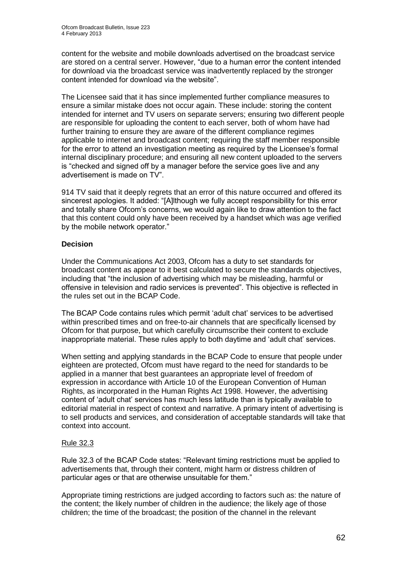content for the website and mobile downloads advertised on the broadcast service are stored on a central server. However, "due to a human error the content intended for download via the broadcast service was inadvertently replaced by the stronger content intended for download via the website".

The Licensee said that it has since implemented further compliance measures to ensure a similar mistake does not occur again. These include: storing the content intended for internet and TV users on separate servers; ensuring two different people are responsible for uploading the content to each server, both of whom have had further training to ensure they are aware of the different compliance regimes applicable to internet and broadcast content; requiring the staff member responsible for the error to attend an investigation meeting as required by the Licensee's formal internal disciplinary procedure; and ensuring all new content uploaded to the servers is "checked and signed off by a manager before the service goes live and any advertisement is made on TV".

914 TV said that it deeply regrets that an error of this nature occurred and offered its sincerest apologies. It added: "[A]lthough we fully accept responsibility for this error and totally share Ofcom's concerns, we would again like to draw attention to the fact that this content could only have been received by a handset which was age verified by the mobile network operator."

## **Decision**

Under the Communications Act 2003, Ofcom has a duty to set standards for broadcast content as appear to it best calculated to secure the standards objectives, including that "the inclusion of advertising which may be misleading, harmful or offensive in television and radio services is prevented". This objective is reflected in the rules set out in the BCAP Code.

The BCAP Code contains rules which permit 'adult chat' services to be advertised within prescribed times and on free-to-air channels that are specifically licensed by Ofcom for that purpose, but which carefully circumscribe their content to exclude inappropriate material. These rules apply to both daytime and 'adult chat' services.

When setting and applying standards in the BCAP Code to ensure that people under eighteen are protected, Ofcom must have regard to the need for standards to be applied in a manner that best guarantees an appropriate level of freedom of expression in accordance with Article 10 of the European Convention of Human Rights, as incorporated in the Human Rights Act 1998. However, the advertising content of 'adult chat' services has much less latitude than is typically available to editorial material in respect of context and narrative. A primary intent of advertising is to sell products and services, and consideration of acceptable standards will take that context into account.

## Rule 32.3

Rule 32.3 of the BCAP Code states: "Relevant timing restrictions must be applied to advertisements that, through their content, might harm or distress children of particular ages or that are otherwise unsuitable for them."

Appropriate timing restrictions are judged according to factors such as: the nature of the content; the likely number of children in the audience; the likely age of those children; the time of the broadcast; the position of the channel in the relevant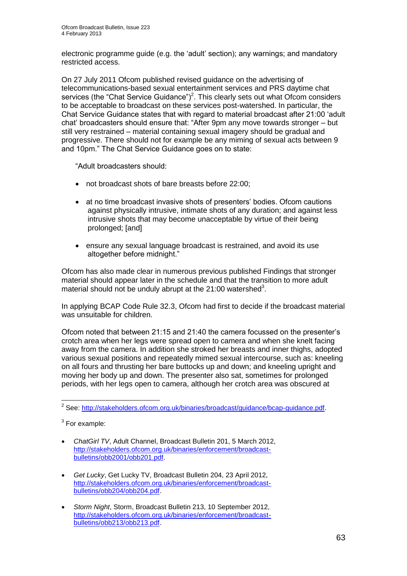electronic programme guide (e.g. the 'adult' section); any warnings; and mandatory restricted access.

On 27 July 2011 Ofcom published revised guidance on the advertising of telecommunications-based sexual entertainment services and PRS daytime chat services (the "Chat Service Guidance")<sup>2</sup>. This clearly sets out what Ofcom considers to be acceptable to broadcast on these services post-watershed. In particular, the Chat Service Guidance states that with regard to material broadcast after 21:00 'adult chat' broadcasters should ensure that: "After 9pm any move towards stronger – but still very restrained – material containing sexual imagery should be gradual and progressive. There should not for example be any miming of sexual acts between 9 and 10pm." The Chat Service Guidance goes on to state:

"Adult broadcasters should:

- not broadcast shots of bare breasts before 22:00;
- at no time broadcast invasive shots of presenters' bodies. Ofcom cautions against physically intrusive, intimate shots of any duration; and against less intrusive shots that may become unacceptable by virtue of their being prolonged; [and]
- ensure any sexual language broadcast is restrained, and avoid its use altogether before midnight."

Ofcom has also made clear in numerous previous published Findings that stronger material should appear later in the schedule and that the transition to more adult material should not be unduly abrupt at the  $21:00$  watershed<sup>3</sup>.

In applying BCAP Code Rule 32.3, Ofcom had first to decide if the broadcast material was unsuitable for children.

Ofcom noted that between 21:15 and 21:40 the camera focussed on the presenter's crotch area when her legs were spread open to camera and when she knelt facing away from the camera. In addition she stroked her breasts and inner thighs, adopted various sexual positions and repeatedly mimed sexual intercourse, such as: kneeling on all fours and thrusting her bare buttocks up and down; and kneeling upright and moving her body up and down. The presenter also sat, sometimes for prolonged periods, with her legs open to camera, although her crotch area was obscured at

 2 See: [http://stakeholders.ofcom.org.uk/binaries/broadcast/guidance/bcap-guidance.pdf.](http://stakeholders.ofcom.org.uk/binaries/broadcast/guidance/bcap-guidance.pdf)

 $3$  For example:

*ChatGirl TV*, Adult Channel, Broadcast Bulletin 201, 5 March 2012, [http://stakeholders.ofcom.org.uk/binaries/enforcement/broadcast](http://stakeholders.ofcom.org.uk/binaries/enforcement/broadcast-bulletins/obb2001/obb201.pdf)[bulletins/obb2001/obb201.pdf.](http://stakeholders.ofcom.org.uk/binaries/enforcement/broadcast-bulletins/obb2001/obb201.pdf)

*Get Lucky*, Get Lucky TV, Broadcast Bulletin 204, 23 April 2012, [http://stakeholders.ofcom.org.uk/binaries/enforcement/broadcast](http://stakeholders.ofcom.org.uk/binaries/enforcement/broadcast-bulletins/obb204/obb204.pdf)[bulletins/obb204/obb204.pdf.](http://stakeholders.ofcom.org.uk/binaries/enforcement/broadcast-bulletins/obb204/obb204.pdf)

*Storm Night*, Storm, Broadcast Bulletin 213, 10 September 2012, [http://stakeholders.ofcom.org.uk/binaries/enforcement/broadcast](http://stakeholders.ofcom.org.uk/binaries/enforcement/broadcast-bulletins/obb213/obb213.pdf)[bulletins/obb213/obb213.pdf.](http://stakeholders.ofcom.org.uk/binaries/enforcement/broadcast-bulletins/obb213/obb213.pdf)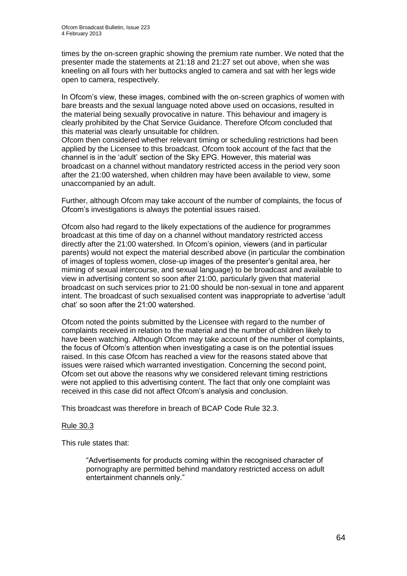times by the on-screen graphic showing the premium rate number. We noted that the presenter made the statements at 21:18 and 21:27 set out above, when she was kneeling on all fours with her buttocks angled to camera and sat with her legs wide open to camera, respectively.

In Ofcom's view, these images, combined with the on-screen graphics of women with bare breasts and the sexual language noted above used on occasions, resulted in the material being sexually provocative in nature. This behaviour and imagery is clearly prohibited by the Chat Service Guidance. Therefore Ofcom concluded that this material was clearly unsuitable for children.

Ofcom then considered whether relevant timing or scheduling restrictions had been applied by the Licensee to this broadcast. Ofcom took account of the fact that the channel is in the 'adult' section of the Sky EPG. However, this material was broadcast on a channel without mandatory restricted access in the period very soon after the 21:00 watershed, when children may have been available to view, some unaccompanied by an adult.

Further, although Ofcom may take account of the number of complaints, the focus of Ofcom's investigations is always the potential issues raised.

Ofcom also had regard to the likely expectations of the audience for programmes broadcast at this time of day on a channel without mandatory restricted access directly after the 21:00 watershed. In Ofcom's opinion, viewers (and in particular parents) would not expect the material described above (in particular the combination of images of topless women, close-up images of the presenter's genital area, her miming of sexual intercourse, and sexual language) to be broadcast and available to view in advertising content so soon after 21:00, particularly given that material broadcast on such services prior to 21:00 should be non-sexual in tone and apparent intent. The broadcast of such sexualised content was inappropriate to advertise 'adult chat' so soon after the 21:00 watershed.

Ofcom noted the points submitted by the Licensee with regard to the number of complaints received in relation to the material and the number of children likely to have been watching. Although Ofcom may take account of the number of complaints, the focus of Ofcom's attention when investigating a case is on the potential issues raised. In this case Ofcom has reached a view for the reasons stated above that issues were raised which warranted investigation. Concerning the second point, Ofcom set out above the reasons why we considered relevant timing restrictions were not applied to this advertising content. The fact that only one complaint was received in this case did not affect Ofcom's analysis and conclusion.

This broadcast was therefore in breach of BCAP Code Rule 32.3.

## Rule 30.3

This rule states that:

"Advertisements for products coming within the recognised character of pornography are permitted behind mandatory restricted access on adult entertainment channels only."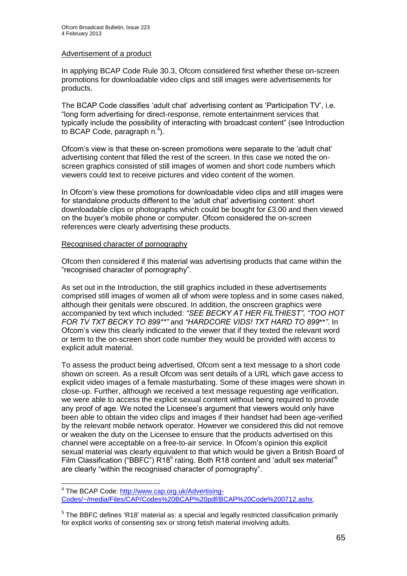#### Advertisement of a product

In applying BCAP Code Rule 30.3, Ofcom considered first whether these on-screen promotions for downloadable video clips and still images were advertisements for products.

The BCAP Code classifies 'adult chat' advertising content as 'Participation TV', i.e. "long form advertising for direct-response, remote entertainment services that typically include the possibility of interacting with broadcast content" (see Introduction to BCAP Code, paragraph  $n^4$ ).

Ofcom's view is that these on-screen promotions were separate to the 'adult chat' advertising content that filled the rest of the screen. In this case we noted the onscreen graphics consisted of still images of women and short code numbers which viewers could text to receive pictures and video content of the women.

In Ofcom's view these promotions for downloadable video clips and still images were for standalone products different to the 'adult chat' advertising content: short downloadable clips or photographs which could be bought for £3.00 and then viewed on the buyer's mobile phone or computer. Ofcom considered the on-screen references were clearly advertising these products.

#### Recognised character of pornography

Ofcom then considered if this material was advertising products that came within the "recognised character of pornography".

As set out in the Introduction, the still graphics included in these advertisements comprised still images of women all of whom were topless and in some cases naked, although their genitals were obscured. In addition, the onscreen graphics were accompanied by text which included: *"SEE BECKY AT HER FILTHIEST"*, *"TOO HOT FOR TV TXT BECKY TO 899\*\*"* and *"HARDCORE VIDS! TXT HARD TO 899*\*\**"*. In Ofcom's view this clearly indicated to the viewer that if they texted the relevant word or term to the on-screen short code number they would be provided with access to explicit adult material.

To assess the product being advertised, Ofcom sent a text message to a short code shown on screen. As a result Ofcom was sent details of a URL which gave access to explicit video images of a female masturbating. Some of these images were shown in close-up. Further, although we received a text message requesting age verification, we were able to access the explicit sexual content without being required to provide any proof of age. We noted the Licensee's argument that viewers would only have been able to obtain the video clips and images if their handset had been age-verified by the relevant mobile network operator. However we considered this did not remove or weaken the duty on the Licensee to ensure that the products advertised on this channel were acceptable on a free-to-air service. In Ofcom's opinion this explicit sexual material was clearly equivalent to that which would be given a British Board of Film Classification ("BBFC")  $R18<sup>5</sup>$  rating. Both R18 content and 'adult sex material'<sup>6</sup> are clearly "within the recognised character of pornography".

<sup>1</sup> <sup>4</sup> The BCAP Code: [http://www.cap.org.uk/Advertising-](http://www.cap.org.uk/Advertising-Codes/~/media/Files/CAP/Codes%20BCAP%20pdf/BCAP%20Code%200712.ashx)[Codes/~/media/Files/CAP/Codes%20BCAP%20pdf/BCAP%20Code%200712.ashx.](http://www.cap.org.uk/Advertising-Codes/~/media/Files/CAP/Codes%20BCAP%20pdf/BCAP%20Code%200712.ashx)

<sup>&</sup>lt;sup>5</sup> The BBFC defines 'R18' material as: a special and legally restricted classification primarily for explicit works of consenting sex or strong fetish material involving adults.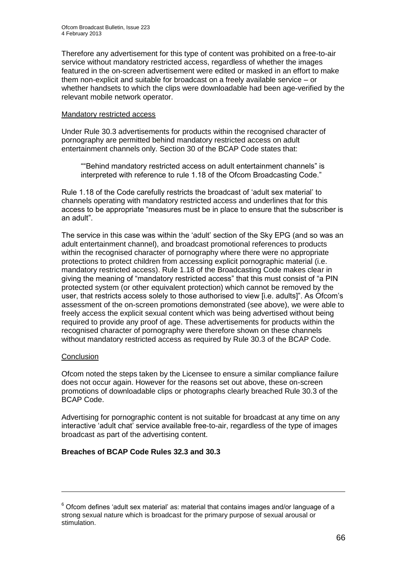Therefore any advertisement for this type of content was prohibited on a free-to-air service without mandatory restricted access, regardless of whether the images featured in the on-screen advertisement were edited or masked in an effort to make them non-explicit and suitable for broadcast on a freely available service – or whether handsets to which the clips were downloadable had been age-verified by the relevant mobile network operator.

#### Mandatory restricted access

Under Rule 30.3 advertisements for products within the recognised character of pornography are permitted behind mandatory restricted access on adult entertainment channels only. Section 30 of the BCAP Code states that:

""Behind mandatory restricted access on adult entertainment channels" is interpreted with reference to rule 1.18 of the Ofcom Broadcasting Code."

Rule 1.18 of the Code carefully restricts the broadcast of 'adult sex material' to channels operating with mandatory restricted access and underlines that for this access to be appropriate "measures must be in place to ensure that the subscriber is an adult".

The service in this case was within the 'adult' section of the Sky EPG (and so was an adult entertainment channel), and broadcast promotional references to products within the recognised character of pornography where there were no appropriate protections to protect children from accessing explicit pornographic material (i.e. mandatory restricted access). Rule 1.18 of the Broadcasting Code makes clear in giving the meaning of "mandatory restricted access" that this must consist of "a PIN protected system (or other equivalent protection) which cannot be removed by the user, that restricts access solely to those authorised to view [i.e. adults]". As Ofcom's assessment of the on-screen promotions demonstrated (see above), we were able to freely access the explicit sexual content which was being advertised without being required to provide any proof of age. These advertisements for products within the recognised character of pornography were therefore shown on these channels without mandatory restricted access as required by Rule 30.3 of the BCAP Code.

## **Conclusion**

1

Ofcom noted the steps taken by the Licensee to ensure a similar compliance failure does not occur again. However for the reasons set out above, these on-screen promotions of downloadable clips or photographs clearly breached Rule 30.3 of the BCAP Code.

Advertising for pornographic content is not suitable for broadcast at any time on any interactive 'adult chat' service available free-to-air, regardless of the type of images broadcast as part of the advertising content.

## **Breaches of BCAP Code Rules 32.3 and 30.3**

 $6$  Ofcom defines 'adult sex material' as: material that contains images and/or language of a strong sexual nature which is broadcast for the primary purpose of sexual arousal or stimulation.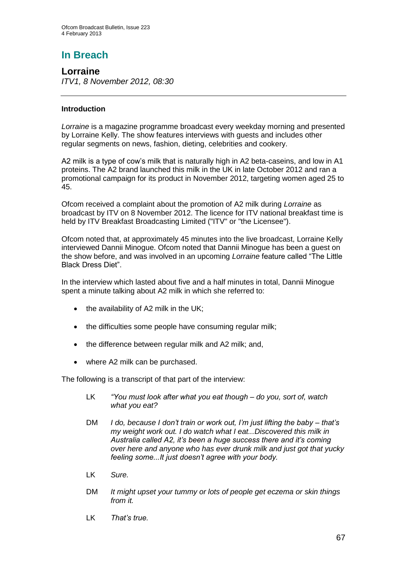# **In Breach**

**Lorraine** *ITV1, 8 November 2012, 08:30*

## **Introduction**

*Lorraine* is a magazine programme broadcast every weekday morning and presented by Lorraine Kelly. The show features interviews with guests and includes other regular segments on news, fashion, dieting, celebrities and cookery.

A2 milk is a type of cow's milk that is naturally high in A2 beta-caseins, and low in A1 proteins. The A2 brand launched this milk in the UK in late October 2012 and ran a promotional campaign for its product in November 2012, targeting women aged 25 to 45.

Ofcom received a complaint about the promotion of A2 milk during *Lorraine* as broadcast by ITV on 8 November 2012. The licence for ITV national breakfast time is held by ITV Breakfast Broadcasting Limited ("ITV" or "the Licensee").

Ofcom noted that, at approximately 45 minutes into the live broadcast, Lorraine Kelly interviewed Dannii Minogue. Ofcom noted that Dannii Minogue has been a guest on the show before, and was involved in an upcoming *Lorraine* feature called "The Little Black Dress Diet".

In the interview which lasted about five and a half minutes in total, Dannii Minogue spent a minute talking about A2 milk in which she referred to:

- $\bullet$  the availability of A2 milk in the UK;
- the difficulties some people have consuming regular milk;
- the difference between regular milk and A2 milk; and,
- where A2 milk can be purchased.

The following is a transcript of that part of the interview:

- LK *"You must look after what you eat though – do you, sort of, watch what you eat?*
- DM *I do, because I don't train or work out, I'm just lifting the baby – that's my weight work out. I do watch what I eat...Discovered this milk in Australia called A2, it's been a huge success there and it's coming over here and anyone who has ever drunk milk and just got that yucky feeling some...It just doesn't agree with your body.*
- LK *Sure.*
- DM *It might upset your tummy or lots of people get eczema or skin things from it.*
- LK *That's true.*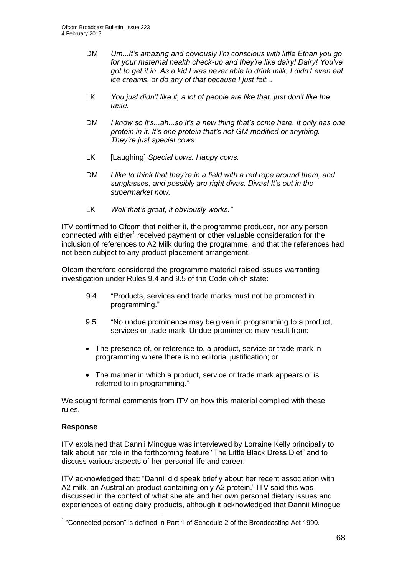- DM *Um...It's amazing and obviously I'm conscious with little Ethan you go for your maternal health check-up and they're like dairy! Dairy! You've got to get it in. As a kid I was never able to drink milk, I didn't even eat ice creams, or do any of that because I just felt...*
- LK *You just didn't like it, a lot of people are like that, just don't like the taste.*
- DM *I know so it's...ah...so it's a new thing that's come here. It only has one protein in it. It's one protein that's not GM-modified or anything. They're just special cows.*
- LK [Laughing] *Special cows. Happy cows.*
- DM *I like to think that they're in a field with a red rope around them, and sunglasses, and possibly are right divas. Divas! It's out in the supermarket now.*
- LK *Well that's great, it obviously works."*

ITV confirmed to Ofcom that neither it, the programme producer, nor any person connected with either<sup>1</sup> received payment or other valuable consideration for the inclusion of references to A2 Milk during the programme, and that the references had not been subject to any product placement arrangement.

Ofcom therefore considered the programme material raised issues warranting investigation under Rules 9.4 and 9.5 of the Code which state:

- 9.4 "Products, services and trade marks must not be promoted in programming."
- 9.5 "No undue prominence may be given in programming to a product, services or trade mark. Undue prominence may result from:
- The presence of, or reference to, a product, service or trade mark in programming where there is no editorial justification; or
- The manner in which a product, service or trade mark appears or is referred to in programming."

We sought formal comments from ITV on how this material complied with these rules.

## **Response**

ITV explained that Dannii Minogue was interviewed by Lorraine Kelly principally to talk about her role in the forthcoming feature "The Little Black Dress Diet" and to discuss various aspects of her personal life and career.

ITV acknowledged that: "Dannii did speak briefly about her recent association with A2 milk, an Australian product containing only A2 protein." ITV said this was discussed in the context of what she ate and her own personal dietary issues and experiences of eating dairy products, although it acknowledged that Dannii Minogue

 1 "Connected person" is defined in Part 1 of Schedule 2 of the Broadcasting Act 1990.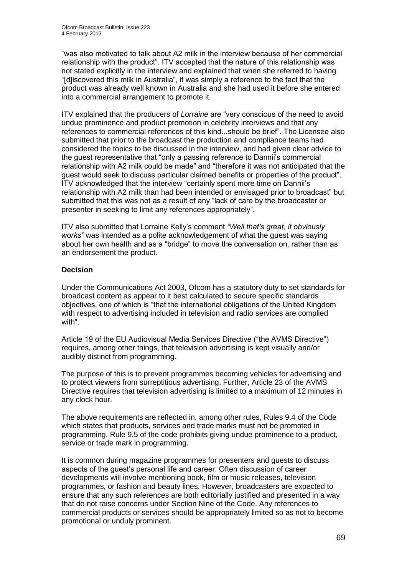"was also motivated to talk about A2 milk in the interview because of her commercial relationship with the product". ITV accepted that the nature of this relationship was not stated explicitly in the interview and explained that when she referred to having "[d]iscovered this milk in Australia", it was simply a reference to the fact that the product was already well known in Australia and she had used it before she entered into a commercial arrangement to promote it.

ITV explained that the producers of *Lorraine* are "very conscious of the need to avoid undue prominence and product promotion in celebrity interviews and that any references to commercial references of this kind...should be brief". The Licensee also submitted that prior to the broadcast the production and compliance teams had considered the topics to be discussed in the interview, and had given clear advice to the guest representative that "only a passing reference to Dannii's commercial relationship with A2 milk could be made" and "therefore it was not anticipated that the guest would seek to discuss particular claimed benefits or properties of the product". ITV acknowledged that the interview "certainly spent more time on Dannii's relationship with A2 milk than had been intended or envisaged prior to broadcast" but submitted that this was not as a result of any "lack of care by the broadcaster or presenter in seeking to limit any references appropriately".

ITV also submitted that Lorraine Kelly's comment *"Well that's great, it obviously works"* was intended as a polite acknowledgement of what the guest was saying about her own health and as a "bridge" to move the conversation on, rather than as an endorsement the product.

## **Decision**

Under the Communications Act 2003, Ofcom has a statutory duty to set standards for broadcast content as appear to it best calculated to secure specific standards objectives, one of which is "that the international obligations of the United Kingdom with respect to advertising included in television and radio services are complied with".

Article 19 of the EU Audiovisual Media Services Directive ("the AVMS Directive") requires, among other things, that television advertising is kept visually and/or audibly distinct from programming.

The purpose of this is to prevent programmes becoming vehicles for advertising and to protect viewers from surreptitious advertising. Further, Article 23 of the AVMS Directive requires that television advertising is limited to a maximum of 12 minutes in any clock hour.

The above requirements are reflected in, among other rules, Rules 9.4 of the Code which states that products, services and trade marks must not be promoted in programming. Rule 9.5 of the code prohibits giving undue prominence to a product, service or trade mark in programming.

It is common during magazine programmes for presenters and guests to discuss aspects of the guest's personal life and career. Often discussion of career developments will involve mentioning book, film or music releases, television programmes, or fashion and beauty lines. However, broadcasters are expected to ensure that any such references are both editorially justified and presented in a way that do not raise concerns under Section Nine of the Code. Any references to commercial products or services should be appropriately limited so as not to become promotional or unduly prominent.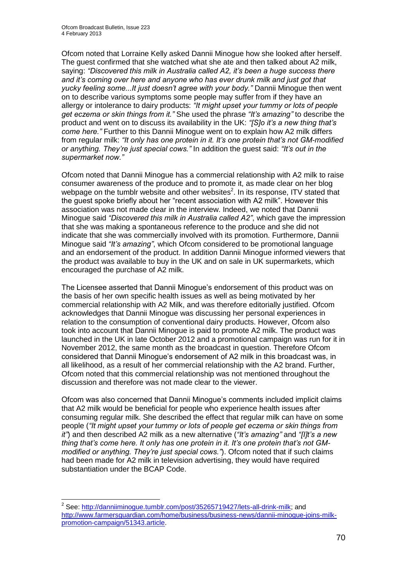1

Ofcom noted that Lorraine Kelly asked Dannii Minogue how she looked after herself. The guest confirmed that she watched what she ate and then talked about A2 milk, saying: *"Discovered this milk in Australia called A2, it's been a huge success there and it's coming over here and anyone who has ever drunk milk and just got that yucky feeling some...It just doesn't agree with your body."* Dannii Minogue then went on to describe various symptoms some people may suffer from if they have an allergy or intolerance to dairy products: *"It might upset your tummy or lots of people get eczema or skin things from it."* She used the phrase *"It's amazing"* to describe the product and went on to discuss its availability in the UK: *"[S]o it's a new thing that's come here."* Further to this Dannii Minogue went on to explain how A2 milk differs from regular milk: *"It only has one protein in it. It's one protein that's not GM-modified or anything. They're just special cows."* In addition the guest said: *"It's out in the supermarket now."*

Ofcom noted that Dannii Minogue has a commercial relationship with A2 milk to raise consumer awareness of the produce and to promote it, as made clear on her blog webpage on the tumblr website and other websites<sup>2</sup>. In its response, ITV stated that the guest spoke briefly about her "recent association with A2 milk". However this association was not made clear in the interview. Indeed, we noted that Dannii Minogue said *"Discovered this milk in Australia called A2"*, which gave the impression that she was making a spontaneous reference to the produce and she did not indicate that she was commercially involved with its promotion. Furthermore, Dannii Minogue said *"It's amazing"*, which Ofcom considered to be promotional language and an endorsement of the product. In addition Dannii Minogue informed viewers that the product was available to buy in the UK and on sale in UK supermarkets, which encouraged the purchase of A2 milk.

The Licensee asserted that Dannii Minogue's endorsement of this product was on the basis of her own specific health issues as well as being motivated by her commercial relationship with A2 Milk, and was therefore editorially justified. Ofcom acknowledges that Dannii Minogue was discussing her personal experiences in relation to the consumption of conventional dairy products. However, Ofcom also took into account that Dannii Minogue is paid to promote A2 milk. The product was launched in the UK in late October 2012 and a promotional campaign was run for it in November 2012, the same month as the broadcast in question. Therefore Ofcom considered that Dannii Minogue's endorsement of A2 milk in this broadcast was, in all likelihood, as a result of her commercial relationship with the A2 brand. Further, Ofcom noted that this commercial relationship was not mentioned throughout the discussion and therefore was not made clear to the viewer.

Ofcom was also concerned that Dannii Minogue's comments included implicit claims that A2 milk would be beneficial for people who experience health issues after consuming regular milk. She described the effect that regular milk can have on some people (*"It might upset your tummy or lots of people get eczema or skin things from it"*) and then described A2 milk as a new alternative (*"It's amazing"* and *"[I]t's a new thing that's come here. It only has one protein in it. It's one protein that's not GMmodified or anything. They're just special cows."*). Ofcom noted that if such claims had been made for A2 milk in television advertising, they would have required substantiation under the BCAP Code.

<sup>&</sup>lt;sup>2</sup> See: [http://danniiminogue.tumblr.com/post/35265719427/lets-all-drink-milk;](http://danniiminogue.tumblr.com/post/35265719427/lets-all-drink-milk) and [http://www.farmersguardian.com/home/business/business-news/dannii-minogue-joins-milk](http://www.farmersguardian.com/home/business/business-news/dannii-minogue-joins-milk-promotion-campaign/51343.article)[promotion-campaign/51343.article.](http://www.farmersguardian.com/home/business/business-news/dannii-minogue-joins-milk-promotion-campaign/51343.article)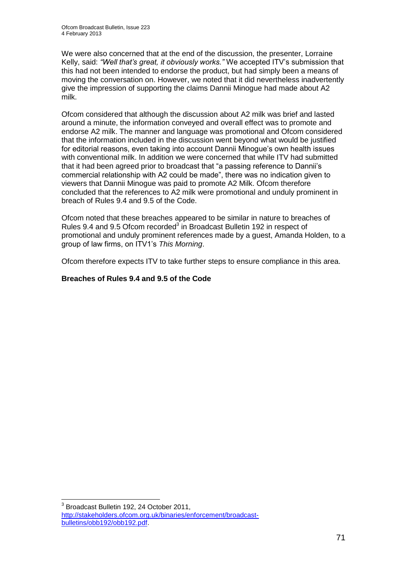We were also concerned that at the end of the discussion, the presenter, Lorraine Kelly, said: *"Well that's great, it obviously works."* We accepted ITV's submission that this had not been intended to endorse the product, but had simply been a means of moving the conversation on. However, we noted that it did nevertheless inadvertently give the impression of supporting the claims Dannii Minogue had made about A2 milk.

Ofcom considered that although the discussion about A2 milk was brief and lasted around a minute, the information conveyed and overall effect was to promote and endorse A2 milk. The manner and language was promotional and Ofcom considered that the information included in the discussion went beyond what would be justified for editorial reasons, even taking into account Dannii Minogue's own health issues with conventional milk. In addition we were concerned that while ITV had submitted that it had been agreed prior to broadcast that "a passing reference to Dannii's commercial relationship with A2 could be made", there was no indication given to viewers that Dannii Minogue was paid to promote A2 Milk. Ofcom therefore concluded that the references to A2 milk were promotional and unduly prominent in breach of Rules 9.4 and 9.5 of the Code.

Ofcom noted that these breaches appeared to be similar in nature to breaches of Rules 9.4 and 9.5 Ofcom recorded<sup>3</sup> in Broadcast Bulletin 192 in respect of promotional and unduly prominent references made by a guest, Amanda Holden, to a group of law firms, on ITV1's *This Morning*.

Ofcom therefore expects ITV to take further steps to ensure compliance in this area.

## **Breaches of Rules 9.4 and 9.5 of the Code**

1

<sup>&</sup>lt;sup>3</sup> Broadcast Bulletin 192, 24 October 2011, [http://stakeholders.ofcom.org.uk/binaries/enforcement/broadcast](http://stakeholders.ofcom.org.uk/binaries/enforcement/broadcast-bulletins/obb192/obb192.pdf)[bulletins/obb192/obb192.pdf.](http://stakeholders.ofcom.org.uk/binaries/enforcement/broadcast-bulletins/obb192/obb192.pdf)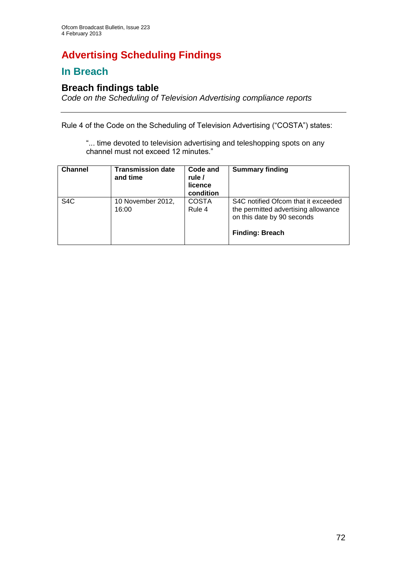# **Advertising Scheduling Findings**

## **In Breach**

## **Breach findings table**

*Code on the Scheduling of Television Advertising compliance reports*

Rule 4 of the Code on the Scheduling of Television Advertising ("COSTA") states:

"... time devoted to television advertising and teleshopping spots on any channel must not exceed 12 minutes."

| <b>Channel</b>   | <b>Transmission date</b><br>and time | Code and<br>rule /<br>licence<br>condition | <b>Summary finding</b>                                                                                                             |
|------------------|--------------------------------------|--------------------------------------------|------------------------------------------------------------------------------------------------------------------------------------|
| S <sub>4</sub> C | 10 November 2012,<br>16:00           | <b>COSTA</b><br>Rule 4                     | S4C notified Ofcom that it exceeded<br>the permitted advertising allowance<br>on this date by 90 seconds<br><b>Finding: Breach</b> |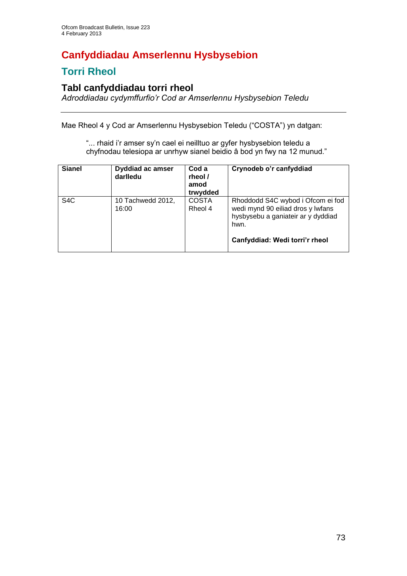# **Canfyddiadau Amserlennu Hysbysebion**

## **Torri Rheol**

### **Tabl canfyddiadau torri rheol**

*Adroddiadau cydymffurfio'r Cod ar Amserlennu Hysbysebion Teledu*

Mae Rheol 4 y Cod ar Amserlennu Hysbysebion Teledu ("COSTA") yn datgan:

"... rhaid i'r amser sy'n cael ei neilltuo ar gyfer hysbysebion teledu a chyfnodau telesiopa ar unrhyw sianel beidio â bod yn fwy na 12 munud."

| <b>Sianel</b>    | <b>Dyddiad ac amser</b><br>darlledu | Cod a<br>rheol /<br>amod<br>trwydded | Crynodeb o'r canfyddiad                                                                                                                                |
|------------------|-------------------------------------|--------------------------------------|--------------------------------------------------------------------------------------------------------------------------------------------------------|
| S <sub>4</sub> C | 10 Tachwedd 2012,<br>16:00          | <b>COSTA</b><br>Rheol 4              | Rhoddodd S4C wybod i Ofcom ei fod<br>wedi mynd 90 eiliad dros y lwfans<br>hysbysebu a ganiateir ar y dyddiad<br>hwn.<br>Canfyddiad: Wedi torri'r rheol |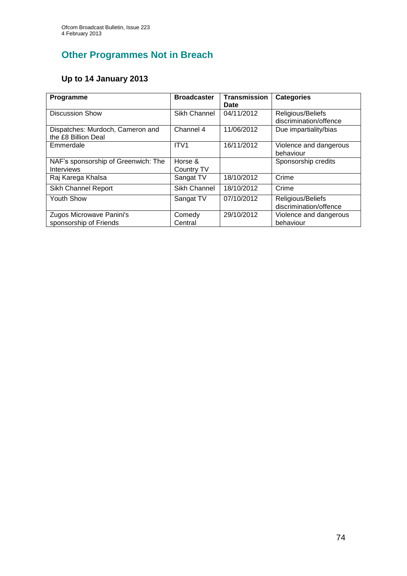## **Other Programmes Not in Breach**

#### **Up to 14 January 2013**

| Programme                           | <b>Broadcaster</b> | <b>Transmission</b> | <b>Categories</b>      |
|-------------------------------------|--------------------|---------------------|------------------------|
|                                     |                    | Date                |                        |
| <b>Discussion Show</b>              | Sikh Channel       | 04/11/2012          | Religious/Beliefs      |
|                                     |                    |                     | discrimination/offence |
| Dispatches: Murdoch, Cameron and    | Channel 4          | 11/06/2012          | Due impartiality/bias  |
| the £8 Billion Deal                 |                    |                     |                        |
| Emmerdale                           | ITV <sub>1</sub>   | 16/11/2012          | Violence and dangerous |
|                                     |                    |                     | behaviour              |
| NAF's sponsorship of Greenwich: The | Horse &            |                     | Sponsorship credits    |
| <b>Interviews</b>                   | Country TV         |                     |                        |
| Raj Karega Khalsa                   | Sangat TV          | 18/10/2012          | Crime                  |
| Sikh Channel Report                 | Sikh Channel       | 18/10/2012          | Crime                  |
|                                     |                    |                     |                        |
| <b>Youth Show</b>                   | Sangat TV          | 07/10/2012          | Religious/Beliefs      |
|                                     |                    |                     | discrimination/offence |
| Zugos Microwave Panini's            | Comedy             | 29/10/2012          | Violence and dangerous |
| sponsorship of Friends              | Central            |                     | behaviour              |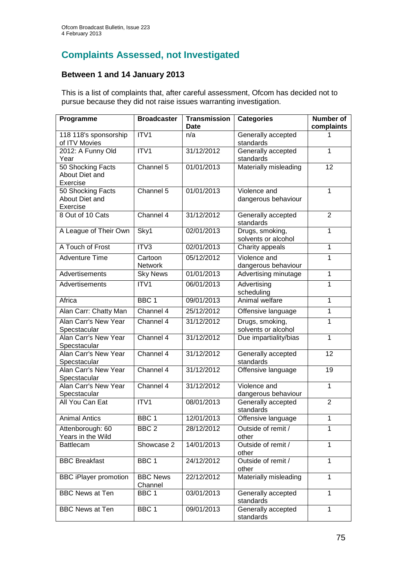## **Complaints Assessed, not Investigated**

#### **Between 1 and 14 January 2013**

This is a list of complaints that, after careful assessment, Ofcom has decided not to pursue because they did not raise issues warranting investigation.

| Programme                                       | <b>Broadcaster</b>         | <b>Transmission</b><br><b>Date</b> | <b>Categories</b>                      | Number of<br>complaints |
|-------------------------------------------------|----------------------------|------------------------------------|----------------------------------------|-------------------------|
| 118 118's sponsorship<br>of ITV Movies          | ITV1                       | n/a                                | Generally accepted<br>standards        | 1                       |
| 2012: A Funny Old<br>Year                       | ITV1                       | 31/12/2012                         | Generally accepted<br>standards        | 1                       |
| 50 Shocking Facts<br>About Diet and<br>Exercise | Channel 5                  | 01/01/2013                         | Materially misleading                  | 12                      |
| 50 Shocking Facts<br>About Diet and<br>Exercise | Channel 5                  | 01/01/2013                         | Violence and<br>dangerous behaviour    | $\mathbf{1}$            |
| 8 Out of 10 Cats                                | Channel 4                  | 31/12/2012                         | Generally accepted<br>standards        | $\overline{2}$          |
| A League of Their Own                           | Sky1                       | 02/01/2013                         | Drugs, smoking,<br>solvents or alcohol | $\overline{1}$          |
| A Touch of Frost                                | ITV3                       | 02/01/2013                         | Charity appeals                        | $\overline{1}$          |
| <b>Adventure Time</b>                           | Cartoon<br>Network         | 05/12/2012                         | Violence and<br>dangerous behaviour    | 1                       |
| Advertisements                                  | <b>Sky News</b>            | 01/01/2013                         | Advertising minutage                   | $\mathbf{1}$            |
| Advertisements                                  | ITV1                       | 06/01/2013                         | Advertising<br>scheduling              | 1                       |
| Africa                                          | BBC <sub>1</sub>           | 09/01/2013                         | Animal welfare                         | 1                       |
| Alan Carr: Chatty Man                           | Channel 4                  | 25/12/2012                         | Offensive language                     | $\mathbf{1}$            |
| Alan Carr's New Year<br>Specstacular            | Channel 4                  | 31/12/2012                         | Drugs, smoking,<br>solvents or alcohol | $\mathbf{1}$            |
| Alan Carr's New Year<br>Specstacular            | Channel 4                  | 31/12/2012                         | Due impartiality/bias                  | $\overline{1}$          |
| Alan Carr's New Year<br>Specstacular            | Channel 4                  | 31/12/2012                         | Generally accepted<br>standards        | 12                      |
| Alan Carr's New Year<br>Specstacular            | Channel 4                  | 31/12/2012                         | Offensive language                     | 19                      |
| Alan Carr's New Year<br>Specstacular            | Channel 4                  | 31/12/2012                         | Violence and<br>dangerous behaviour    | $\mathbf{1}$            |
| All You Can Eat                                 | ITV1                       | 08/01/2013                         | Generally accepted<br>standards        | $\overline{2}$          |
| <b>Animal Antics</b>                            | BBC 1                      | 12/01/2013                         | Offensive language                     | 1                       |
| Attenborough: 60<br>Years in the Wild           | BBC <sub>2</sub>           | 28/12/2012                         | Outside of remit /<br>other            | 1                       |
| <b>Battlecam</b>                                | Showcase 2                 | 14/01/2013                         | Outside of remit /<br>other            | $\mathbf{1}$            |
| <b>BBC Breakfast</b>                            | BBC <sub>1</sub>           | 24/12/2012                         | Outside of remit /<br>other            | 1                       |
| <b>BBC iPlayer promotion</b>                    | <b>BBC News</b><br>Channel | 22/12/2012                         | Materially misleading                  | $\mathbf{1}$            |
| <b>BBC News at Ten</b>                          | BBC <sub>1</sub>           | 03/01/2013                         | Generally accepted<br>standards        | 1                       |
| <b>BBC News at Ten</b>                          | BBC <sub>1</sub>           | 09/01/2013                         | Generally accepted<br>standards        | 1                       |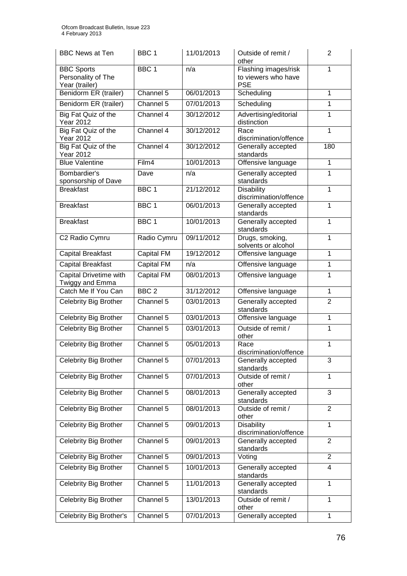| <b>BBC News at Ten</b>                                    | BBC <sub>1</sub>  | 11/01/2013 | Outside of remit /<br>other                               | $\overline{2}$ |
|-----------------------------------------------------------|-------------------|------------|-----------------------------------------------------------|----------------|
| <b>BBC Sports</b><br>Personality of The<br>Year (trailer) | BBC <sub>1</sub>  | n/a        | Flashing images/risk<br>to viewers who have<br><b>PSE</b> | 1              |
| Benidorm ER (trailer)                                     | Channel 5         | 06/01/2013 | Scheduling                                                | $\mathbf{1}$   |
| Benidorm ER (trailer)                                     | Channel 5         | 07/01/2013 | Scheduling                                                | $\mathbf{1}$   |
| Big Fat Quiz of the<br><b>Year 2012</b>                   | Channel 4         | 30/12/2012 | Advertising/editorial<br>distinction                      | 1              |
| Big Fat Quiz of the<br><b>Year 2012</b>                   | Channel 4         | 30/12/2012 | Race<br>discrimination/offence                            | 1              |
| Big Fat Quiz of the<br>Year 2012                          | Channel 4         | 30/12/2012 | Generally accepted<br>standards                           | 180            |
| <b>Blue Valentine</b>                                     | Film4             | 10/01/2013 | Offensive language                                        | $\mathbf{1}$   |
| Bombardier's<br>sponsorship of Dave                       | Dave              | n/a        | Generally accepted<br>standards                           | $\mathbf{1}$   |
| <b>Breakfast</b>                                          | BBC <sub>1</sub>  | 21/12/2012 | Disability<br>discrimination/offence                      | 1              |
| <b>Breakfast</b>                                          | BBC <sub>1</sub>  | 06/01/2013 | Generally accepted<br>standards                           | 1              |
| <b>Breakfast</b>                                          | BBC <sub>1</sub>  | 10/01/2013 | Generally accepted<br>standards                           | $\mathbf{1}$   |
| C2 Radio Cymru                                            | Radio Cymru       | 09/11/2012 | Drugs, smoking,<br>solvents or alcohol                    | $\mathbf{1}$   |
| <b>Capital Breakfast</b>                                  | <b>Capital FM</b> | 19/12/2012 | Offensive language                                        | $\mathbf{1}$   |
| <b>Capital Breakfast</b>                                  | Capital FM        | n/a        | Offensive language                                        | $\mathbf{1}$   |
| Capital Drivetime with<br>Twiggy and Emma                 | Capital FM        | 08/01/2013 | Offensive language                                        | $\mathbf{1}$   |
| Catch Me If You Can                                       | BBC <sub>2</sub>  | 31/12/2012 | Offensive language                                        | 1              |
| Celebrity Big Brother                                     | Channel 5         | 03/01/2013 | Generally accepted<br>standards                           | $\overline{2}$ |
| Celebrity Big Brother                                     | Channel 5         | 03/01/2013 | Offensive language                                        | $\mathbf{1}$   |
| Celebrity Big Brother                                     | Channel 5         | 03/01/2013 | Outside of remit /<br>other                               | $\mathbf{1}$   |
| Celebrity Big Brother                                     | Channel 5         | 05/01/2013 | Race<br>discrimination/offence                            | 1              |
| Celebrity Big Brother                                     | Channel 5         | 07/01/2013 | Generally accepted<br>standards                           | 3              |
| Celebrity Big Brother                                     | Channel 5         | 07/01/2013 | Outside of remit /<br>other                               | 1              |
| Celebrity Big Brother                                     | Channel 5         | 08/01/2013 | Generally accepted<br>standards                           | 3              |
| Celebrity Big Brother                                     | Channel 5         | 08/01/2013 | Outside of remit /<br>other                               | $\overline{2}$ |
| Celebrity Big Brother                                     | Channel 5         | 09/01/2013 | Disability<br>discrimination/offence                      | $\mathbf{1}$   |
| Celebrity Big Brother                                     | Channel 5         | 09/01/2013 | Generally accepted<br>standards                           | $\overline{2}$ |
| Celebrity Big Brother                                     | Channel 5         | 09/01/2013 | Voting                                                    | $\overline{2}$ |
| Celebrity Big Brother                                     | Channel 5         | 10/01/2013 | Generally accepted<br>standards                           | 4              |
| Celebrity Big Brother                                     | Channel 5         | 11/01/2013 | Generally accepted<br>standards                           | 1              |
| Celebrity Big Brother                                     | Channel 5         | 13/01/2013 | Outside of remit /<br>other                               | 1              |
| Celebrity Big Brother's                                   | Channel 5         | 07/01/2013 | Generally accepted                                        | 1              |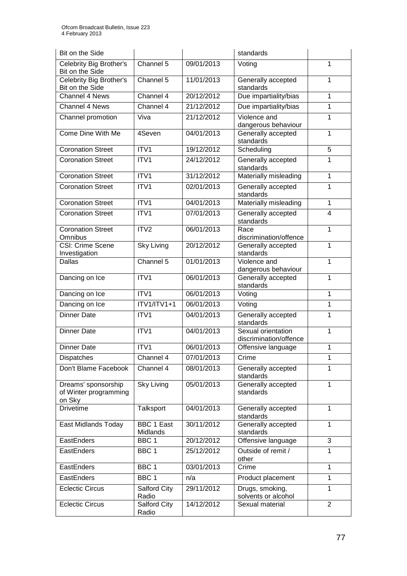| Bit on the Side                                        |                               |            | standards                                    |                |
|--------------------------------------------------------|-------------------------------|------------|----------------------------------------------|----------------|
| Celebrity Big Brother's<br>Bit on the Side             | Channel 5                     | 09/01/2013 | Voting                                       | 1              |
| Celebrity Big Brother's<br>Bit on the Side             | Channel 5                     | 11/01/2013 | Generally accepted<br>standards              | 1              |
| Channel 4 News                                         | Channel 4                     | 20/12/2012 | Due impartiality/bias                        | 1              |
| <b>Channel 4 News</b>                                  | Channel 4                     | 21/12/2012 | Due impartiality/bias                        | $\mathbf{1}$   |
| Channel promotion                                      | Viva                          | 21/12/2012 | Violence and<br>dangerous behaviour          | 1              |
| Come Dine With Me                                      | 4Seven                        | 04/01/2013 | Generally accepted<br>standards              | 1              |
| <b>Coronation Street</b>                               | ITV1                          | 19/12/2012 | Scheduling                                   | 5              |
| <b>Coronation Street</b>                               | ITV <sub>1</sub>              | 24/12/2012 | Generally accepted<br>standards              | 1              |
| <b>Coronation Street</b>                               | ITV1                          | 31/12/2012 | Materially misleading                        | 1              |
| <b>Coronation Street</b>                               | ITV1                          | 02/01/2013 | Generally accepted<br>standards              | 1              |
| <b>Coronation Street</b>                               | ITV1                          | 04/01/2013 | Materially misleading                        | $\mathbf{1}$   |
| <b>Coronation Street</b>                               | ITV1                          | 07/01/2013 | Generally accepted<br>standards              | 4              |
| <b>Coronation Street</b><br>Omnibus                    | ITV2                          | 06/01/2013 | Race<br>discrimination/offence               | 1              |
| CSI: Crime Scene<br>Investigation                      | <b>Sky Living</b>             | 20/12/2012 | Generally accepted<br>standards              | 1              |
| Dallas                                                 | Channel 5                     | 01/01/2013 | Violence and<br>dangerous behaviour          | 1              |
| Dancing on Ice                                         | ITV1                          | 06/01/2013 | Generally accepted<br>standards              | 1              |
| Dancing on Ice                                         | ITV1                          | 06/01/2013 | Voting                                       | $\mathbf{1}$   |
| Dancing on Ice                                         | $ITV1/ITV1+1$                 | 06/01/2013 | Voting                                       | 1              |
| <b>Dinner Date</b>                                     | ITV1                          | 04/01/2013 | Generally accepted<br>standards              | 1              |
| <b>Dinner Date</b>                                     | ITV <sub>1</sub>              | 04/01/2013 | Sexual orientation<br>discrimination/offence | 1              |
| <b>Dinner Date</b>                                     | ITV1                          | 06/01/2013 | Offensive language                           | 1              |
| Dispatches                                             | Channel 4                     | 07/01/2013 | Crime                                        | 1              |
| Don't Blame Facebook                                   | Channel 4                     | 08/01/2013 | Generally accepted<br>standards              |                |
| Dreams' sponsorship<br>of Winter programming<br>on Sky | <b>Sky Living</b>             | 05/01/2013 | Generally accepted<br>standards              | 1              |
| <b>Drivetime</b>                                       | Talksport                     | 04/01/2013 | Generally accepted<br>standards              | 1              |
| East Midlands Today                                    | <b>BBC 1 East</b><br>Midlands | 30/11/2012 | Generally accepted<br>standards              | 1              |
| EastEnders                                             | BBC <sub>1</sub>              | 20/12/2012 | Offensive language                           | 3              |
| EastEnders                                             | BBC <sub>1</sub>              | 25/12/2012 | Outside of remit /<br>other                  | 1              |
| EastEnders                                             | BBC <sub>1</sub>              | 03/01/2013 | Crime                                        | 1              |
| EastEnders                                             | BBC <sub>1</sub>              | n/a        | Product placement                            | $\mathbf{1}$   |
| <b>Eclectic Circus</b>                                 | Salford City<br>Radio         | 29/11/2012 | Drugs, smoking,<br>solvents or alcohol       | 1              |
| <b>Eclectic Circus</b>                                 | Salford City<br>Radio         | 14/12/2012 | Sexual material                              | $\overline{2}$ |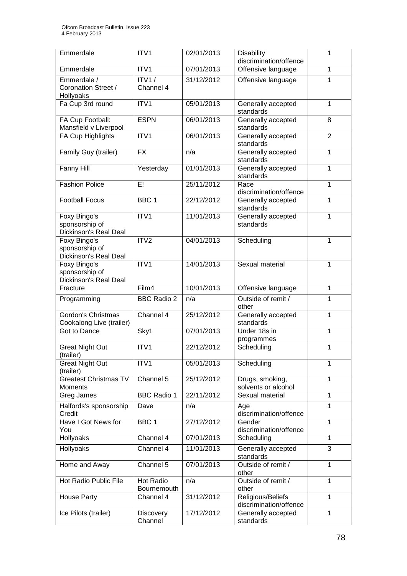| Emmerdale                                               | ITV <sub>1</sub>         | 02/01/2013 | <b>Disability</b><br>discrimination/offence | 1              |
|---------------------------------------------------------|--------------------------|------------|---------------------------------------------|----------------|
| Emmerdale                                               | ITV1                     | 07/01/2013 | Offensive language                          | $\mathbf{1}$   |
| Emmerdale /<br>Coronation Street /<br>Hollyoaks         | ITV1/<br>Channel 4       | 31/12/2012 | Offensive language                          | 1              |
| Fa Cup 3rd round                                        | ITV1                     | 05/01/2013 | Generally accepted<br>standards             | 1              |
| FA Cup Football:<br>Mansfield v Liverpool               | <b>ESPN</b>              | 06/01/2013 | Generally accepted<br>standards             | 8              |
| FA Cup Highlights                                       | ITV1                     | 06/01/2013 | Generally accepted<br>standards             | $\overline{2}$ |
| Family Guy (trailer)                                    | <b>FX</b>                | n/a        | Generally accepted<br>standards             | 1              |
| Fanny Hill                                              | Yesterday                | 01/01/2013 | Generally accepted<br>standards             | 1              |
| <b>Fashion Police</b>                                   | E!                       | 25/11/2012 | Race<br>discrimination/offence              | $\mathbf{1}$   |
| <b>Football Focus</b>                                   | BBC <sub>1</sub>         | 22/12/2012 | Generally accepted<br>standards             | 1              |
| Foxy Bingo's<br>sponsorship of<br>Dickinson's Real Deal | ITV1                     | 11/01/2013 | Generally accepted<br>standards             | 1              |
| Foxy Bingo's<br>sponsorship of<br>Dickinson's Real Deal | ITV2                     | 04/01/2013 | Scheduling                                  | 1              |
| Foxy Bingo's<br>sponsorship of<br>Dickinson's Real Deal | ITV1                     | 14/01/2013 | Sexual material                             | $\mathbf{1}$   |
| Fracture                                                | Film4                    | 10/01/2013 | Offensive language                          | $\mathbf 1$    |
| Programming                                             | <b>BBC Radio 2</b>       | n/a        | Outside of remit /<br>other                 | $\mathbf{1}$   |
| Gordon's Christmas<br>Cookalong Live (trailer)          | Channel 4                | 25/12/2012 | Generally accepted<br>standards             | $\mathbf{1}$   |
| Got to Dance                                            | Sky1                     | 07/01/2013 | Under 18s in<br>programmes                  | $\mathbf{1}$   |
| <b>Great Night Out</b><br>(trailer)                     | ITV1                     | 22/12/2012 | Scheduling                                  | 1              |
| <b>Great Night Out</b><br>(trailer)                     | ITV1                     | 05/01/2013 | Scheduling                                  | 1              |
| <b>Greatest Christmas TV</b><br>Moments                 | Channel 5                | 25/12/2012 | Drugs, smoking,<br>solvents or alcohol      | 1              |
| Greg James                                              | <b>BBC Radio 1</b>       | 22/11/2012 | Sexual material                             | $\mathbf{1}$   |
| Halfords's sponsorship<br>Credit                        | Dave                     | n/a        | Age<br>discrimination/offence               | 1              |
| Have I Got News for<br>You                              | BBC <sub>1</sub>         | 27/12/2012 | Gender<br>discrimination/offence            | 1              |
| Hollyoaks                                               | Channel 4                | 07/01/2013 | Scheduling                                  | $\mathbf{1}$   |
| Hollyoaks                                               | Channel 4                | 11/01/2013 | Generally accepted<br>standards             | 3              |
| Home and Away                                           | Channel 5                | 07/01/2013 | Outside of remit /<br>other                 | $\mathbf{1}$   |
| Hot Radio Public File                                   | Hot Radio<br>Bournemouth | n/a        | Outside of remit /<br>other                 | $\mathbf{1}$   |
| <b>House Party</b>                                      | Channel 4                | 31/12/2012 | Religious/Beliefs<br>discrimination/offence | $\mathbf{1}$   |
| Ice Pilots (trailer)                                    | Discovery<br>Channel     | 17/12/2012 | Generally accepted<br>standards             | $\mathbf{1}$   |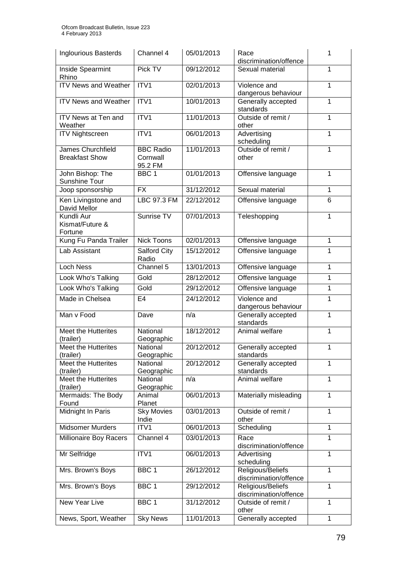| <b>Inglourious Basterds</b>                       | Channel 4                               | 05/01/2013 | Race<br>discrimination/offence              | 1              |
|---------------------------------------------------|-----------------------------------------|------------|---------------------------------------------|----------------|
| Inside Spearmint<br>Rhino                         | Pick TV                                 | 09/12/2012 | Sexual material                             | 1              |
| <b>ITV News and Weather</b>                       | ITV1                                    | 02/01/2013 | Violence and<br>dangerous behaviour         | 1              |
| <b>ITV News and Weather</b>                       | ITV1                                    | 10/01/2013 | Generally accepted<br>standards             | 1              |
| <b>ITV News at Ten and</b><br>Weather             | ITV1                                    | 11/01/2013 | Outside of remit /<br>other                 | 1              |
| <b>ITV Nightscreen</b>                            | ITV1                                    | 06/01/2013 | Advertising<br>scheduling                   | 1              |
| <b>James Churchfield</b><br><b>Breakfast Show</b> | <b>BBC Radio</b><br>Cornwall<br>95.2 FM | 11/01/2013 | Outside of remit /<br>other                 | 1              |
| John Bishop: The<br>Sunshine Tour                 | BBC <sub>1</sub>                        | 01/01/2013 | Offensive language                          | $\mathbf{1}$   |
| Joop sponsorship                                  | <b>FX</b>                               | 31/12/2012 | Sexual material                             | $\mathbf{1}$   |
| Ken Livingstone and<br>David Mellor               | LBC 97.3 FM                             | 22/12/2012 | Offensive language                          | 6              |
| Kundli Aur<br>Kismat/Future &<br>Fortune          | Sunrise TV                              | 07/01/2013 | Teleshopping                                | 1              |
| Kung Fu Panda Trailer                             | <b>Nick Toons</b>                       | 02/01/2013 | Offensive language                          | 1              |
| Lab Assistant                                     | Salford City<br>Radio                   | 15/12/2012 | Offensive language                          | 1              |
| <b>Loch Ness</b>                                  | Channel 5                               | 13/01/2013 | Offensive language                          | 1              |
| Look Who's Talking                                | Gold                                    | 28/12/2012 | Offensive language                          | 1              |
| Look Who's Talking                                | Gold                                    | 29/12/2012 | Offensive language                          | $\overline{1}$ |
| Made in Chelsea                                   | E <sub>4</sub>                          | 24/12/2012 | Violence and<br>dangerous behaviour         | $\mathbf{1}$   |
| Man v Food                                        | Dave                                    | n/a        | Generally accepted<br>standards             | 1              |
| Meet the Hutterites<br>(trailer)                  | National<br>Geographic                  | 18/12/2012 | Animal welfare                              | 1              |
| Meet the Hutterites<br>(trailer)                  | National<br>Geographic                  | 20/12/2012 | Generally accepted<br>standards             | 1              |
| <b>Meet the Hutterites</b><br>(trailer)           | National<br>Geographic                  | 20/12/2012 | Generally accepted<br>standards             | 1              |
| Meet the Hutterites<br>(trailer)                  | National<br>Geographic                  | n/a        | Animal welfare                              | 1              |
| Mermaids: The Body<br>Found                       | Animal<br>Planet                        | 06/01/2013 | Materially misleading                       | 1              |
| Midnight In Paris                                 | <b>Sky Movies</b><br>Indie              | 03/01/2013 | Outside of remit /<br>other                 | 1              |
| Midsomer Murders                                  | ITV1                                    | 06/01/2013 | Scheduling                                  | $\mathbf{1}$   |
| Millionaire Boy Racers                            | Channel 4                               | 03/01/2013 | Race<br>discrimination/offence              | 1              |
| Mr Selfridge                                      | ITV1                                    | 06/01/2013 | Advertising<br>scheduling                   | 1              |
| Mrs. Brown's Boys                                 | BBC1                                    | 26/12/2012 | Religious/Beliefs<br>discrimination/offence | 1              |
| Mrs. Brown's Boys                                 | BBC 1                                   | 29/12/2012 | Religious/Beliefs<br>discrimination/offence | 1              |
| New Year Live                                     | BBC 1                                   | 31/12/2012 | Outside of remit /<br>other                 | 1              |
| News, Sport, Weather                              | <b>Sky News</b>                         | 11/01/2013 | Generally accepted                          | $\mathbf{1}$   |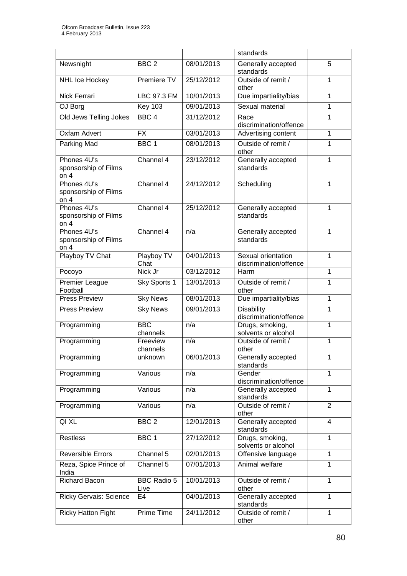|                                               |                            |            | standards                                    |                |
|-----------------------------------------------|----------------------------|------------|----------------------------------------------|----------------|
| Newsnight                                     | $BBC$ <sub>2</sub>         | 08/01/2013 | Generally accepted<br>standards              | $\overline{5}$ |
| NHL Ice Hockey                                | Premiere TV                | 25/12/2012 | Outside of remit /<br>1<br>other             |                |
| Nick Ferrari                                  | LBC 97.3 FM                | 10/01/2013 | Due impartiality/bias                        | 1              |
| OJ Borg                                       | <b>Key 103</b>             | 09/01/2013 | Sexual material                              | $\mathbf{1}$   |
| Old Jews Telling Jokes                        | BBC <sub>4</sub>           | 31/12/2012 | Race<br>discrimination/offence               | $\mathbf{1}$   |
| <b>Oxfam Advert</b>                           | <b>FX</b>                  | 03/01/2013 | Advertising content                          | $\mathbf{1}$   |
| Parking Mad                                   | BBC <sub>1</sub>           | 08/01/2013 | Outside of remit /<br>other                  | 1              |
| Phones 4U's<br>sponsorship of Films<br>on $4$ | Channel 4                  | 23/12/2012 | Generally accepted<br>standards              | 1              |
| Phones 4U's<br>sponsorship of Films<br>on $4$ | Channel 4                  | 24/12/2012 | Scheduling                                   | 1              |
| Phones 4U's<br>sponsorship of Films<br>on $4$ | Channel 4                  | 25/12/2012 | Generally accepted<br>standards              | $\mathbf{1}$   |
| Phones 4U's<br>sponsorship of Films<br>on $4$ | Channel 4                  | n/a        | Generally accepted<br>standards              | $\mathbf{1}$   |
| Playboy TV Chat                               | Playboy TV<br>Chat         | 04/01/2013 | Sexual orientation<br>discrimination/offence | $\mathbf{1}$   |
| Pocoyo                                        | Nick Jr                    | 03/12/2012 | Harm                                         | $\mathbf{1}$   |
| Premier League<br>Football                    | Sky Sports 1               | 13/01/2013 | Outside of remit /<br>other                  | 1              |
| <b>Press Preview</b>                          | <b>Sky News</b>            | 08/01/2013 | Due impartiality/bias                        | $\mathbf{1}$   |
| <b>Press Preview</b>                          | <b>Sky News</b>            | 09/01/2013 | <b>Disability</b><br>discrimination/offence  | 1              |
| Programming                                   | <b>BBC</b><br>channels     | n/a        | Drugs, smoking,<br>solvents or alcohol       | $\mathbf{1}$   |
| Programming                                   | Freeview<br>channels       | n/a        | Outside of remit /<br>other                  | $\mathbf{1}$   |
| Programming                                   | unknown                    | 06/01/2013 | Generally accepted<br>standards              | 1              |
| Programming                                   | Various                    | n/a        | Gender<br>discrimination/offence             | 1              |
| Programming                                   | Various                    | n/a        | Generally accepted<br>standards              | $\mathbf{1}$   |
| Programming                                   | Various                    | n/a        | Outside of remit /<br>other                  | $\overline{2}$ |
| QI XL                                         | BBC <sub>2</sub>           | 12/01/2013 | Generally accepted<br>standards              | $\overline{4}$ |
| <b>Restless</b>                               | BBC 1                      | 27/12/2012 | Drugs, smoking,<br>solvents or alcohol       | $\mathbf{1}$   |
| <b>Reversible Errors</b>                      | Channel 5                  | 02/01/2013 | Offensive language                           | $\mathbf{1}$   |
| Reza, Spice Prince of<br>India                | Channel 5                  | 07/01/2013 | Animal welfare                               | $\mathbf{1}$   |
| <b>Richard Bacon</b>                          | <b>BBC Radio 5</b><br>Live | 10/01/2013 | Outside of remit /<br>other                  | $\mathbf{1}$   |
| <b>Ricky Gervais: Science</b>                 | E4                         | 04/01/2013 | Generally accepted<br>standards              | 1              |
| <b>Ricky Hatton Fight</b>                     | Prime Time                 | 24/11/2012 | Outside of remit /<br>other                  | $\mathbf{1}$   |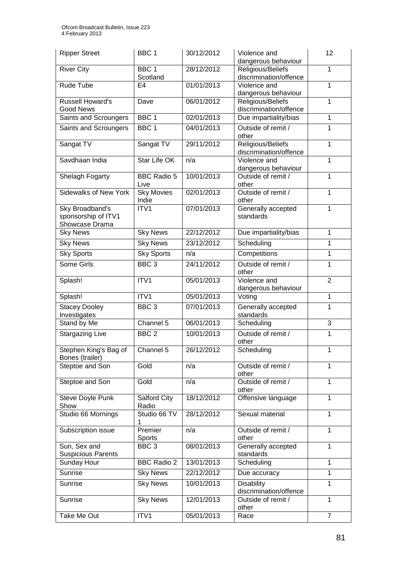| <b>Ripper Street</b>                                     | BBC <sub>1</sub>             | 30/12/2012 | Violence and<br>dangerous behaviour         | 12             |
|----------------------------------------------------------|------------------------------|------------|---------------------------------------------|----------------|
| <b>River City</b>                                        | BBC <sub>1</sub><br>Scotland | 28/12/2012 | Religious/Beliefs<br>discrimination/offence | $\mathbf{1}$   |
| Rude Tube                                                | E <sub>4</sub>               | 01/01/2013 | Violence and<br>dangerous behaviour         | 1              |
| Russell Howard's<br><b>Good News</b>                     | Dave                         | 06/01/2012 | Religious/Beliefs<br>discrimination/offence | 1              |
| Saints and Scroungers                                    | BBC <sub>1</sub>             | 02/01/2013 | Due impartiality/bias                       | 1              |
| Saints and Scroungers                                    | BBC <sub>1</sub>             | 04/01/2013 | Outside of remit /<br>other                 | $\mathbf{1}$   |
| Sangat TV                                                | Sangat TV                    | 29/11/2012 | Religious/Beliefs<br>discrimination/offence | $\mathbf{1}$   |
| Savdhaan India                                           | Star Life OK                 | n/a        | Violence and<br>dangerous behaviour         | 1              |
| Shelagh Fogarty                                          | <b>BBC Radio 5</b><br>Live   | 10/01/2013 | Outside of remit /<br>other                 | $\mathbf{1}$   |
| <b>Sidewalks of New York</b>                             | <b>Sky Movies</b><br>Indie   | 02/01/2013 | Outside of remit /<br>other                 | $\mathbf{1}$   |
| Sky Broadband's<br>sponsorship of ITV1<br>Showcase Drama | ITV1                         | 07/01/2013 | Generally accepted<br>standards             | 1              |
| <b>Sky News</b>                                          | <b>Sky News</b>              | 22/12/2012 | Due impartiality/bias                       | $\mathbf{1}$   |
| <b>Sky News</b>                                          | <b>Sky News</b>              | 23/12/2012 | Scheduling                                  | 1              |
| <b>Sky Sports</b>                                        | <b>Sky Sports</b>            | n/a        | Competitions                                | $\mathbf{1}$   |
| Some Girls                                               | BBC <sub>3</sub>             | 24/11/2012 | Outside of remit /<br>other                 | $\mathbf{1}$   |
| Splash!                                                  | ITV1                         | 05/01/2013 | Violence and<br>dangerous behaviour         | $\overline{2}$ |
| Splash!                                                  | ITV1                         | 05/01/2013 | Voting                                      | $\overline{1}$ |
| <b>Stacey Dooley</b><br>Investigates                     | BBC <sub>3</sub>             | 07/01/2013 | Generally accepted<br>standards             | 1              |
| Stand by Me                                              | Channel 5                    | 06/01/2013 | Scheduling                                  | 3              |
| <b>Stargazing Live</b>                                   | BBC <sub>2</sub>             | 10/01/2013 | Outside of remit /<br>other                 | 1              |
| Stephen King's Bag of<br>Bones (trailer)                 | Channel 5                    | 26/12/2012 | Scheduling                                  | $\mathbf{1}$   |
| Steptoe and Son                                          | Gold                         | n/a        | Outside of remit /<br>other                 | $\mathbf{1}$   |
| Steptoe and Son                                          | Gold                         | n/a        | Outside of remit /<br>other                 | $\mathbf{1}$   |
| Steve Doyle Punk<br>Show                                 | Salford City<br>Radio        | 18/12/2012 | Offensive language                          | $\mathbf{1}$   |
| Studio 66 Mornings                                       | Studio 66 TV<br>1            | 28/12/2012 | Sexual material                             | $\mathbf{1}$   |
| Subscription issue                                       | Premier<br>Sports            | n/a        | Outside of remit /<br>other                 | $\mathbf{1}$   |
| Sun, Sex and<br><b>Suspicious Parents</b>                | BBC <sub>3</sub>             | 08/01/2013 | Generally accepted<br>standards             | 1              |
| Sunday Hour                                              | <b>BBC Radio 2</b>           | 13/01/2013 | Scheduling                                  | $\mathbf{1}$   |
| Sunrise                                                  | <b>Sky News</b>              | 22/12/2012 | Due accuracy                                | $\mathbf{1}$   |
| Sunrise                                                  | <b>Sky News</b>              | 10/01/2013 | Disability<br>discrimination/offence        | $\mathbf{1}$   |
| Sunrise                                                  | <b>Sky News</b>              | 12/01/2013 | Outside of remit /<br>other                 | 1              |
| Take Me Out                                              | ITV1                         | 05/01/2013 | Race                                        | $\overline{7}$ |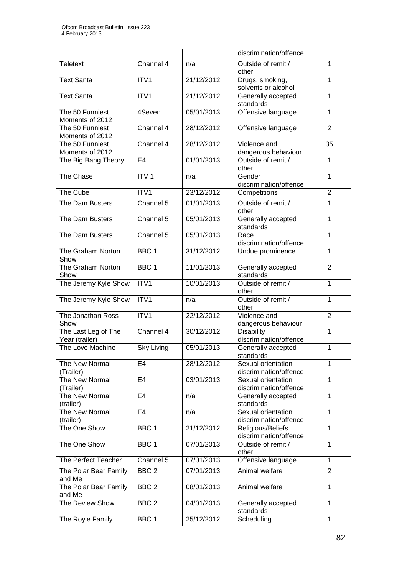|                                       |                    |            | discrimination/offence                       |                |
|---------------------------------------|--------------------|------------|----------------------------------------------|----------------|
| <b>Teletext</b>                       | Channel 4          | n/a        | Outside of remit /<br>other                  | $\mathbf{1}$   |
| <b>Text Santa</b>                     | ITV <sub>1</sub>   | 21/12/2012 | Drugs, smoking,<br>solvents or alcohol       | 1              |
| <b>Text Santa</b>                     | ITV1               | 21/12/2012 | Generally accepted<br>standards              | 1              |
| The 50 Funniest<br>Moments of 2012    | 4Seven             | 05/01/2013 | Offensive language                           | $\mathbf{1}$   |
| The 50 Funniest<br>Moments of 2012    | Channel 4          | 28/12/2012 | Offensive language                           | $\overline{2}$ |
| The 50 Funniest<br>Moments of 2012    | Channel 4          | 28/12/2012 | Violence and<br>dangerous behaviour          | 35             |
| The Big Bang Theory                   | E <sub>4</sub>     | 01/01/2013 | Outside of remit /<br>other                  | 1              |
| The Chase                             | ITV <sub>1</sub>   | n/a        | Gender<br>discrimination/offence             | 1              |
| The Cube                              | ITV1               | 23/12/2012 | Competitions                                 | $\overline{2}$ |
| The Dam Busters                       | Channel 5          | 01/01/2013 | Outside of remit /<br>other                  | $\mathbf{1}$   |
| The Dam Busters                       | Channel 5          | 05/01/2013 | Generally accepted<br>standards              | 1              |
| The Dam Busters                       | Channel 5          | 05/01/2013 | Race<br>discrimination/offence               | $\mathbf{1}$   |
| The Graham Norton<br>Show             | BBC <sub>1</sub>   | 31/12/2012 | Undue prominence                             | 1              |
| The Graham Norton<br>Show             | BBC <sub>1</sub>   | 11/01/2013 | Generally accepted<br>standards              | $\overline{2}$ |
| The Jeremy Kyle Show                  | ITV1               | 10/01/2013 | Outside of remit /<br>other                  | 1              |
| The Jeremy Kyle Show                  | ITV1               | n/a        | Outside of remit /<br>other                  | 1              |
| The Jonathan Ross<br>Show             | ITV1               | 22/12/2012 | Violence and<br>dangerous behaviour          | $\overline{2}$ |
| The Last Leg of The<br>Year (trailer) | Channel 4          | 30/12/2012 | <b>Disability</b><br>discrimination/offence  | $\mathbf{1}$   |
| The Love Machine                      | <b>Sky Living</b>  | 05/01/2013 | Generally accepted<br>standards              | 1              |
| The New Normal<br>(Trailer)           | E <sub>4</sub>     | 28/12/2012 | Sexual orientation<br>discrimination/offence | 1              |
| The New Normal<br>(Trailer)           | E <sub>4</sub>     | 03/01/2013 | Sexual orientation<br>discrimination/offence | 1              |
| The New Normal<br>(trailer)           | E4                 | n/a        | Generally accepted<br>standards              | 1              |
| The New Normal<br>(trailer)           | E <sub>4</sub>     | n/a        | Sexual orientation<br>discrimination/offence | 1              |
| The One Show                          | BBC $\overline{1}$ | 21/12/2012 | Religious/Beliefs<br>discrimination/offence  | 1              |
| The One Show                          | BBC <sub>1</sub>   | 07/01/2013 | Outside of remit /<br>other                  | 1              |
| The Perfect Teacher                   | Channel 5          | 07/01/2013 | Offensive language                           | 1              |
| The Polar Bear Family<br>and Me       | BBC <sub>2</sub>   | 07/01/2013 | Animal welfare                               | $\overline{2}$ |
| The Polar Bear Family<br>and Me       | BBC <sub>2</sub>   | 08/01/2013 | Animal welfare                               | $\mathbf{1}$   |
| The Review Show                       | BBC <sub>2</sub>   | 04/01/2013 | Generally accepted<br>standards              | 1              |
| The Royle Family                      | BBC 1              | 25/12/2012 | Scheduling                                   | $\mathbf{1}$   |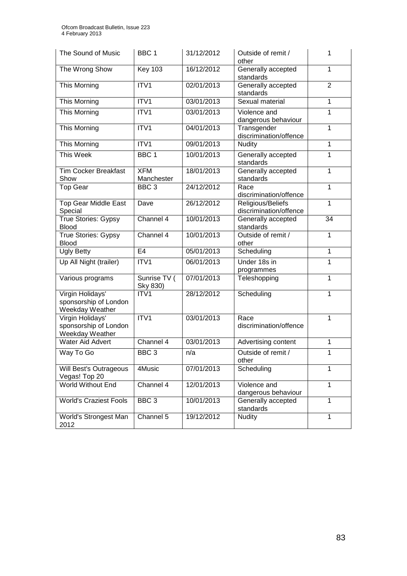| The Sound of Music                                           | BBC 1                    | 31/12/2012 | Outside of remit /<br>other                 | 1              |
|--------------------------------------------------------------|--------------------------|------------|---------------------------------------------|----------------|
| The Wrong Show                                               | <b>Key 103</b>           | 16/12/2012 | Generally accepted<br>standards             | 1              |
| This Morning                                                 | ITV1                     | 02/01/2013 | Generally accepted<br>standards             | $\overline{2}$ |
| This Morning                                                 | ITV1                     | 03/01/2013 | Sexual material                             | $\mathbf{1}$   |
| This Morning                                                 | ITV1                     | 03/01/2013 | Violence and<br>dangerous behaviour         | 1              |
| This Morning                                                 | ITV1                     | 04/01/2013 | Transgender<br>discrimination/offence       | 1              |
| This Morning                                                 | ITV1                     | 09/01/2013 | <b>Nudity</b>                               | 1              |
| This Week                                                    | BBC <sub>1</sub>         | 10/01/2013 | Generally accepted<br>standards             | $\mathbf{1}$   |
| <b>Tim Cocker Breakfast</b><br>Show                          | <b>XFM</b><br>Manchester | 18/01/2013 | Generally accepted<br>standards             | $\mathbf{1}$   |
| <b>Top Gear</b>                                              | BBC <sub>3</sub>         | 24/12/2012 | Race<br>discrimination/offence              | 1              |
| <b>Top Gear Middle East</b><br>Special                       | Dave                     | 26/12/2012 | Religious/Beliefs<br>discrimination/offence | 1              |
| True Stories: Gypsy<br><b>Blood</b>                          | Channel 4                | 10/01/2013 | Generally accepted<br>standards             | 34             |
| True Stories: Gypsy<br><b>Blood</b>                          | Channel 4                | 10/01/2013 | Outside of remit /<br>other                 | 1              |
| <b>Ugly Betty</b>                                            | E <sub>4</sub>           | 05/01/2013 | Scheduling                                  | $\mathbf{1}$   |
| Up All Night (trailer)                                       | ITV1                     | 06/01/2013 | Under 18s in<br>programmes                  | 1              |
| Various programs                                             | Sunrise TV (<br>Sky 830) | 07/01/2013 | Teleshopping                                | $\mathbf{1}$   |
| Virgin Holidays'<br>sponsorship of London<br>Weekday Weather | ITV1                     | 28/12/2012 | Scheduling                                  | $\mathbf{1}$   |
| Virgin Holidays'<br>sponsorship of London<br>Weekday Weather | ITV1                     | 03/01/2013 | Race<br>discrimination/offence              | 1              |
| <b>Water Aid Advert</b>                                      | Channel 4                | 03/01/2013 | Advertising content                         | 1              |
| Way To Go                                                    | BBC <sub>3</sub>         | n/a        | Outside of remit /<br>other                 | 1              |
| Will Best's Outrageous<br>Vegas! Top 20                      | 4Music                   | 07/01/2013 | Scheduling                                  | 1              |
| World Without End                                            | Channel 4                | 12/01/2013 | Violence and<br>dangerous behaviour         | 1              |
| <b>World's Craziest Fools</b>                                | BBC <sub>3</sub>         | 10/01/2013 | Generally accepted<br>standards             | 1              |
| World's Strongest Man<br>2012                                | Channel 5                | 19/12/2012 | <b>Nudity</b>                               | 1              |